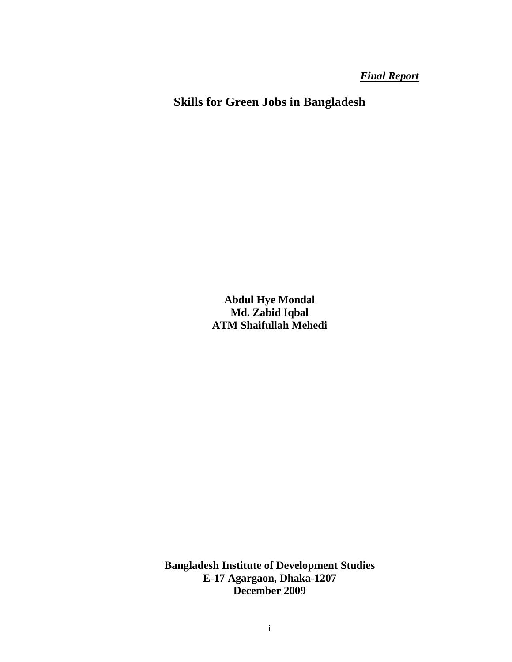*Final Report*

**Skills for Green Jobs in Bangladesh** 

**Abdul Hye Mondal Md. Zabid Iqbal ATM Shaifullah Mehedi** 

**Bangladesh Institute of Development Studies E-17 Agargaon, Dhaka-1207 December 2009**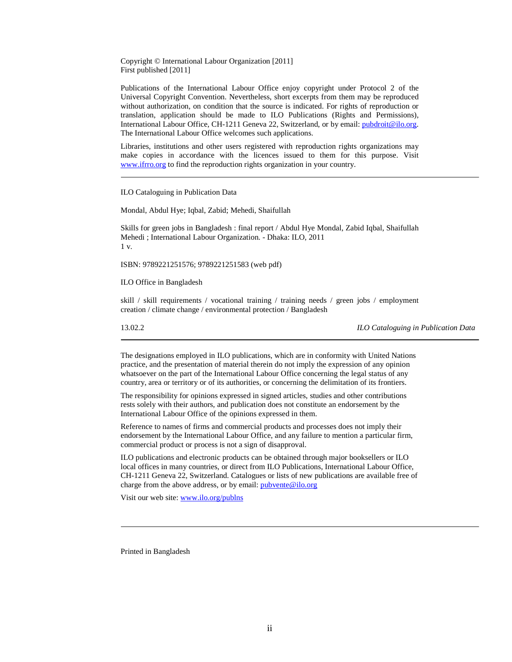Copyright © International Labour Organization [2011] First published [2011]

Publications of the International Labour Office enjoy copyright under Protocol 2 of the Universal Copyright Convention. Nevertheless, short excerpts from them may be reproduced without authorization, on condition that the source is indicated. For rights of reproduction or translation, application should be made to ILO Publications (Rights and Permissions), International Labour Office, CH-1211 Geneva 22, Switzerland, or by email: pubdroit@ilo.org. The International Labour Office welcomes such applications.

Libraries, institutions and other users registered with reproduction rights organizations may make copies in accordance with the licences issued to them for this purpose. Visit www.ifrro.org to find the reproduction rights organization in your country.

ILO Cataloguing in Publication Data

Mondal, Abdul Hye; Iqbal, Zabid; Mehedi, Shaifullah

Skills for green jobs in Bangladesh : final report / Abdul Hye Mondal, Zabid Iqbal, Shaifullah Mehedi ; International Labour Organization. - Dhaka: ILO, 2011  $1 v$ .

ISBN: 9789221251576; 9789221251583 (web pdf)

ILO Office in Bangladesh

skill / skill requirements / vocational training / training needs / green jobs / employment creation / climate change / environmental protection / Bangladesh

13.02.2 *ILO Cataloguing in Publication Data*

The designations employed in ILO publications, which are in conformity with United Nations practice, and the presentation of material therein do not imply the expression of any opinion whatsoever on the part of the International Labour Office concerning the legal status of any country, area or territory or of its authorities, or concerning the delimitation of its frontiers.

The responsibility for opinions expressed in signed articles, studies and other contributions rests solely with their authors, and publication does not constitute an endorsement by the International Labour Office of the opinions expressed in them.

Reference to names of firms and commercial products and processes does not imply their endorsement by the International Labour Office, and any failure to mention a particular firm, commercial product or process is not a sign of disapproval.

ILO publications and electronic products can be obtained through major booksellers or ILO local offices in many countries, or direct from ILO Publications, International Labour Office, CH-1211 Geneva 22, Switzerland. Catalogues or lists of new publications are available free of charge from the above address, or by email:  $\frac{\text{pubvente@ilo.org}}{\text{pubvente@ilo.org}}$ 

Visit our web site: www.ilo.org/publns

Printed in Bangladesh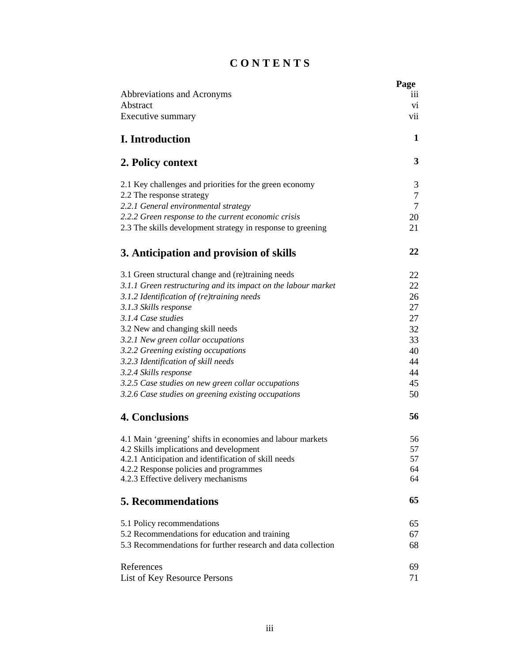# **C O N T E N T S**

| Abbreviations and Acronyms                                                                     | Page<br>111  |
|------------------------------------------------------------------------------------------------|--------------|
| Abstract                                                                                       | vi           |
| Executive summary                                                                              | vii          |
| <b>I.</b> Introduction                                                                         | $\mathbf{1}$ |
| 2. Policy context                                                                              | 3            |
| 2.1 Key challenges and priorities for the green economy                                        | 3            |
| 2.2 The response strategy                                                                      | 7            |
| 2.2.1 General environmental strategy                                                           | 7            |
| 2.2.2 Green response to the current economic crisis                                            | 20           |
| 2.3 The skills development strategy in response to greening                                    | 21           |
| 3. Anticipation and provision of skills                                                        | 22           |
| 3.1 Green structural change and (re)training needs                                             | 22           |
| 3.1.1 Green restructuring and its impact on the labour market                                  | 22           |
| $3.1.2$ Identification of (re)training needs                                                   | 26           |
| 3.1.3 Skills response                                                                          | 27           |
| 3.1.4 Case studies                                                                             | 27           |
| 3.2 New and changing skill needs                                                               | 32           |
| 3.2.1 New green collar occupations                                                             | 33           |
| 3.2.2 Greening existing occupations                                                            | 40           |
| 3.2.3 Identification of skill needs                                                            | 44           |
| 3.2.4 Skills response<br>3.2.5 Case studies on new green collar occupations                    | 44<br>45     |
| 3.2.6 Case studies on greening existing occupations                                            | 50           |
|                                                                                                |              |
| <b>4. Conclusions</b>                                                                          | 56           |
| 4.1 Main 'greening' shifts in economies and labour markets                                     | 56           |
| 4.2 Skills implications and development                                                        | 57           |
| 4.2.1 Anticipation and identification of skill needs<br>4.2.2 Response policies and programmes | 57<br>64     |
| 4.2.3 Effective delivery mechanisms                                                            | 64           |
| <b>5. Recommendations</b>                                                                      | 65           |
| 5.1 Policy recommendations                                                                     | 65           |
| 5.2 Recommendations for education and training                                                 | 67           |
| 5.3 Recommendations for further research and data collection                                   | 68           |
| References                                                                                     | 69           |
| List of Key Resource Persons                                                                   | 71           |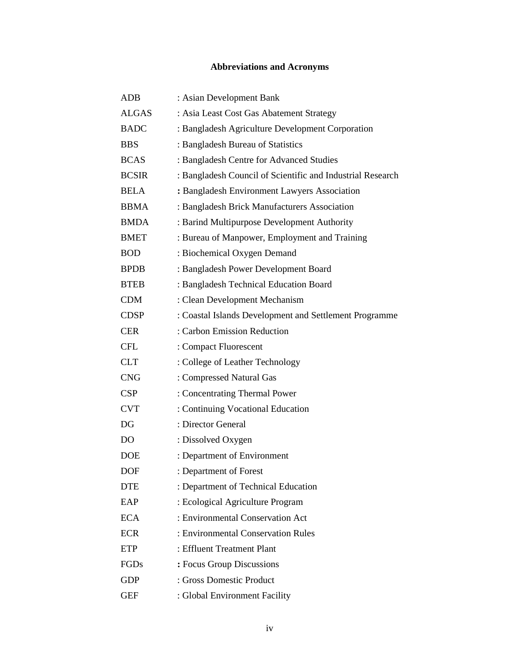# **Abbreviations and Acronyms**

| <b>ADB</b>     | : Asian Development Bank                                   |
|----------------|------------------------------------------------------------|
| <b>ALGAS</b>   | : Asia Least Cost Gas Abatement Strategy                   |
| <b>BADC</b>    | : Bangladesh Agriculture Development Corporation           |
| <b>BBS</b>     | : Bangladesh Bureau of Statistics                          |
| <b>BCAS</b>    | : Bangladesh Centre for Advanced Studies                   |
| <b>BCSIR</b>   | : Bangladesh Council of Scientific and Industrial Research |
| <b>BELA</b>    | : Bangladesh Environment Lawyers Association               |
| <b>BBMA</b>    | : Bangladesh Brick Manufacturers Association               |
| <b>BMDA</b>    | : Barind Multipurpose Development Authority                |
| <b>BMET</b>    | : Bureau of Manpower, Employment and Training              |
| <b>BOD</b>     | : Biochemical Oxygen Demand                                |
| <b>BPDB</b>    | : Bangladesh Power Development Board                       |
| <b>BTEB</b>    | : Bangladesh Technical Education Board                     |
| <b>CDM</b>     | : Clean Development Mechanism                              |
| <b>CDSP</b>    | : Coastal Islands Development and Settlement Programme     |
| <b>CER</b>     | : Carbon Emission Reduction                                |
| <b>CFL</b>     | : Compact Fluorescent                                      |
| <b>CLT</b>     | : College of Leather Technology                            |
| <b>CNG</b>     | : Compressed Natural Gas                                   |
| CSP            | : Concentrating Thermal Power                              |
| <b>CVT</b>     | : Continuing Vocational Education                          |
| DG             | : Director General                                         |
| D <sub>O</sub> | : Dissolved Oxygen                                         |
| <b>DOE</b>     | : Department of Environment                                |
| <b>DOF</b>     | : Department of Forest                                     |
| <b>DTE</b>     | : Department of Technical Education                        |
| EAP            | : Ecological Agriculture Program                           |
| <b>ECA</b>     | : Environmental Conservation Act                           |
| <b>ECR</b>     | : Environmental Conservation Rules                         |
| <b>ETP</b>     | : Effluent Treatment Plant                                 |
| FGDs           | : Focus Group Discussions                                  |
| <b>GDP</b>     | : Gross Domestic Product                                   |
| <b>GEF</b>     | : Global Environment Facility                              |
|                |                                                            |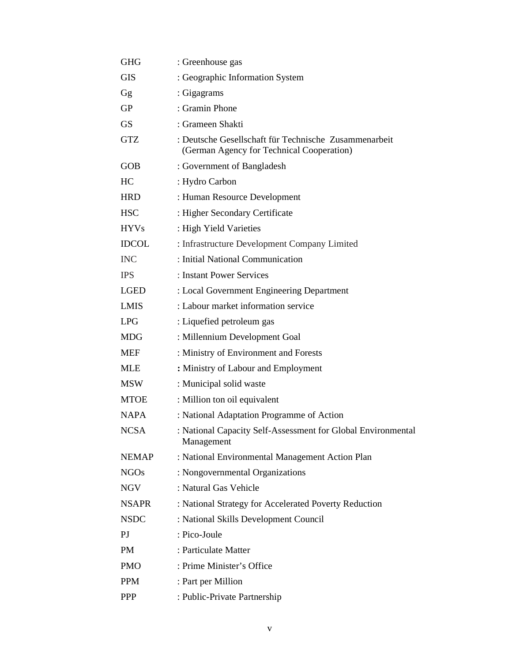| <b>GHG</b>   | : Greenhouse gas                                                                                   |
|--------------|----------------------------------------------------------------------------------------------------|
| <b>GIS</b>   | : Geographic Information System                                                                    |
| Gg           | : Gigagrams                                                                                        |
| <b>GP</b>    | : Gramin Phone                                                                                     |
| <b>GS</b>    | : Grameen Shakti                                                                                   |
| <b>GTZ</b>   | : Deutsche Gesellschaft für Technische Zusammenarbeit<br>(German Agency for Technical Cooperation) |
| <b>GOB</b>   | : Government of Bangladesh                                                                         |
| HС           | : Hydro Carbon                                                                                     |
| <b>HRD</b>   | : Human Resource Development                                                                       |
| <b>HSC</b>   | : Higher Secondary Certificate                                                                     |
| <b>HYVs</b>  | : High Yield Varieties                                                                             |
| <b>IDCOL</b> | : Infrastructure Development Company Limited                                                       |
| <b>INC</b>   | : Initial National Communication                                                                   |
| <b>IPS</b>   | : Instant Power Services                                                                           |
| LGED         | : Local Government Engineering Department                                                          |
| LMIS         | : Labour market information service                                                                |
| LPG          | : Liquefied petroleum gas                                                                          |
| MDG          | : Millennium Development Goal                                                                      |
| MEF          | : Ministry of Environment and Forests                                                              |
| MLE          | : Ministry of Labour and Employment                                                                |
| MSW          | : Municipal solid waste                                                                            |
| <b>MTOE</b>  | : Million ton oil equivalent                                                                       |
| <b>NAPA</b>  | : National Adaptation Programme of Action                                                          |
| NCSA         | : National Capacity Self-Assessment for Global Environmental<br>Management                         |
| NEMAP        | : National Environmental Management Action Plan                                                    |
| <b>NGOs</b>  | : Nongovernmental Organizations                                                                    |
| NGV          | : Natural Gas Vehicle                                                                              |
| <b>NSAPR</b> | : National Strategy for Accelerated Poverty Reduction                                              |
| <b>NSDC</b>  | : National Skills Development Council                                                              |
| PJ           | : Pico-Joule                                                                                       |
| PM           | : Particulate Matter                                                                               |
| <b>PMO</b>   | : Prime Minister's Office                                                                          |
| <b>PPM</b>   | : Part per Million                                                                                 |
| <b>PPP</b>   | : Public-Private Partnership                                                                       |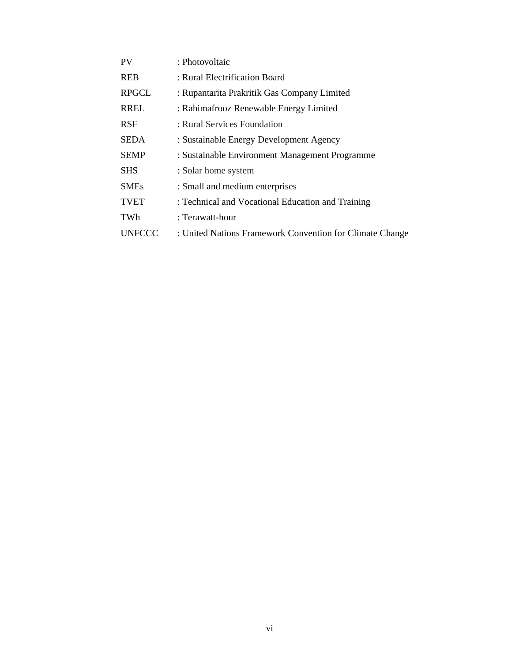| <b>PV</b>     | : Photovoltaic                                           |
|---------------|----------------------------------------------------------|
| <b>REB</b>    | : Rural Electrification Board                            |
| <b>RPGCL</b>  | : Rupantarita Prakritik Gas Company Limited              |
| <b>RREL</b>   | : Rahimafrooz Renewable Energy Limited                   |
| <b>RSF</b>    | : Rural Services Foundation                              |
| <b>SEDA</b>   | : Sustainable Energy Development Agency                  |
| <b>SEMP</b>   | : Sustainable Environment Management Programme           |
| <b>SHS</b>    | : Solar home system                                      |
| <b>SMEs</b>   | : Small and medium enterprises                           |
| <b>TVET</b>   | : Technical and Vocational Education and Training        |
| TWh           | : Terawatt-hour                                          |
| <b>UNFCCC</b> | : United Nations Framework Convention for Climate Change |
|               |                                                          |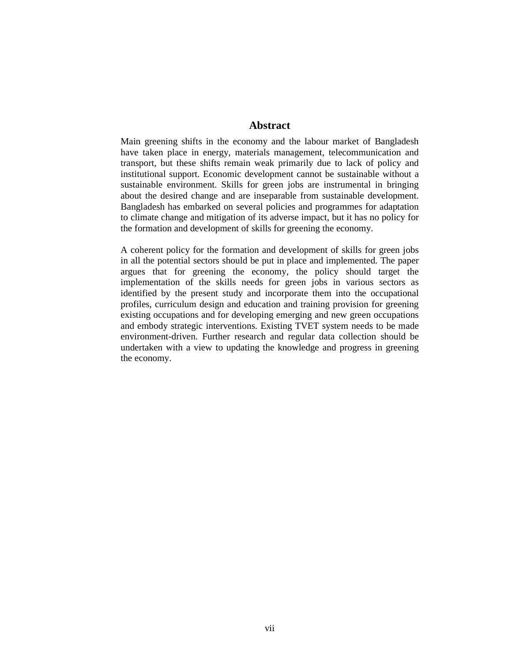## **Abstract**

Main greening shifts in the economy and the labour market of Bangladesh have taken place in energy, materials management, telecommunication and transport, but these shifts remain weak primarily due to lack of policy and institutional support. Economic development cannot be sustainable without a sustainable environment. Skills for green jobs are instrumental in bringing about the desired change and are inseparable from sustainable development. Bangladesh has embarked on several policies and programmes for adaptation to climate change and mitigation of its adverse impact, but it has no policy for the formation and development of skills for greening the economy.

A coherent policy for the formation and development of skills for green jobs in all the potential sectors should be put in place and implemented. The paper argues that for greening the economy, the policy should target the implementation of the skills needs for green jobs in various sectors as identified by the present study and incorporate them into the occupational profiles, curriculum design and education and training provision for greening existing occupations and for developing emerging and new green occupations and embody strategic interventions. Existing TVET system needs to be made environment-driven. Further research and regular data collection should be undertaken with a view to updating the knowledge and progress in greening the economy.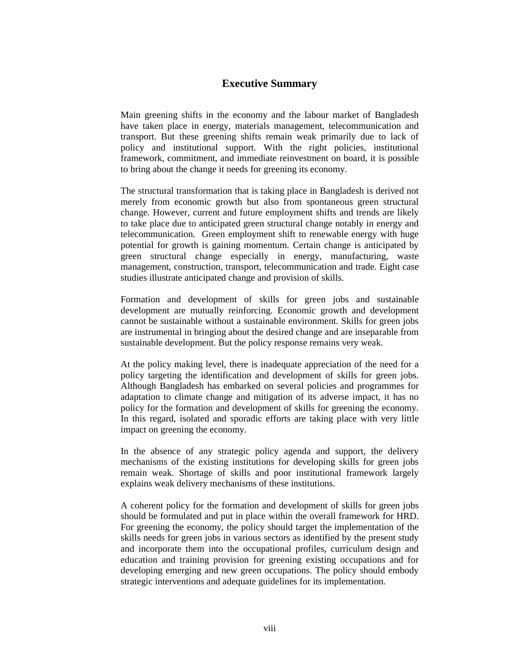# **Executive Summary**

Main greening shifts in the economy and the labour market of Bangladesh have taken place in energy, materials management, telecommunication and transport. But these greening shifts remain weak primarily due to lack of policy and institutional support. With the right policies, institutional framework, commitment, and immediate reinvestment on board, it is possible to bring about the change it needs for greening its economy.

The structural transformation that is taking place in Bangladesh is derived not merely from economic growth but also from spontaneous green structural change. However, current and future employment shifts and trends are likely to take place due to anticipated green structural change notably in energy and telecommunication. Green employment shift to renewable energy with huge potential for growth is gaining momentum. Certain change is anticipated by green structural change especially in energy, manufacturing, waste management, construction, transport, telecommunication and trade. Eight case studies illustrate anticipated change and provision of skills.

Formation and development of skills for green jobs and sustainable development are mutually reinforcing. Economic growth and development cannot be sustainable without a sustainable environment. Skills for green jobs are instrumental in bringing about the desired change and are inseparable from sustainable development. But the policy response remains very weak.

At the policy making level, there is inadequate appreciation of the need for a policy targeting the identification and development of skills for green jobs. Although Bangladesh has embarked on several policies and programmes for adaptation to climate change and mitigation of its adverse impact, it has no policy for the formation and development of skills for greening the economy. In this regard, isolated and sporadic efforts are taking place with very little impact on greening the economy.

In the absence of any strategic policy agenda and support, the delivery mechanisms of the existing institutions for developing skills for green jobs remain weak. Shortage of skills and poor institutional framework largely explains weak delivery mechanisms of these institutions.

A coherent policy for the formation and development of skills for green jobs should be formulated and put in place within the overall framework for HRD. For greening the economy, the policy should target the implementation of the skills needs for green jobs in various sectors as identified by the present study and incorporate them into the occupational profiles, curriculum design and education and training provision for greening existing occupations and for developing emerging and new green occupations. The policy should embody strategic interventions and adequate guidelines for its implementation.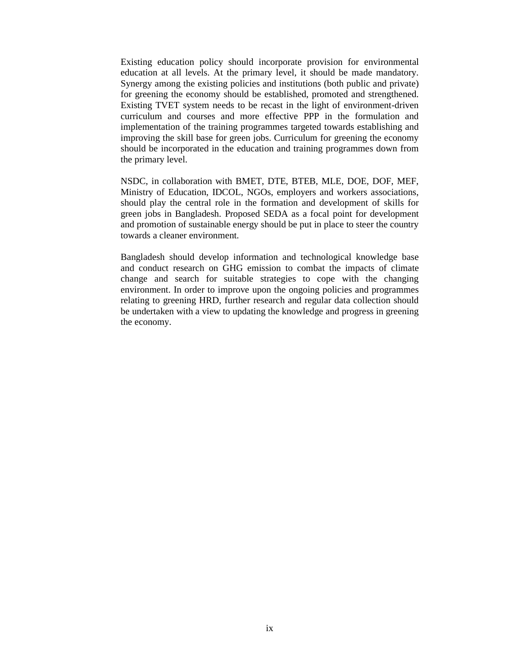Existing education policy should incorporate provision for environmental education at all levels. At the primary level, it should be made mandatory. Synergy among the existing policies and institutions (both public and private) for greening the economy should be established, promoted and strengthened. Existing TVET system needs to be recast in the light of environment-driven curriculum and courses and more effective PPP in the formulation and implementation of the training programmes targeted towards establishing and improving the skill base for green jobs. Curriculum for greening the economy should be incorporated in the education and training programmes down from the primary level.

NSDC, in collaboration with BMET, DTE, BTEB, MLE, DOE, DOF, MEF, Ministry of Education, IDCOL, NGOs, employers and workers associations, should play the central role in the formation and development of skills for green jobs in Bangladesh. Proposed SEDA as a focal point for development and promotion of sustainable energy should be put in place to steer the country towards a cleaner environment.

Bangladesh should develop information and technological knowledge base and conduct research on GHG emission to combat the impacts of climate change and search for suitable strategies to cope with the changing environment. In order to improve upon the ongoing policies and programmes relating to greening HRD, further research and regular data collection should be undertaken with a view to updating the knowledge and progress in greening the economy.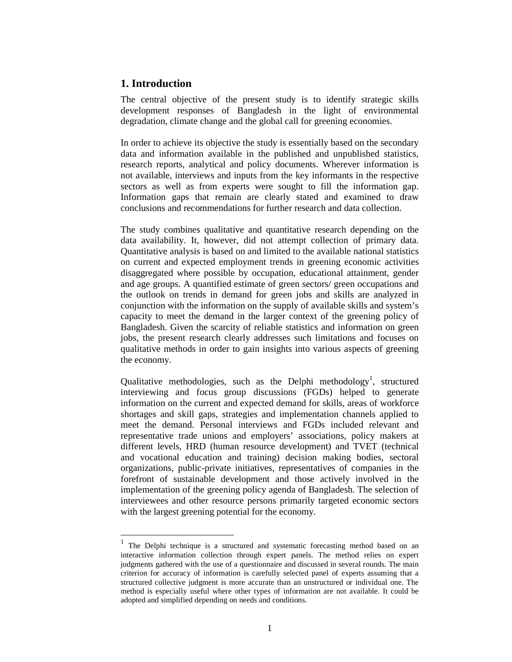# **1. Introduction**

The central objective of the present study is to identify strategic skills development responses of Bangladesh in the light of environmental degradation, climate change and the global call for greening economies.

In order to achieve its objective the study is essentially based on the secondary data and information available in the published and unpublished statistics, research reports, analytical and policy documents. Wherever information is not available, interviews and inputs from the key informants in the respective sectors as well as from experts were sought to fill the information gap. Information gaps that remain are clearly stated and examined to draw conclusions and recommendations for further research and data collection.

The study combines qualitative and quantitative research depending on the data availability. It, however, did not attempt collection of primary data. Quantitative analysis is based on and limited to the available national statistics on current and expected employment trends in greening economic activities disaggregated where possible by occupation, educational attainment, gender and age groups. A quantified estimate of green sectors/ green occupations and the outlook on trends in demand for green jobs and skills are analyzed in conjunction with the information on the supply of available skills and system's capacity to meet the demand in the larger context of the greening policy of Bangladesh. Given the scarcity of reliable statistics and information on green jobs, the present research clearly addresses such limitations and focuses on qualitative methods in order to gain insights into various aspects of greening the economy.

Qualitative methodologies, such as the Delphi methodology<sup>1</sup>, structured interviewing and focus group discussions (FGDs) helped to generate information on the current and expected demand for skills, areas of workforce shortages and skill gaps, strategies and implementation channels applied to meet the demand. Personal interviews and FGDs included relevant and representative trade unions and employers' associations, policy makers at different levels, HRD (human resource development) and TVET (technical and vocational education and training) decision making bodies, sectoral organizations, public-private initiatives, representatives of companies in the forefront of sustainable development and those actively involved in the implementation of the greening policy agenda of Bangladesh. The selection of interviewees and other resource persons primarily targeted economic sectors with the largest greening potential for the economy.

<sup>&</sup>lt;sup>1</sup> The Delphi technique is a structured and systematic forecasting method based on an interactive information collection through expert panels. The method relies on expert judgments gathered with the use of a questionnaire and discussed in several rounds. The main criterion for accuracy of information is carefully selected panel of experts assuming that a structured collective judgment is more accurate than an unstructured or individual one. The method is especially useful where other types of information are not available. It could be adopted and simplified depending on needs and conditions.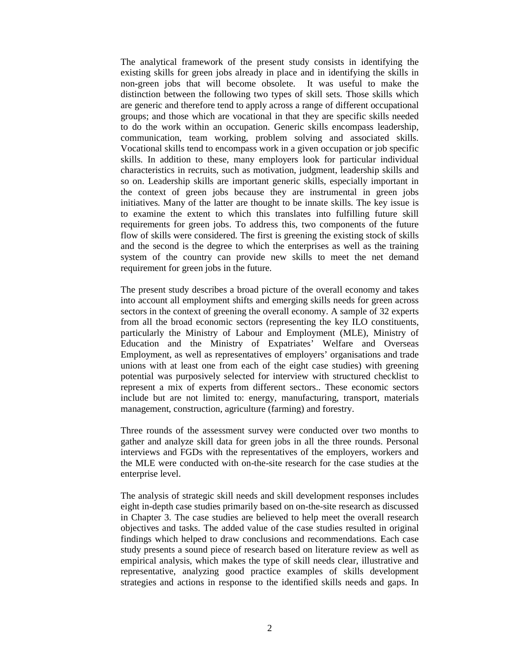The analytical framework of the present study consists in identifying the existing skills for green jobs already in place and in identifying the skills in non-green jobs that will become obsolete. It was useful to make the distinction between the following two types of skill sets. Those skills which are generic and therefore tend to apply across a range of different occupational groups; and those which are vocational in that they are specific skills needed to do the work within an occupation. Generic skills encompass leadership, communication, team working, problem solving and associated skills. Vocational skills tend to encompass work in a given occupation or job specific skills. In addition to these, many employers look for particular individual characteristics in recruits, such as motivation, judgment, leadership skills and so on. Leadership skills are important generic skills, especially important in the context of green jobs because they are instrumental in green jobs initiatives. Many of the latter are thought to be innate skills. The key issue is to examine the extent to which this translates into fulfilling future skill requirements for green jobs. To address this, two components of the future flow of skills were considered. The first is greening the existing stock of skills and the second is the degree to which the enterprises as well as the training system of the country can provide new skills to meet the net demand requirement for green jobs in the future.

The present study describes a broad picture of the overall economy and takes into account all employment shifts and emerging skills needs for green across sectors in the context of greening the overall economy. A sample of 32 experts from all the broad economic sectors (representing the key ILO constituents, particularly the Ministry of Labour and Employment (MLE), Ministry of Education and the Ministry of Expatriates' Welfare and Overseas Employment, as well as representatives of employers' organisations and trade unions with at least one from each of the eight case studies) with greening potential was purposively selected for interview with structured checklist to represent a mix of experts from different sectors.. These economic sectors include but are not limited to: energy, manufacturing, transport, materials management, construction, agriculture (farming) and forestry.

Three rounds of the assessment survey were conducted over two months to gather and analyze skill data for green jobs in all the three rounds. Personal interviews and FGDs with the representatives of the employers, workers and the MLE were conducted with on-the-site research for the case studies at the enterprise level.

The analysis of strategic skill needs and skill development responses includes eight in-depth case studies primarily based on on-the-site research as discussed in Chapter 3. The case studies are believed to help meet the overall research objectives and tasks. The added value of the case studies resulted in original findings which helped to draw conclusions and recommendations. Each case study presents a sound piece of research based on literature review as well as empirical analysis, which makes the type of skill needs clear, illustrative and representative, analyzing good practice examples of skills development strategies and actions in response to the identified skills needs and gaps. In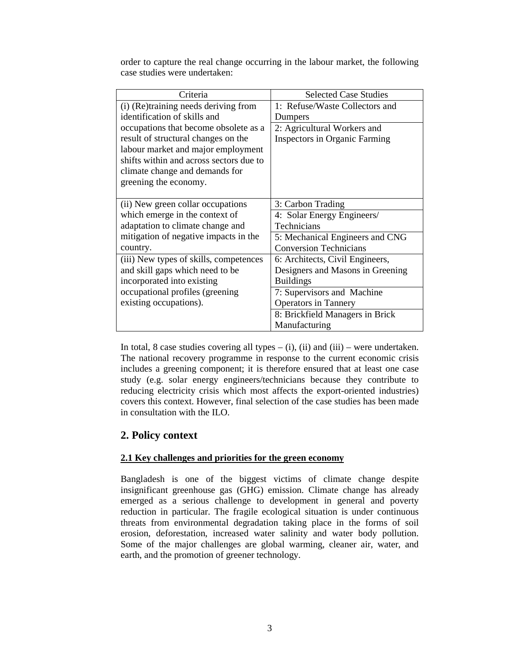| Criteria                                | <b>Selected Case Studies</b>         |
|-----------------------------------------|--------------------------------------|
| (i) (Re)training needs deriving from    | 1: Refuse/Waste Collectors and       |
| identification of skills and            | Dumpers                              |
| occupations that become obsolete as a   | 2: Agricultural Workers and          |
| result of structural changes on the     | <b>Inspectors in Organic Farming</b> |
| labour market and major employment      |                                      |
| shifts within and across sectors due to |                                      |
| climate change and demands for          |                                      |
| greening the economy.                   |                                      |
|                                         |                                      |
| (ii) New green collar occupations       | 3: Carbon Trading                    |
| which emerge in the context of          | 4: Solar Energy Engineers/           |
| adaptation to climate change and        | Technicians                          |
| mitigation of negative impacts in the   | 5: Mechanical Engineers and CNG      |
| country.                                | <b>Conversion Technicians</b>        |
| (iii) New types of skills, competences  | 6: Architects, Civil Engineers,      |
| and skill gaps which need to be         | Designers and Masons in Greening     |
| incorporated into existing              | <b>Buildings</b>                     |
| occupational profiles (greening         | 7: Supervisors and Machine           |
| existing occupations).                  | <b>Operators in Tannery</b>          |
|                                         | 8: Brickfield Managers in Brick      |
|                                         | Manufacturing                        |

order to capture the real change occurring in the labour market, the following case studies were undertaken:

In total, 8 case studies covering all types  $-$  (i), (ii) and (iii) – were undertaken. The national recovery programme in response to the current economic crisis includes a greening component; it is therefore ensured that at least one case study (e.g. solar energy engineers/technicians because they contribute to reducing electricity crisis which most affects the export-oriented industries) covers this context. However, final selection of the case studies has been made in consultation with the ILO.

# **2. Policy context**

## **2.1 Key challenges and priorities for the green economy**

Bangladesh is one of the biggest victims of climate change despite insignificant greenhouse gas (GHG) emission. Climate change has already emerged as a serious challenge to development in general and poverty reduction in particular. The fragile ecological situation is under continuous threats from environmental degradation taking place in the forms of soil erosion, deforestation, increased water salinity and water body pollution. Some of the major challenges are global warming, cleaner air, water, and earth, and the promotion of greener technology.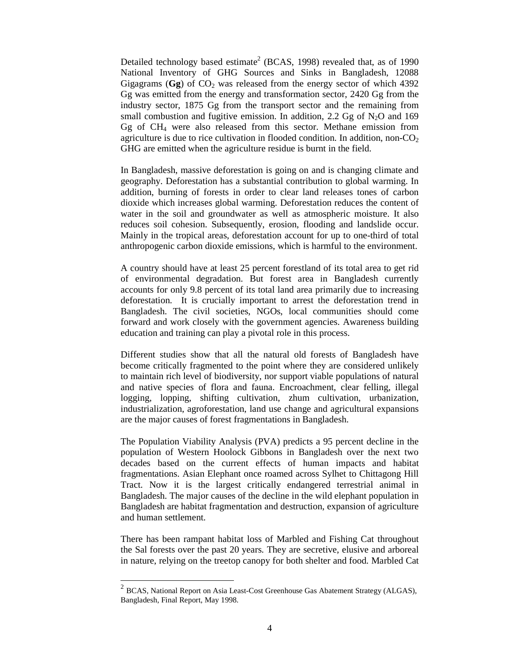Detailed technology based estimate<sup>2</sup> (BCAS, 1998) revealed that, as of 1990 National Inventory of GHG Sources and Sinks in Bangladesh, 12088 Gigagrams  $(Gg)$  of  $CO<sub>2</sub>$  was released from the energy sector of which 4392 Gg was emitted from the energy and transformation sector, 2420 Gg from the industry sector, 1875 Gg from the transport sector and the remaining from small combustion and fugitive emission. In addition, 2.2 Gg of  $N_2O$  and 169 Gg of CH4 were also released from this sector. Methane emission from agriculture is due to rice cultivation in flooded condition. In addition, non- $CO<sub>2</sub>$ GHG are emitted when the agriculture residue is burnt in the field.

In Bangladesh, massive deforestation is going on and is changing climate and geography. Deforestation has a substantial contribution to global warming. In addition, burning of forests in order to clear land releases tones of carbon dioxide which increases global warming. Deforestation reduces the content of water in the soil and groundwater as well as atmospheric moisture. It also reduces soil cohesion. Subsequently, erosion, flooding and landslide occur. Mainly in the tropical areas, deforestation account for up to one-third of total anthropogenic carbon dioxide emissions, which is harmful to the environment.

A country should have at least 25 percent forestland of its total area to get rid of environmental degradation. But forest area in Bangladesh currently accounts for only 9.8 percent of its total land area primarily due to increasing deforestation. It is crucially important to arrest the deforestation trend in Bangladesh. The civil societies, NGOs, local communities should come forward and work closely with the government agencies. Awareness building education and training can play a pivotal role in this process.

Different studies show that all the natural old forests of Bangladesh have become critically fragmented to the point where they are considered unlikely to maintain rich level of biodiversity, nor support viable populations of natural and native species of flora and fauna. Encroachment, clear felling, illegal logging, lopping, shifting cultivation, zhum cultivation, urbanization, industrialization, agroforestation, land use change and agricultural expansions are the major causes of forest fragmentations in Bangladesh.

The Population Viability Analysis (PVA) predicts a 95 percent decline in the population of Western Hoolock Gibbons in Bangladesh over the next two decades based on the current effects of human impacts and habitat fragmentations. Asian Elephant once roamed across Sylhet to Chittagong Hill Tract. Now it is the largest critically endangered terrestrial animal in Bangladesh. The major causes of the decline in the wild elephant population in Bangladesh are habitat fragmentation and destruction, expansion of agriculture and human settlement.

There has been rampant habitat loss of Marbled and Fishing Cat throughout the Sal forests over the past 20 years. They are secretive, elusive and arboreal in nature, relying on the treetop canopy for both shelter and food. Marbled Cat

-

 $2$  BCAS, National Report on Asia Least-Cost Greenhouse Gas Abatement Strategy (ALGAS), Bangladesh, Final Report, May 1998.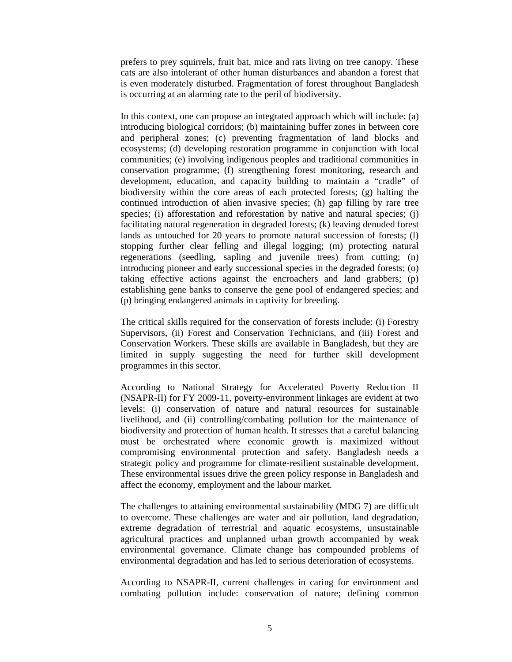prefers to prey squirrels, fruit bat, mice and rats living on tree canopy. These cats are also intolerant of other human disturbances and abandon a forest that is even moderately disturbed. Fragmentation of forest throughout Bangladesh is occurring at an alarming rate to the peril of biodiversity.

In this context, one can propose an integrated approach which will include: (a) introducing biological corridors; (b) maintaining buffer zones in between core and peripheral zones; (c) preventing fragmentation of land blocks and ecosystems; (d) developing restoration programme in conjunction with local communities; (e) involving indigenous peoples and traditional communities in conservation programme; (f) strengthening forest monitoring, research and development, education, and capacity building to maintain a "cradle" of biodiversity within the core areas of each protected forests; (g) halting the continued introduction of alien invasive species; (h) gap filling by rare tree species; (i) afforestation and reforestation by native and natural species; (j) facilitating natural regeneration in degraded forests; (k) leaving denuded forest lands as untouched for 20 years to promote natural succession of forests; (l) stopping further clear felling and illegal logging; (m) protecting natural regenerations (seedling, sapling and juvenile trees) from cutting; (n) introducing pioneer and early successional species in the degraded forests; (o) taking effective actions against the encroachers and land grabbers; (p) establishing gene banks to conserve the gene pool of endangered species; and (p) bringing endangered animals in captivity for breeding.

The critical skills required for the conservation of forests include: (i) Forestry Supervisors, (ii) Forest and Conservation Technicians, and (iii) Forest and Conservation Workers. These skills are available in Bangladesh, but they are limited in supply suggesting the need for further skill development programmes in this sector.

According to National Strategy for Accelerated Poverty Reduction II (NSAPR-II) for FY 2009-11, poverty-environment linkages are evident at two levels: (i) conservation of nature and natural resources for sustainable livelihood, and (ii) controlling/combating pollution for the maintenance of biodiversity and protection of human health. It stresses that a careful balancing must be orchestrated where economic growth is maximized without compromising environmental protection and safety. Bangladesh needs a strategic policy and programme for climate-resilient sustainable development. These environmental issues drive the green policy response in Bangladesh and affect the economy, employment and the labour market.

The challenges to attaining environmental sustainability (MDG 7) are difficult to overcome. These challenges are water and air pollution, land degradation, extreme degradation of terrestrial and aquatic ecosystems, unsustainable agricultural practices and unplanned urban growth accompanied by weak environmental governance. Climate change has compounded problems of environmental degradation and has led to serious deterioration of ecosystems.

According to NSAPR-II, current challenges in caring for environment and combating pollution include: conservation of nature; defining common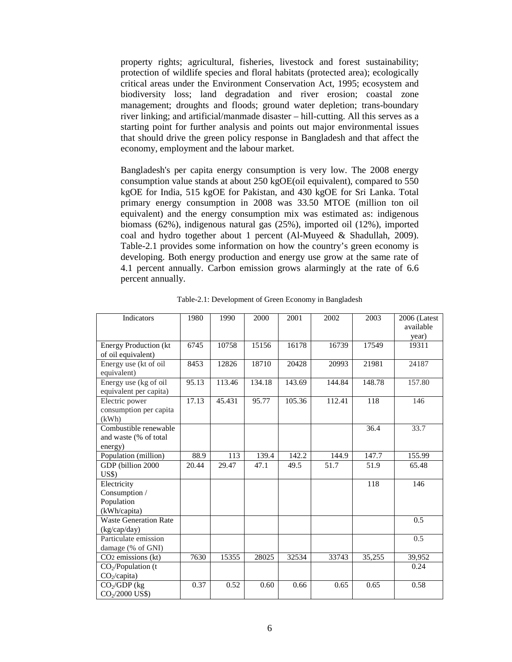property rights; agricultural, fisheries, livestock and forest sustainability; protection of wildlife species and floral habitats (protected area); ecologically critical areas under the Environment Conservation Act, 1995; ecosystem and biodiversity loss; land degradation and river erosion; coastal zone management; droughts and floods; ground water depletion; trans-boundary river linking; and artificial/manmade disaster – hill-cutting. All this serves as a starting point for further analysis and points out major environmental issues that should drive the green policy response in Bangladesh and that affect the economy, employment and the labour market.

Bangladesh's per capita energy consumption is very low. The 2008 energy consumption value stands at about 250 kgOE(oil equivalent), compared to 550 kgOE for India, 515 kgOE for Pakistan, and 430 kgOE for Sri Lanka. Total primary energy consumption in 2008 was 33.50 MTOE (million ton oil equivalent) and the energy consumption mix was estimated as: indigenous biomass (62%), indigenous natural gas (25%), imported oil (12%), imported coal and hydro together about 1 percent (Al-Muyeed & Shadullah, 2009). Table-2.1 provides some information on how the country's green economy is developing. Both energy production and energy use grow at the same rate of 4.1 percent annually. Carbon emission grows alarmingly at the rate of 6.6 percent annually.

| Indicators                     | 1980  | 1990   | 2000   | 2001   | 2002   | 2003   | 2006 (Latest |
|--------------------------------|-------|--------|--------|--------|--------|--------|--------------|
|                                |       |        |        |        |        |        | available    |
|                                |       |        |        |        |        |        | year)        |
| <b>Energy Production (kt</b>   | 6745  | 10758  | 15156  | 16178  | 16739  | 17549  | 19311        |
| of oil equivalent)             |       |        |        |        |        |        |              |
| Energy use (kt of oil          | 8453  | 12826  | 18710  | 20428  | 20993  | 21981  | 24187        |
| equivalent)                    |       |        |        |        |        |        |              |
| Energy use (kg of oil          | 95.13 | 113.46 | 134.18 | 143.69 | 144.84 | 148.78 | 157.80       |
| equivalent per capita)         |       |        |        |        |        |        |              |
| Electric power                 | 17.13 | 45.431 | 95.77  | 105.36 | 112.41 | 118    | 146          |
| consumption per capita         |       |        |        |        |        |        |              |
| (kWh)                          |       |        |        |        |        |        |              |
| Combustible renewable          |       |        |        |        |        | 36.4   | 33.7         |
| and waste (% of total          |       |        |        |        |        |        |              |
| energy)                        |       |        |        |        |        |        |              |
| Population (million)           | 88.9  | 113    | 139.4  | 142.2  | 144.9  | 147.7  | 155.99       |
| GDP (billion 2000)             | 20.44 | 29.47  | 47.1   | 49.5   | 51.7   | 51.9   | 65.48        |
| $\overline{U}$ S\$)            |       |        |        |        |        |        |              |
| Electricity                    |       |        |        |        |        | 118    | 146          |
| Consumption /                  |       |        |        |        |        |        |              |
| Population                     |       |        |        |        |        |        |              |
| (kWh/capita)                   |       |        |        |        |        |        |              |
| <b>Waste Generation Rate</b>   |       |        |        |        |        |        | 0.5          |
| (kg/cap/day)                   |       |        |        |        |        |        |              |
| Particulate emission           |       |        |        |        |        |        | 0.5          |
| damage (% of GNI)              |       |        |        |        |        |        |              |
| CO <sub>2</sub> emissions (kt) | 7630  | 15355  | 28025  | 32534  | 33743  | 35,255 | 39,952       |
| $CO2/Population$ (t            |       |        |        |        |        |        | 0.24         |
| CO <sub>2</sub> /capita)       |       |        |        |        |        |        |              |
| $CO2/GDP$ (kg                  | 0.37  | 0.52   | 0.60   | 0.66   | 0.65   | 0.65   | 0.58         |
| CO <sub>2</sub> /2000 US\$)    |       |        |        |        |        |        |              |

Table-2.1: Development of Green Economy in Bangladesh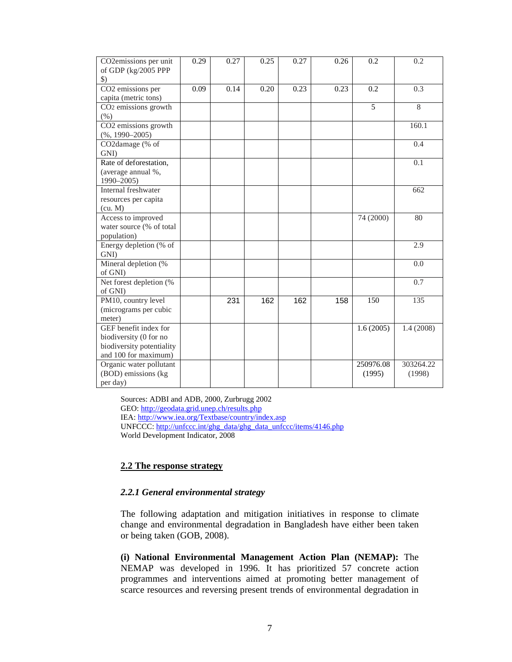| CO2emissions per unit                | 0.29 | 0.27 | 0.25 | 0.27 | 0.26 | 0.2       | 0.2        |
|--------------------------------------|------|------|------|------|------|-----------|------------|
| of GDP (kg/2005 PPP<br>$\mathcal{S}$ |      |      |      |      |      |           |            |
| CO <sub>2</sub> emissions per        | 0.09 | 0.14 | 0.20 | 0.23 | 0.23 | 0.2       | 0.3        |
| capita (metric tons)                 |      |      |      |      |      |           |            |
| CO <sub>2</sub> emissions growth     |      |      |      |      |      | 5         | 8          |
| $(\% )$                              |      |      |      |      |      |           |            |
| CO2 emissions growth                 |      |      |      |      |      |           | 160.1      |
| $(\%$ , 1990-2005)                   |      |      |      |      |      |           |            |
| CO2damage (% of                      |      |      |      |      |      |           | 0.4        |
| GNI)                                 |      |      |      |      |      |           |            |
| Rate of deforestation,               |      |      |      |      |      |           | 0.1        |
| (average annual %,                   |      |      |      |      |      |           |            |
| 1990-2005)                           |      |      |      |      |      |           |            |
| Internal freshwater                  |      |      |      |      |      |           | 662        |
| resources per capita                 |      |      |      |      |      |           |            |
| (cu. M)                              |      |      |      |      |      |           |            |
| Access to improved                   |      |      |      |      |      | 74 (2000) | 80         |
| water source (% of total             |      |      |      |      |      |           |            |
| population)                          |      |      |      |      |      |           |            |
| Energy depletion (% of               |      |      |      |      |      |           | 2.9        |
| GNI)                                 |      |      |      |      |      |           |            |
| Mineral depletion (%                 |      |      |      |      |      |           | 0.0        |
| of GNI)                              |      |      |      |      |      |           |            |
| Net forest depletion (%              |      |      |      |      |      |           | 0.7        |
| of GNI)                              |      |      |      |      |      |           |            |
| PM10, country level                  |      | 231  | 162  | 162  | 158  | 150       | 135        |
| (micrograms per cubic                |      |      |      |      |      |           |            |
| meter)                               |      |      |      |      |      |           |            |
| GEF benefit index for                |      |      |      |      |      | 1.6(2005) | 1.4 (2008) |
| biodiversity (0 for no               |      |      |      |      |      |           |            |
| biodiversity potentiality            |      |      |      |      |      |           |            |
| and 100 for maximum)                 |      |      |      |      |      |           |            |
| Organic water pollutant              |      |      |      |      |      | 250976.08 | 303264.22  |
| (BOD) emissions (kg                  |      |      |      |      |      | (1995)    | (1998)     |
| per day)                             |      |      |      |      |      |           |            |

Sources: ADBI and ADB, 2000, Zurbrugg 2002 GEO: http://geodata.grid.unep.ch/results.php IEA: http://www.iea.org/Textbase/country/index.asp UNFCCC: http://unfccc.int/ghg\_data/ghg\_data\_unfccc/items/4146.php World Development Indicator, 2008

## **2.2 The response strategy**

## *2.2.1 General environmental strategy*

The following adaptation and mitigation initiatives in response to climate change and environmental degradation in Bangladesh have either been taken or being taken (GOB, 2008).

**(i) National Environmental Management Action Plan (NEMAP):** The NEMAP was developed in 1996. It has prioritized 57 concrete action programmes and interventions aimed at promoting better management of scarce resources and reversing present trends of environmental degradation in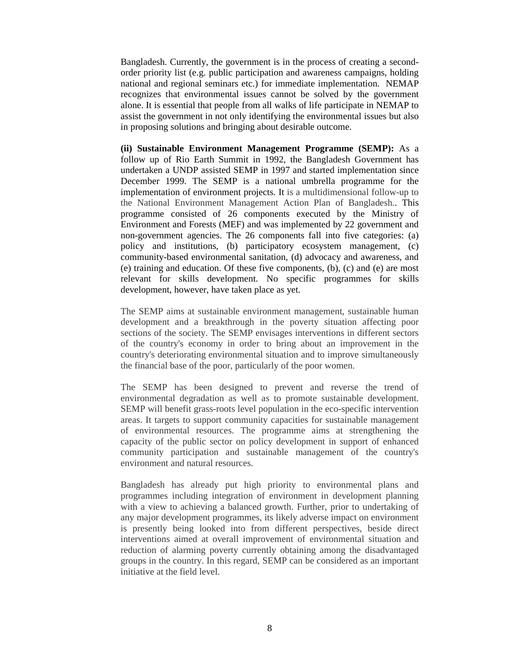Bangladesh. Currently, the government is in the process of creating a secondorder priority list (e.g. public participation and awareness campaigns, holding national and regional seminars etc.) for immediate implementation. NEMAP recognizes that environmental issues cannot be solved by the government alone. It is essential that people from all walks of life participate in NEMAP to assist the government in not only identifying the environmental issues but also in proposing solutions and bringing about desirable outcome.

**(ii) Sustainable Environment Management Programme (SEMP):** As a follow up of Rio Earth Summit in 1992, the Bangladesh Government has undertaken a UNDP assisted SEMP in 1997 and started implementation since December 1999. The SEMP is a national umbrella programme for the implementation of environment projects. It is a multidimensional follow-up to the National Environment Management Action Plan of Bangladesh.. This programme consisted of 26 components executed by the Ministry of Environment and Forests (MEF) and was implemented by 22 government and non-government agencies. The 26 components fall into five categories: (a) policy and institutions, (b) participatory ecosystem management, (c) community-based environmental sanitation, (d) advocacy and awareness, and (e) training and education. Of these five components, (b), (c) and (e) are most relevant for skills development. No specific programmes for skills development, however, have taken place as yet.

The SEMP aims at sustainable environment management, sustainable human development and a breakthrough in the poverty situation affecting poor sections of the society. The SEMP envisages interventions in different sectors of the country's economy in order to bring about an improvement in the country's deteriorating environmental situation and to improve simultaneously the financial base of the poor, particularly of the poor women.

The SEMP has been designed to prevent and reverse the trend of environmental degradation as well as to promote sustainable development. SEMP will benefit grass-roots level population in the eco-specific intervention areas. It targets to support community capacities for sustainable management of environmental resources. The programme aims at strengthening the capacity of the public sector on policy development in support of enhanced community participation and sustainable management of the country's environment and natural resources.

Bangladesh has already put high priority to environmental plans and programmes including integration of environment in development planning with a view to achieving a balanced growth. Further, prior to undertaking of any major development programmes, its likely adverse impact on environment is presently being looked into from different perspectives, beside direct interventions aimed at overall improvement of environmental situation and reduction of alarming poverty currently obtaining among the disadvantaged groups in the country. In this regard, SEMP can be considered as an important initiative at the field level.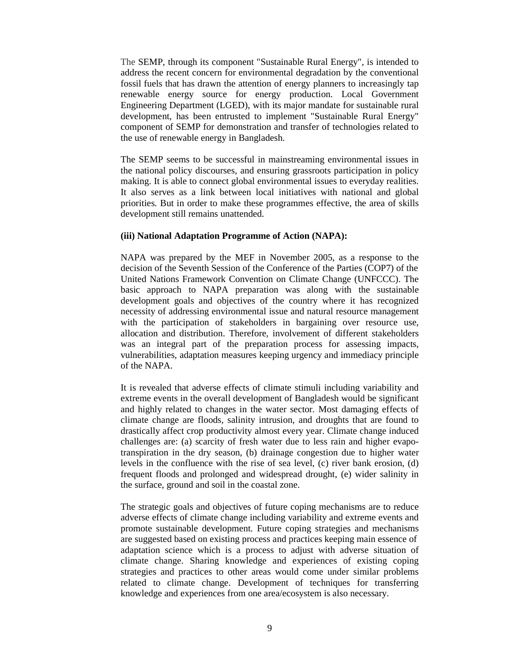The SEMP, through its component "Sustainable Rural Energy", is intended to address the recent concern for environmental degradation by the conventional fossil fuels that has drawn the attention of energy planners to increasingly tap renewable energy source for energy production. Local Government Engineering Department (LGED), with its major mandate for sustainable rural development, has been entrusted to implement "Sustainable Rural Energy" component of SEMP for demonstration and transfer of technologies related to the use of renewable energy in Bangladesh.

The SEMP seems to be successful in mainstreaming environmental issues in the national policy discourses, and ensuring grassroots participation in policy making. It is able to connect global environmental issues to everyday realities. It also serves as a link between local initiatives with national and global priorities. But in order to make these programmes effective, the area of skills development still remains unattended.

#### **(iii) National Adaptation Programme of Action (NAPA):**

NAPA was prepared by the MEF in November 2005, as a response to the decision of the Seventh Session of the Conference of the Parties (COP7) of the United Nations Framework Convention on Climate Change (UNFCCC). The basic approach to NAPA preparation was along with the sustainable development goals and objectives of the country where it has recognized necessity of addressing environmental issue and natural resource management with the participation of stakeholders in bargaining over resource use, allocation and distribution. Therefore, involvement of different stakeholders was an integral part of the preparation process for assessing impacts, vulnerabilities, adaptation measures keeping urgency and immediacy principle of the NAPA.

It is revealed that adverse effects of climate stimuli including variability and extreme events in the overall development of Bangladesh would be significant and highly related to changes in the water sector. Most damaging effects of climate change are floods, salinity intrusion, and droughts that are found to drastically affect crop productivity almost every year. Climate change induced challenges are: (a) scarcity of fresh water due to less rain and higher evapotranspiration in the dry season, (b) drainage congestion due to higher water levels in the confluence with the rise of sea level, (c) river bank erosion, (d) frequent floods and prolonged and widespread drought, (e) wider salinity in the surface, ground and soil in the coastal zone.

The strategic goals and objectives of future coping mechanisms are to reduce adverse effects of climate change including variability and extreme events and promote sustainable development. Future coping strategies and mechanisms are suggested based on existing process and practices keeping main essence of adaptation science which is a process to adjust with adverse situation of climate change. Sharing knowledge and experiences of existing coping strategies and practices to other areas would come under similar problems related to climate change. Development of techniques for transferring knowledge and experiences from one area/ecosystem is also necessary.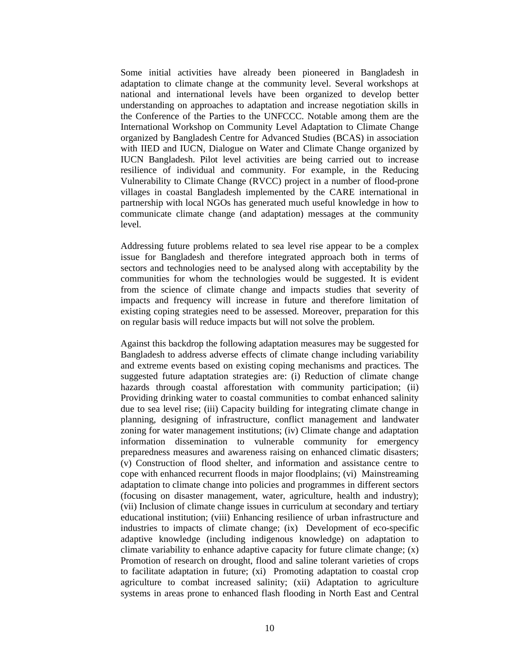Some initial activities have already been pioneered in Bangladesh in adaptation to climate change at the community level. Several workshops at national and international levels have been organized to develop better understanding on approaches to adaptation and increase negotiation skills in the Conference of the Parties to the UNFCCC. Notable among them are the International Workshop on Community Level Adaptation to Climate Change organized by Bangladesh Centre for Advanced Studies (BCAS) in association with IIED and IUCN, Dialogue on Water and Climate Change organized by IUCN Bangladesh. Pilot level activities are being carried out to increase resilience of individual and community. For example, in the Reducing Vulnerability to Climate Change (RVCC) project in a number of flood-prone villages in coastal Bangladesh implemented by the CARE international in partnership with local NGOs has generated much useful knowledge in how to communicate climate change (and adaptation) messages at the community level.

Addressing future problems related to sea level rise appear to be a complex issue for Bangladesh and therefore integrated approach both in terms of sectors and technologies need to be analysed along with acceptability by the communities for whom the technologies would be suggested. It is evident from the science of climate change and impacts studies that severity of impacts and frequency will increase in future and therefore limitation of existing coping strategies need to be assessed. Moreover, preparation for this on regular basis will reduce impacts but will not solve the problem.

Against this backdrop the following adaptation measures may be suggested for Bangladesh to address adverse effects of climate change including variability and extreme events based on existing coping mechanisms and practices. The suggested future adaptation strategies are: (i) Reduction of climate change hazards through coastal afforestation with community participation; (ii) Providing drinking water to coastal communities to combat enhanced salinity due to sea level rise; (iii) Capacity building for integrating climate change in planning, designing of infrastructure, conflict management and landwater zoning for water management institutions; (iv) Climate change and adaptation information dissemination to vulnerable community for emergency preparedness measures and awareness raising on enhanced climatic disasters; (v) Construction of flood shelter, and information and assistance centre to cope with enhanced recurrent floods in major floodplains; (vi) Mainstreaming adaptation to climate change into policies and programmes in different sectors (focusing on disaster management, water, agriculture, health and industry); (vii) Inclusion of climate change issues in curriculum at secondary and tertiary educational institution; (viii) Enhancing resilience of urban infrastructure and industries to impacts of climate change; (ix) Development of eco-specific adaptive knowledge (including indigenous knowledge) on adaptation to climate variability to enhance adaptive capacity for future climate change; (x) Promotion of research on drought, flood and saline tolerant varieties of crops to facilitate adaptation in future; (xi) Promoting adaptation to coastal crop agriculture to combat increased salinity; (xii) Adaptation to agriculture systems in areas prone to enhanced flash flooding in North East and Central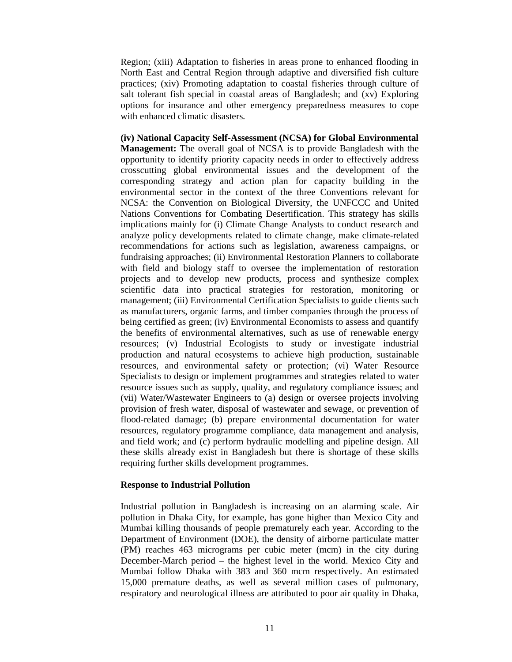Region; (xiii) Adaptation to fisheries in areas prone to enhanced flooding in North East and Central Region through adaptive and diversified fish culture practices; (xiv) Promoting adaptation to coastal fisheries through culture of salt tolerant fish special in coastal areas of Bangladesh; and (xv) Exploring options for insurance and other emergency preparedness measures to cope with enhanced climatic disasters.

**(iv) National Capacity Self-Assessment (NCSA) for Global Environmental Management:** The overall goal of NCSA is to provide Bangladesh with the opportunity to identify priority capacity needs in order to effectively address crosscutting global environmental issues and the development of the corresponding strategy and action plan for capacity building in the environmental sector in the context of the three Conventions relevant for NCSA: the Convention on Biological Diversity, the UNFCCC and United Nations Conventions for Combating Desertification. This strategy has skills implications mainly for (i) Climate Change Analysts to conduct research and analyze policy developments related to climate change, make climate-related recommendations for actions such as legislation, awareness campaigns, or fundraising approaches; (ii) Environmental Restoration Planners to collaborate with field and biology staff to oversee the implementation of restoration projects and to develop new products, process and synthesize complex scientific data into practical strategies for restoration, monitoring or management; (iii) Environmental Certification Specialists to guide clients such as manufacturers, organic farms, and timber companies through the process of being certified as green; (iv) Environmental Economists to assess and quantify the benefits of environmental alternatives, such as use of renewable energy resources; (v) Industrial Ecologists to study or investigate industrial production and natural ecosystems to achieve high production, sustainable resources, and environmental safety or protection; (vi) Water Resource Specialists to design or implement programmes and strategies related to water resource issues such as supply, quality, and regulatory compliance issues; and (vii) Water/Wastewater Engineers to (a) design or oversee projects involving provision of fresh water, disposal of wastewater and sewage, or prevention of flood-related damage; (b) prepare environmental documentation for water resources, regulatory programme compliance, data management and analysis, and field work; and (c) perform hydraulic modelling and pipeline design. All these skills already exist in Bangladesh but there is shortage of these skills requiring further skills development programmes.

#### **Response to Industrial Pollution**

Industrial pollution in Bangladesh is increasing on an alarming scale. Air pollution in Dhaka City, for example, has gone higher than Mexico City and Mumbai killing thousands of people prematurely each year. According to the Department of Environment (DOE), the density of airborne particulate matter (PM) reaches 463 micrograms per cubic meter (mcm) in the city during December-March period – the highest level in the world. Mexico City and Mumbai follow Dhaka with 383 and 360 mcm respectively. An estimated 15,000 premature deaths, as well as several million cases of pulmonary, respiratory and neurological illness are attributed to poor air quality in Dhaka,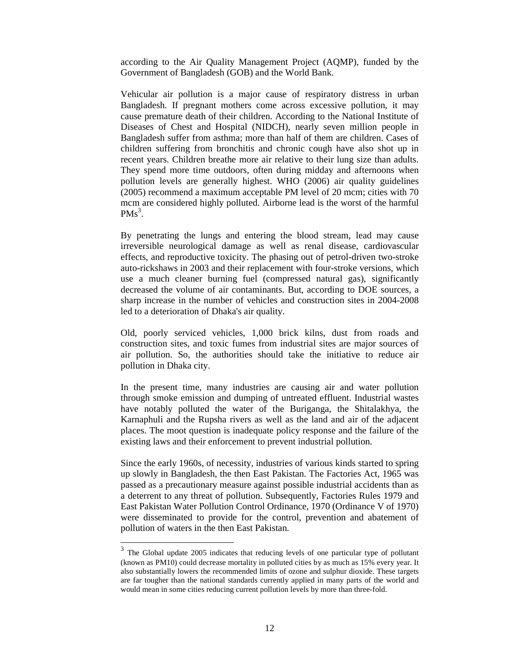according to the Air Quality Management Project (AQMP), funded by the Government of Bangladesh (GOB) and the World Bank.

Vehicular air pollution is a major cause of respiratory distress in urban Bangladesh. If pregnant mothers come across excessive pollution, it may cause premature death of their children. According to the National Institute of Diseases of Chest and Hospital (NIDCH), nearly seven million people in Bangladesh suffer from asthma; more than half of them are children. Cases of children suffering from bronchitis and chronic cough have also shot up in recent years. Children breathe more air relative to their lung size than adults. They spend more time outdoors, often during midday and afternoons when pollution levels are generally highest. WHO (2006) air quality guidelines (2005) recommend a maximum acceptable PM level of 20 mcm; cities with 70 mcm are considered highly polluted. Airborne lead is the worst of the harmful  $PMs<sup>3</sup>$ .

By penetrating the lungs and entering the blood stream, lead may cause irreversible neurological damage as well as renal disease, cardiovascular effects, and reproductive toxicity. The phasing out of petrol-driven two-stroke auto-rickshaws in 2003 and their replacement with four-stroke versions, which use a much cleaner burning fuel (compressed natural gas), significantly decreased the volume of air contaminants. But, according to DOE sources, a sharp increase in the number of vehicles and construction sites in 2004-2008 led to a deterioration of Dhaka's air quality.

Old, poorly serviced vehicles, 1,000 brick kilns, dust from roads and construction sites, and toxic fumes from industrial sites are major sources of air pollution. So, the authorities should take the initiative to reduce air pollution in Dhaka city.

In the present time, many industries are causing air and water pollution through smoke emission and dumping of untreated effluent. Industrial wastes have notably polluted the water of the Buriganga, the Shitalakhya, the Karnaphuli and the Rupsha rivers as well as the land and air of the adjacent places. The moot question is inadequate policy response and the failure of the existing laws and their enforcement to prevent industrial pollution.

Since the early 1960s, of necessity, industries of various kinds started to spring up slowly in Bangladesh, the then East Pakistan. The Factories Act, 1965 was passed as a precautionary measure against possible industrial accidents than as a deterrent to any threat of pollution. Subsequently, Factories Rules 1979 and East Pakistan Water Pollution Control Ordinance, 1970 (Ordinance V of 1970) were disseminated to provide for the control, prevention and abatement of pollution of waters in the then East Pakistan.

<sup>&</sup>lt;sup>3</sup> The Global update 2005 indicates that reducing levels of one particular type of pollutant (known as PM10) could decrease mortality in polluted cities by as much as 15% every year. It also substantially lowers the recommended limits of ozone and sulphur dioxide. These targets are far tougher than the national standards currently applied in many parts of the world and would mean in some cities reducing current pollution levels by more than three-fold.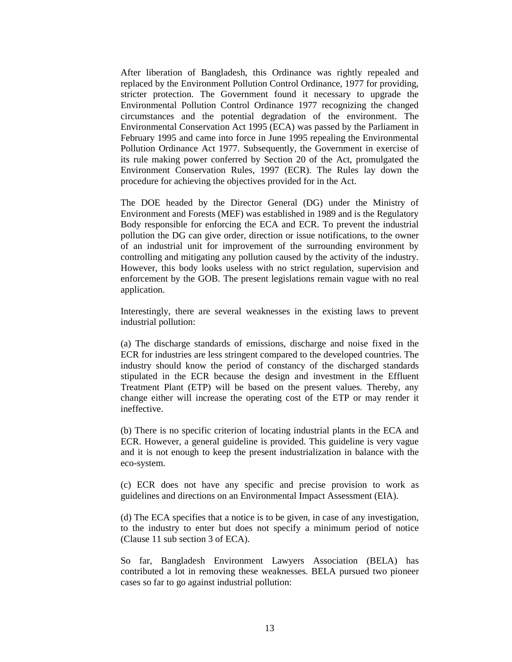After liberation of Bangladesh, this Ordinance was rightly repealed and replaced by the Environment Pollution Control Ordinance, 1977 for providing, stricter protection. The Government found it necessary to upgrade the Environmental Pollution Control Ordinance 1977 recognizing the changed circumstances and the potential degradation of the environment. The Environmental Conservation Act 1995 (ECA) was passed by the Parliament in February 1995 and came into force in June 1995 repealing the Environmental Pollution Ordinance Act 1977. Subsequently, the Government in exercise of its rule making power conferred by Section 20 of the Act, promulgated the Environment Conservation Rules, 1997 (ECR). The Rules lay down the procedure for achieving the objectives provided for in the Act.

The DOE headed by the Director General (DG) under the Ministry of Environment and Forests (MEF) was established in 1989 and is the Regulatory Body responsible for enforcing the ECA and ECR. To prevent the industrial pollution the DG can give order, direction or issue notifications, to the owner of an industrial unit for improvement of the surrounding environment by controlling and mitigating any pollution caused by the activity of the industry. However, this body looks useless with no strict regulation, supervision and enforcement by the GOB. The present legislations remain vague with no real application.

Interestingly, there are several weaknesses in the existing laws to prevent industrial pollution:

(a) The discharge standards of emissions, discharge and noise fixed in the ECR for industries are less stringent compared to the developed countries. The industry should know the period of constancy of the discharged standards stipulated in the ECR because the design and investment in the Effluent Treatment Plant (ETP) will be based on the present values. Thereby, any change either will increase the operating cost of the ETP or may render it ineffective.

(b) There is no specific criterion of locating industrial plants in the ECA and ECR. However, a general guideline is provided. This guideline is very vague and it is not enough to keep the present industrialization in balance with the eco-system.

(c) ECR does not have any specific and precise provision to work as guidelines and directions on an Environmental Impact Assessment (EIA).

(d) The ECA specifies that a notice is to be given, in case of any investigation, to the industry to enter but does not specify a minimum period of notice (Clause 11 sub section 3 of ECA).

So far, Bangladesh Environment Lawyers Association (BELA) has contributed a lot in removing these weaknesses. BELA pursued two pioneer cases so far to go against industrial pollution: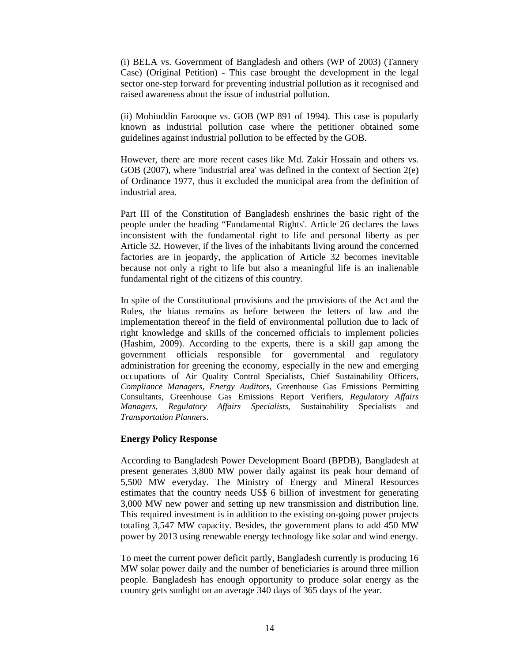(i) BELA vs. Government of Bangladesh and others (WP of 2003) (Tannery Case) (Original Petition) - This case brought the development in the legal sector one-step forward for preventing industrial pollution as it recognised and raised awareness about the issue of industrial pollution.

(ii) Mohiuddin Farooque vs. GOB (WP 891 of 1994). This case is popularly known as industrial pollution case where the petitioner obtained some guidelines against industrial pollution to be effected by the GOB.

However, there are more recent cases like Md. Zakir Hossain and others vs. GOB (2007), where 'industrial area' was defined in the context of Section 2(e) of Ordinance 1977, thus it excluded the municipal area from the definition of industrial area.

Part III of the Constitution of Bangladesh enshrines the basic right of the people under the heading "Fundamental Rights'. Article 26 declares the laws inconsistent with the fundamental right to life and personal liberty as per Article 32. However, if the lives of the inhabitants living around the concerned factories are in jeopardy, the application of Article 32 becomes inevitable because not only a right to life but also a meaningful life is an inalienable fundamental right of the citizens of this country.

In spite of the Constitutional provisions and the provisions of the Act and the Rules, the hiatus remains as before between the letters of law and the implementation thereof in the field of environmental pollution due to lack of right knowledge and skills of the concerned officials to implement policies (Hashim, 2009). According to the experts, there is a skill gap among the government officials responsible for governmental and regulatory administration for greening the economy, especially in the new and emerging occupations of Air Quality Control Specialists, Chief Sustainability Officers, *Compliance Managers, Energy Auditors,* Greenhouse Gas Emissions Permitting Consultants, Greenhouse Gas Emissions Report Verifiers, *Regulatory Affairs Managers, Regulatory Affairs Specialists,* Sustainability Specialists and *Transportation Planners*.

#### **Energy Policy Response**

According to Bangladesh Power Development Board (BPDB), Bangladesh at present generates 3,800 MW power daily against its peak hour demand of 5,500 MW everyday. The Ministry of Energy and Mineral Resources estimates that the country needs US\$ 6 billion of investment for generating 3,000 MW new power and setting up new transmission and distribution line. This required investment is in addition to the existing on-going power projects totaling 3,547 MW capacity. Besides, the government plans to add 450 MW power by 2013 using renewable energy technology like solar and wind energy.

To meet the current power deficit partly, Bangladesh currently is producing 16 MW solar power daily and the number of beneficiaries is around three million people. Bangladesh has enough opportunity to produce solar energy as the country gets sunlight on an average 340 days of 365 days of the year.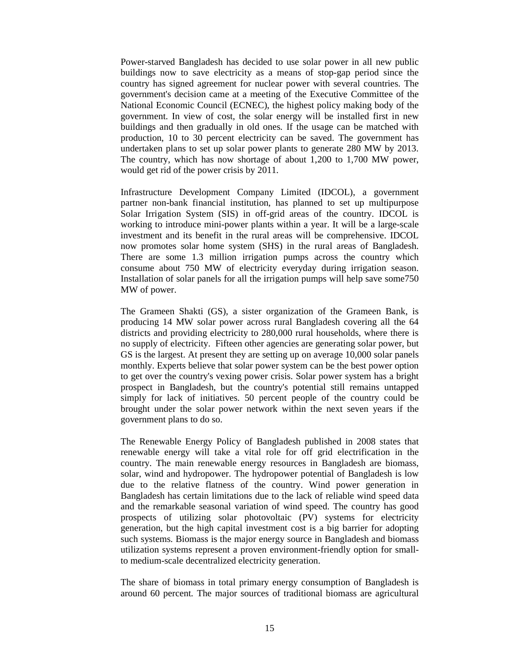Power-starved Bangladesh has decided to use solar power in all new public buildings now to save electricity as a means of stop-gap period since the country has signed agreement for nuclear power with several countries. The government's decision came at a meeting of the Executive Committee of the National Economic Council (ECNEC), the highest policy making body of the government. In view of cost, the solar energy will be installed first in new buildings and then gradually in old ones. If the usage can be matched with production, 10 to 30 percent electricity can be saved. The government has undertaken plans to set up solar power plants to generate 280 MW by 2013. The country, which has now shortage of about 1,200 to 1,700 MW power, would get rid of the power crisis by 2011.

Infrastructure Development Company Limited (IDCOL), a government partner non-bank financial institution, has planned to set up multipurpose Solar Irrigation System (SIS) in off-grid areas of the country. IDCOL is working to introduce mini-power plants within a year. It will be a large-scale investment and its benefit in the rural areas will be comprehensive. IDCOL now promotes solar home system (SHS) in the rural areas of Bangladesh. There are some 1.3 million irrigation pumps across the country which consume about 750 MW of electricity everyday during irrigation season. Installation of solar panels for all the irrigation pumps will help save some750 MW of power.

The Grameen Shakti (GS), a sister organization of the Grameen Bank, is producing 14 MW solar power across rural Bangladesh covering all the 64 districts and providing electricity to 280,000 rural households, where there is no supply of electricity. Fifteen other agencies are generating solar power, but GS is the largest. At present they are setting up on average 10,000 solar panels monthly. Experts believe that solar power system can be the best power option to get over the country's vexing power crisis. Solar power system has a bright prospect in Bangladesh, but the country's potential still remains untapped simply for lack of initiatives. 50 percent people of the country could be brought under the solar power network within the next seven years if the government plans to do so.

The Renewable Energy Policy of Bangladesh published in 2008 states that renewable energy will take a vital role for off grid electrification in the country. The main renewable energy resources in Bangladesh are biomass, solar, wind and hydropower. The hydropower potential of Bangladesh is low due to the relative flatness of the country. Wind power generation in Bangladesh has certain limitations due to the lack of reliable wind speed data and the remarkable seasonal variation of wind speed. The country has good prospects of utilizing solar photovoltaic (PV) systems for electricity generation, but the high capital investment cost is a big barrier for adopting such systems. Biomass is the major energy source in Bangladesh and biomass utilization systems represent a proven environment-friendly option for smallto medium-scale decentralized electricity generation.

The share of biomass in total primary energy consumption of Bangladesh is around 60 percent. The major sources of traditional biomass are agricultural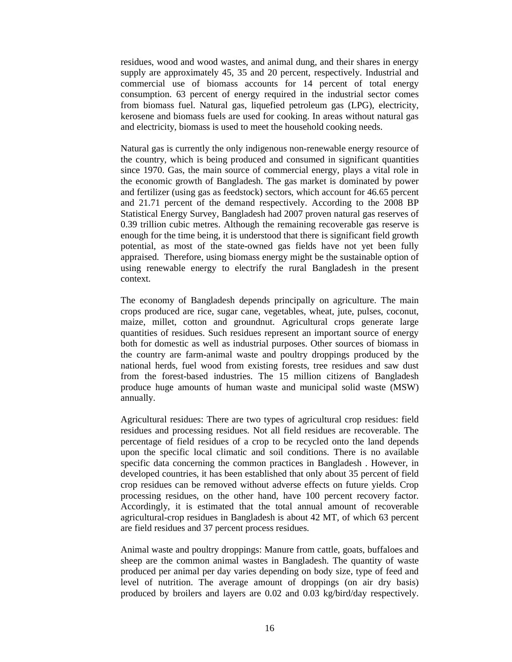residues, wood and wood wastes, and animal dung, and their shares in energy supply are approximately 45, 35 and 20 percent, respectively. Industrial and commercial use of biomass accounts for 14 percent of total energy consumption. 63 percent of energy required in the industrial sector comes from biomass fuel. Natural gas, liquefied petroleum gas (LPG), electricity, kerosene and biomass fuels are used for cooking. In areas without natural gas and electricity, biomass is used to meet the household cooking needs.

Natural gas is currently the only indigenous non-renewable energy resource of the country, which is being produced and consumed in significant quantities since 1970. Gas, the main source of commercial energy, plays a vital role in the economic growth of Bangladesh. The gas market is dominated by power and fertilizer (using gas as feedstock) sectors, which account for 46.65 percent and 21.71 percent of the demand respectively. According to the 2008 BP Statistical Energy Survey, Bangladesh had 2007 proven natural gas reserves of 0.39 trillion cubic metres. Although the remaining recoverable gas reserve is enough for the time being, it is understood that there is significant field growth potential, as most of the state-owned gas fields have not yet been fully appraised. Therefore, using biomass energy might be the sustainable option of using renewable energy to electrify the rural Bangladesh in the present context.

The economy of Bangladesh depends principally on agriculture. The main crops produced are rice, sugar cane, vegetables, wheat, jute, pulses, coconut, maize, millet, cotton and groundnut. Agricultural crops generate large quantities of residues. Such residues represent an important source of energy both for domestic as well as industrial purposes. Other sources of biomass in the country are farm-animal waste and poultry droppings produced by the national herds, fuel wood from existing forests, tree residues and saw dust from the forest-based industries. The 15 million citizens of Bangladesh produce huge amounts of human waste and municipal solid waste (MSW) annually.

Agricultural residues: There are two types of agricultural crop residues: field residues and processing residues. Not all field residues are recoverable. The percentage of field residues of a crop to be recycled onto the land depends upon the specific local climatic and soil conditions. There is no available specific data concerning the common practices in Bangladesh . However, in developed countries, it has been established that only about 35 percent of field crop residues can be removed without adverse effects on future yields. Crop processing residues, on the other hand, have 100 percent recovery factor. Accordingly, it is estimated that the total annual amount of recoverable agricultural-crop residues in Bangladesh is about 42 MT, of which 63 percent are field residues and 37 percent process residues.

Animal waste and poultry droppings: Manure from cattle, goats, buffaloes and sheep are the common animal wastes in Bangladesh. The quantity of waste produced per animal per day varies depending on body size, type of feed and level of nutrition. The average amount of droppings (on air dry basis) produced by broilers and layers are 0.02 and 0.03 kg/bird/day respectively.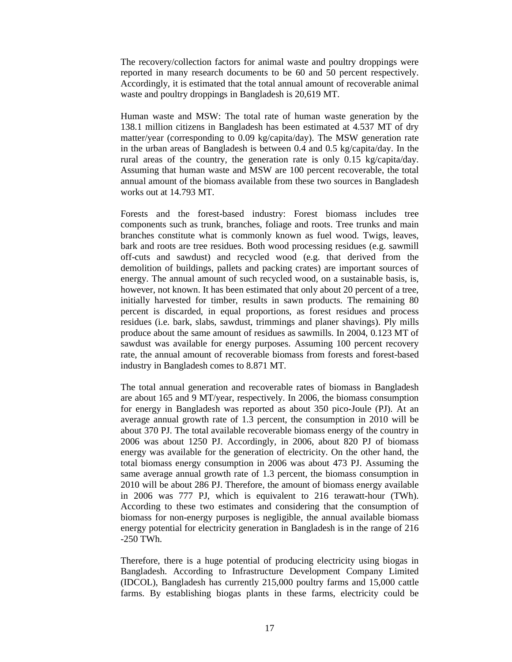The recovery/collection factors for animal waste and poultry droppings were reported in many research documents to be 60 and 50 percent respectively. Accordingly, it is estimated that the total annual amount of recoverable animal waste and poultry droppings in Bangladesh is 20,619 MT.

Human waste and MSW: The total rate of human waste generation by the 138.1 million citizens in Bangladesh has been estimated at 4.537 MT of dry matter/year (corresponding to 0.09 kg/capita/day). The MSW generation rate in the urban areas of Bangladesh is between 0.4 and 0.5 kg/capita/day. In the rural areas of the country, the generation rate is only 0.15 kg/capita/day. Assuming that human waste and MSW are 100 percent recoverable, the total annual amount of the biomass available from these two sources in Bangladesh works out at 14.793 MT.

Forests and the forest-based industry: Forest biomass includes tree components such as trunk, branches, foliage and roots. Tree trunks and main branches constitute what is commonly known as fuel wood. Twigs, leaves, bark and roots are tree residues. Both wood processing residues (e.g. sawmill off-cuts and sawdust) and recycled wood (e.g. that derived from the demolition of buildings, pallets and packing crates) are important sources of energy. The annual amount of such recycled wood, on a sustainable basis, is, however, not known. It has been estimated that only about 20 percent of a tree, initially harvested for timber, results in sawn products. The remaining 80 percent is discarded, in equal proportions, as forest residues and process residues (i.e. bark, slabs, sawdust, trimmings and planer shavings). Ply mills produce about the same amount of residues as sawmills. In 2004, 0.123 MT of sawdust was available for energy purposes. Assuming 100 percent recovery rate, the annual amount of recoverable biomass from forests and forest-based industry in Bangladesh comes to 8.871 MT.

The total annual generation and recoverable rates of biomass in Bangladesh are about 165 and 9 MT/year, respectively. In 2006, the biomass consumption for energy in Bangladesh was reported as about 350 pico-Joule (PJ). At an average annual growth rate of 1.3 percent, the consumption in 2010 will be about 370 PJ. The total available recoverable biomass energy of the country in 2006 was about 1250 PJ. Accordingly, in 2006, about 820 PJ of biomass energy was available for the generation of electricity. On the other hand, the total biomass energy consumption in 2006 was about 473 PJ. Assuming the same average annual growth rate of 1.3 percent, the biomass consumption in 2010 will be about 286 PJ. Therefore, the amount of biomass energy available in 2006 was 777 PJ, which is equivalent to 216 terawatt-hour (TWh). According to these two estimates and considering that the consumption of biomass for non-energy purposes is negligible, the annual available biomass energy potential for electricity generation in Bangladesh is in the range of 216 -250 TWh.

Therefore, there is a huge potential of producing electricity using biogas in Bangladesh. According to Infrastructure Development Company Limited (IDCOL), Bangladesh has currently 215,000 poultry farms and 15,000 cattle farms. By establishing biogas plants in these farms, electricity could be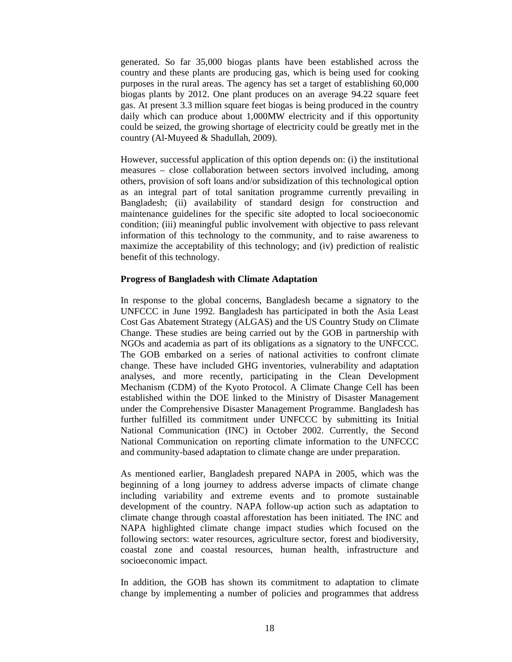generated. So far 35,000 biogas plants have been established across the country and these plants are producing gas, which is being used for cooking purposes in the rural areas. The agency has set a target of establishing 60,000 biogas plants by 2012. One plant produces on an average 94.22 square feet gas. At present 3.3 million square feet biogas is being produced in the country daily which can produce about 1,000MW electricity and if this opportunity could be seized, the growing shortage of electricity could be greatly met in the country (Al-Muyeed & Shadullah, 2009).

However, successful application of this option depends on: (i) the institutional measures – close collaboration between sectors involved including, among others, provision of soft loans and/or subsidization of this technological option as an integral part of total sanitation programme currently prevailing in Bangladesh; (ii) availability of standard design for construction and maintenance guidelines for the specific site adopted to local socioeconomic condition; (iii) meaningful public involvement with objective to pass relevant information of this technology to the community, and to raise awareness to maximize the acceptability of this technology; and (iv) prediction of realistic benefit of this technology.

### **Progress of Bangladesh with Climate Adaptation**

In response to the global concerns, Bangladesh became a signatory to the UNFCCC in June 1992. Bangladesh has participated in both the Asia Least Cost Gas Abatement Strategy (ALGAS) and the US Country Study on Climate Change. These studies are being carried out by the GOB in partnership with NGOs and academia as part of its obligations as a signatory to the UNFCCC. The GOB embarked on a series of national activities to confront climate change. These have included GHG inventories, vulnerability and adaptation analyses, and more recently, participating in the Clean Development Mechanism (CDM) of the Kyoto Protocol. A Climate Change Cell has been established within the DOE linked to the Ministry of Disaster Management under the Comprehensive Disaster Management Programme. Bangladesh has further fulfilled its commitment under UNFCCC by submitting its Initial National Communication (INC) in October 2002. Currently, the Second National Communication on reporting climate information to the UNFCCC and community-based adaptation to climate change are under preparation.

As mentioned earlier, Bangladesh prepared NAPA in 2005, which was the beginning of a long journey to address adverse impacts of climate change including variability and extreme events and to promote sustainable development of the country. NAPA follow-up action such as adaptation to climate change through coastal afforestation has been initiated. The INC and NAPA highlighted climate change impact studies which focused on the following sectors: water resources, agriculture sector, forest and biodiversity, coastal zone and coastal resources, human health, infrastructure and socioeconomic impact.

In addition, the GOB has shown its commitment to adaptation to climate change by implementing a number of policies and programmes that address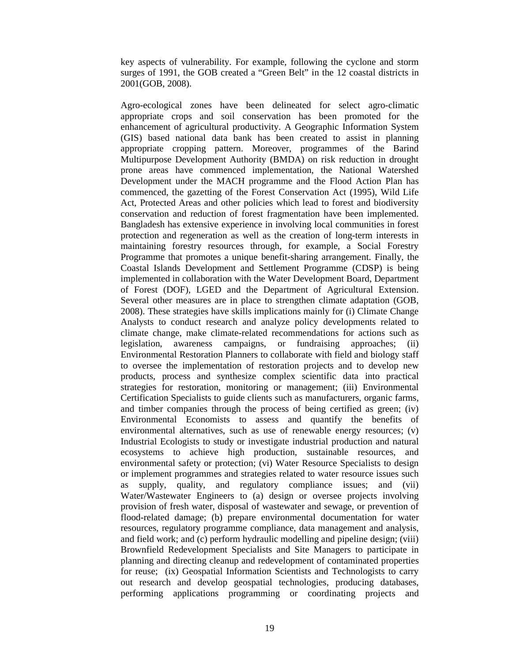key aspects of vulnerability. For example, following the cyclone and storm surges of 1991, the GOB created a "Green Belt" in the 12 coastal districts in 2001(GOB, 2008).

Agro-ecological zones have been delineated for select agro-climatic appropriate crops and soil conservation has been promoted for the enhancement of agricultural productivity. A Geographic Information System (GIS) based national data bank has been created to assist in planning appropriate cropping pattern. Moreover, programmes of the Barind Multipurpose Development Authority (BMDA) on risk reduction in drought prone areas have commenced implementation, the National Watershed Development under the MACH programme and the Flood Action Plan has commenced, the gazetting of the Forest Conservation Act (1995), Wild Life Act, Protected Areas and other policies which lead to forest and biodiversity conservation and reduction of forest fragmentation have been implemented. Bangladesh has extensive experience in involving local communities in forest protection and regeneration as well as the creation of long-term interests in maintaining forestry resources through, for example, a Social Forestry Programme that promotes a unique benefit-sharing arrangement. Finally, the Coastal Islands Development and Settlement Programme (CDSP) is being implemented in collaboration with the Water Development Board, Department of Forest (DOF), LGED and the Department of Agricultural Extension. Several other measures are in place to strengthen climate adaptation (GOB, 2008). These strategies have skills implications mainly for (i) Climate Change Analysts to conduct research and analyze policy developments related to climate change, make climate-related recommendations for actions such as legislation, awareness campaigns, or fundraising approaches; (ii) Environmental Restoration Planners to collaborate with field and biology staff to oversee the implementation of restoration projects and to develop new products, process and synthesize complex scientific data into practical strategies for restoration, monitoring or management; (iii) Environmental Certification Specialists to guide clients such as manufacturers, organic farms, and timber companies through the process of being certified as green; (iv) Environmental Economists to assess and quantify the benefits of environmental alternatives, such as use of renewable energy resources; (v) Industrial Ecologists to study or investigate industrial production and natural ecosystems to achieve high production, sustainable resources, and environmental safety or protection; (vi) Water Resource Specialists to design or implement programmes and strategies related to water resource issues such as supply, quality, and regulatory compliance issues; and (vii) Water/Wastewater Engineers to (a) design or oversee projects involving provision of fresh water, disposal of wastewater and sewage, or prevention of flood-related damage; (b) prepare environmental documentation for water resources, regulatory programme compliance, data management and analysis, and field work; and (c) perform hydraulic modelling and pipeline design; (viii) Brownfield Redevelopment Specialists and Site Managers to participate in planning and directing cleanup and redevelopment of contaminated properties for reuse; (ix) Geospatial Information Scientists and Technologists to carry out research and develop geospatial technologies, producing databases, performing applications programming or coordinating projects and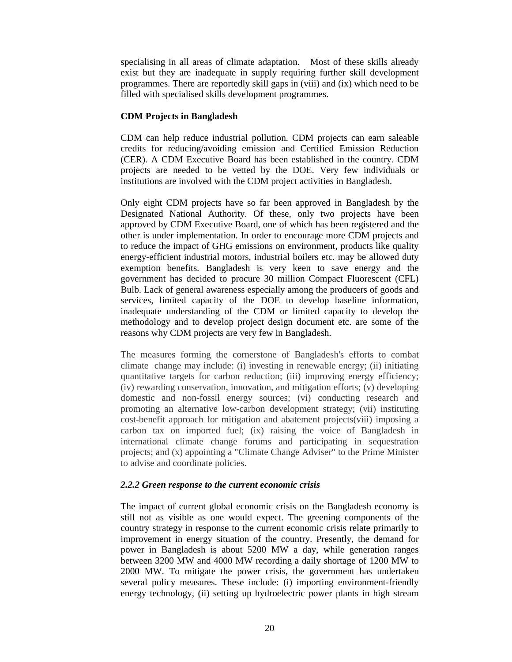specialising in all areas of climate adaptation. Most of these skills already exist but they are inadequate in supply requiring further skill development programmes. There are reportedly skill gaps in (viii) and (ix) which need to be filled with specialised skills development programmes.

## **CDM Projects in Bangladesh**

CDM can help reduce industrial pollution. CDM projects can earn saleable credits for reducing/avoiding emission and Certified Emission Reduction (CER). A CDM Executive Board has been established in the country. CDM projects are needed to be vetted by the DOE. Very few individuals or institutions are involved with the CDM project activities in Bangladesh.

Only eight CDM projects have so far been approved in Bangladesh by the Designated National Authority. Of these, only two projects have been approved by CDM Executive Board, one of which has been registered and the other is under implementation. In order to encourage more CDM projects and to reduce the impact of GHG emissions on environment, products like quality energy-efficient industrial motors, industrial boilers etc. may be allowed duty exemption benefits. Bangladesh is very keen to save energy and the government has decided to procure 30 million Compact Fluorescent (CFL) Bulb. Lack of general awareness especially among the producers of goods and services, limited capacity of the DOE to develop baseline information, inadequate understanding of the CDM or limited capacity to develop the methodology and to develop project design document etc. are some of the reasons why CDM projects are very few in Bangladesh.

The measures forming the cornerstone of Bangladesh's efforts to combat climate change may include: (i) investing in renewable energy; (ii) initiating quantitative targets for carbon reduction; (iii) improving energy efficiency; (iv) rewarding conservation, innovation, and mitigation efforts; (v) developing domestic and non-fossil energy sources; (vi) conducting research and promoting an alternative low-carbon development strategy; (vii) instituting cost-benefit approach for mitigation and abatement projects(viii) imposing a carbon tax on imported fuel; (ix) raising the voice of Bangladesh in international climate change forums and participating in sequestration projects; and (x) appointing a "Climate Change Adviser" to the Prime Minister to advise and coordinate policies.

## *2.2.2 Green response to the current economic crisis*

The impact of current global economic crisis on the Bangladesh economy is still not as visible as one would expect. The greening components of the country strategy in response to the current economic crisis relate primarily to improvement in energy situation of the country. Presently, the demand for power in Bangladesh is about 5200 MW a day, while generation ranges between 3200 MW and 4000 MW recording a daily shortage of 1200 MW to 2000 MW. To mitigate the power crisis, the government has undertaken several policy measures. These include: (i) importing environment-friendly energy technology, (ii) setting up hydroelectric power plants in high stream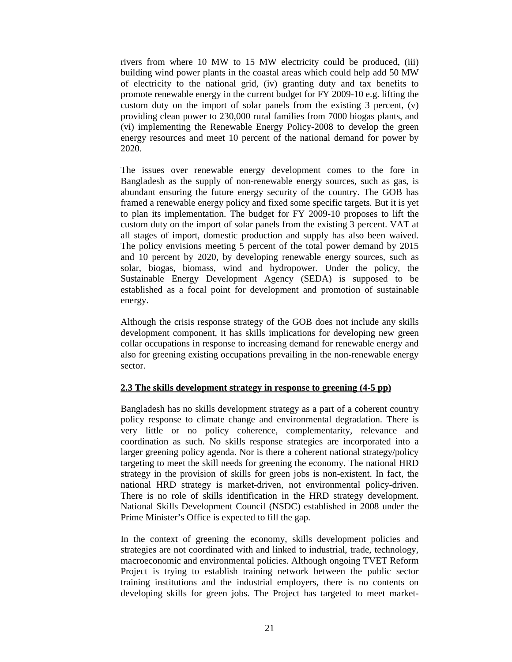rivers from where 10 MW to 15 MW electricity could be produced, (iii) building wind power plants in the coastal areas which could help add 50 MW of electricity to the national grid, (iv) granting duty and tax benefits to promote renewable energy in the current budget for FY 2009-10 e.g. lifting the custom duty on the import of solar panels from the existing 3 percent, (v) providing clean power to 230,000 rural families from 7000 biogas plants, and (vi) implementing the Renewable Energy Policy-2008 to develop the green energy resources and meet 10 percent of the national demand for power by 2020.

The issues over renewable energy development comes to the fore in Bangladesh as the supply of non-renewable energy sources, such as gas, is abundant ensuring the future energy security of the country. The GOB has framed a renewable energy policy and fixed some specific targets. But it is yet to plan its implementation. The budget for FY 2009-10 proposes to lift the custom duty on the import of solar panels from the existing 3 percent. VAT at all stages of import, domestic production and supply has also been waived. The policy envisions meeting 5 percent of the total power demand by 2015 and 10 percent by 2020, by developing renewable energy sources, such as solar, biogas, biomass, wind and hydropower. Under the policy, the Sustainable Energy Development Agency (SEDA) is supposed to be established as a focal point for development and promotion of sustainable energy.

Although the crisis response strategy of the GOB does not include any skills development component, it has skills implications for developing new green collar occupations in response to increasing demand for renewable energy and also for greening existing occupations prevailing in the non-renewable energy sector.

## **2.3 The skills development strategy in response to greening (4-5 pp)**

Bangladesh has no skills development strategy as a part of a coherent country policy response to climate change and environmental degradation. There is very little or no policy coherence, complementarity, relevance and coordination as such. No skills response strategies are incorporated into a larger greening policy agenda. Nor is there a coherent national strategy/policy targeting to meet the skill needs for greening the economy. The national HRD strategy in the provision of skills for green jobs is non-existent. In fact, the national HRD strategy is market-driven, not environmental policy-driven. There is no role of skills identification in the HRD strategy development. National Skills Development Council (NSDC) established in 2008 under the Prime Minister's Office is expected to fill the gap.

In the context of greening the economy, skills development policies and strategies are not coordinated with and linked to industrial, trade, technology, macroeconomic and environmental policies. Although ongoing TVET Reform Project is trying to establish training network between the public sector training institutions and the industrial employers, there is no contents on developing skills for green jobs. The Project has targeted to meet market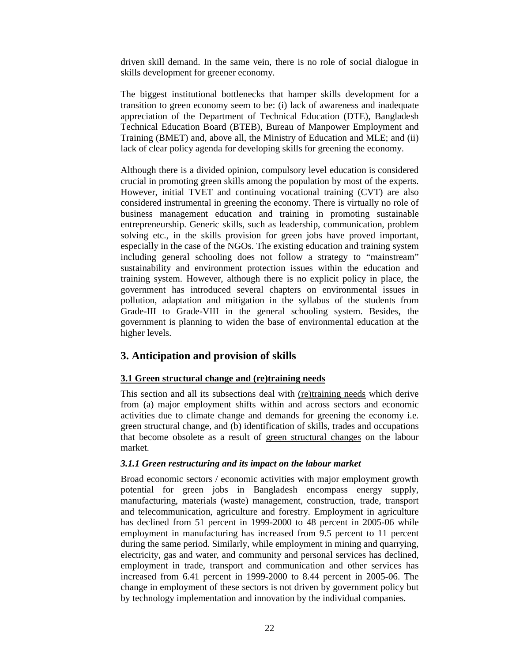driven skill demand. In the same vein, there is no role of social dialogue in skills development for greener economy.

The biggest institutional bottlenecks that hamper skills development for a transition to green economy seem to be: (i) lack of awareness and inadequate appreciation of the Department of Technical Education (DTE), Bangladesh Technical Education Board (BTEB), Bureau of Manpower Employment and Training (BMET) and, above all, the Ministry of Education and MLE; and (ii) lack of clear policy agenda for developing skills for greening the economy.

Although there is a divided opinion, compulsory level education is considered crucial in promoting green skills among the population by most of the experts. However, initial TVET and continuing vocational training (CVT) are also considered instrumental in greening the economy. There is virtually no role of business management education and training in promoting sustainable entrepreneurship. Generic skills, such as leadership, communication, problem solving etc., in the skills provision for green jobs have proved important, especially in the case of the NGOs. The existing education and training system including general schooling does not follow a strategy to "mainstream" sustainability and environment protection issues within the education and training system. However, although there is no explicit policy in place, the government has introduced several chapters on environmental issues in pollution, adaptation and mitigation in the syllabus of the students from Grade-III to Grade-VIII in the general schooling system. Besides, the government is planning to widen the base of environmental education at the higher levels.

# **3. Anticipation and provision of skills**

#### **3.1 Green structural change and (re)training needs**

This section and all its subsections deal with (re)training needs which derive from (a) major employment shifts within and across sectors and economic activities due to climate change and demands for greening the economy i.e. green structural change, and (b) identification of skills, trades and occupations that become obsolete as a result of green structural changes on the labour market.

## *3.1.1 Green restructuring and its impact on the labour market*

Broad economic sectors / economic activities with major employment growth potential for green jobs in Bangladesh encompass energy supply, manufacturing, materials (waste) management, construction, trade, transport and telecommunication, agriculture and forestry. Employment in agriculture has declined from 51 percent in 1999-2000 to 48 percent in 2005-06 while employment in manufacturing has increased from 9.5 percent to 11 percent during the same period. Similarly, while employment in mining and quarrying, electricity, gas and water, and community and personal services has declined, employment in trade, transport and communication and other services has increased from 6.41 percent in 1999-2000 to 8.44 percent in 2005-06. The change in employment of these sectors is not driven by government policy but by technology implementation and innovation by the individual companies.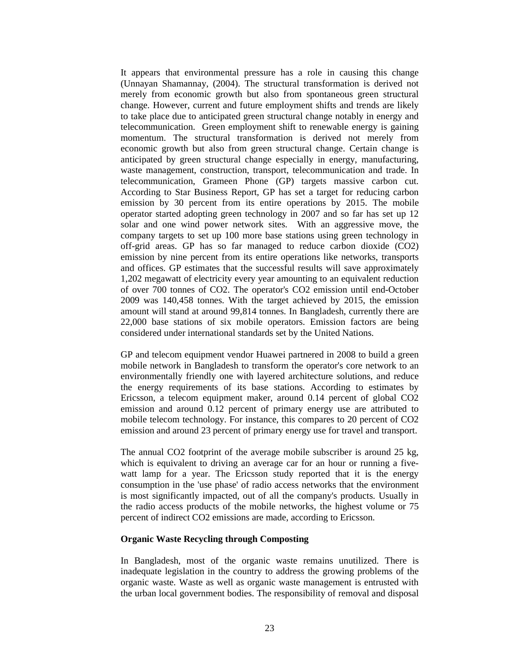It appears that environmental pressure has a role in causing this change (Unnayan Shamannay, (2004). The structural transformation is derived not merely from economic growth but also from spontaneous green structural change. However, current and future employment shifts and trends are likely to take place due to anticipated green structural change notably in energy and telecommunication. Green employment shift to renewable energy is gaining momentum. The structural transformation is derived not merely from economic growth but also from green structural change. Certain change is anticipated by green structural change especially in energy, manufacturing, waste management, construction, transport, telecommunication and trade. In telecommunication, Grameen Phone (GP) targets massive carbon cut. According to Star Business Report, GP has set a target for reducing carbon emission by 30 percent from its entire operations by 2015. The mobile operator started adopting green technology in 2007 and so far has set up 12 solar and one wind power network sites. With an aggressive move, the company targets to set up 100 more base stations using green technology in off-grid areas. GP has so far managed to reduce carbon dioxide (CO2) emission by nine percent from its entire operations like networks, transports and offices. GP estimates that the successful results will save approximately 1,202 megawatt of electricity every year amounting to an equivalent reduction of over 700 tonnes of CO2. The operator's CO2 emission until end-October 2009 was 140,458 tonnes. With the target achieved by 2015, the emission amount will stand at around 99,814 tonnes. In Bangladesh, currently there are 22,000 base stations of six mobile operators. Emission factors are being considered under international standards set by the United Nations.

GP and telecom equipment vendor Huawei partnered in 2008 to build a green mobile network in Bangladesh to transform the operator's core network to an environmentally friendly one with layered architecture solutions, and reduce the energy requirements of its base stations. According to estimates by Ericsson, a telecom equipment maker, around 0.14 percent of global CO2 emission and around 0.12 percent of primary energy use are attributed to mobile telecom technology. For instance, this compares to 20 percent of CO2 emission and around 23 percent of primary energy use for travel and transport.

The annual CO2 footprint of the average mobile subscriber is around 25 kg, which is equivalent to driving an average car for an hour or running a fivewatt lamp for a year. The Ericsson study reported that it is the energy consumption in the 'use phase' of radio access networks that the environment is most significantly impacted, out of all the company's products. Usually in the radio access products of the mobile networks, the highest volume or 75 percent of indirect CO2 emissions are made, according to Ericsson.

#### **Organic Waste Recycling through Composting**

In Bangladesh, most of the organic waste remains unutilized. There is inadequate legislation in the country to address the growing problems of the organic waste. Waste as well as organic waste management is entrusted with the urban local government bodies. The responsibility of removal and disposal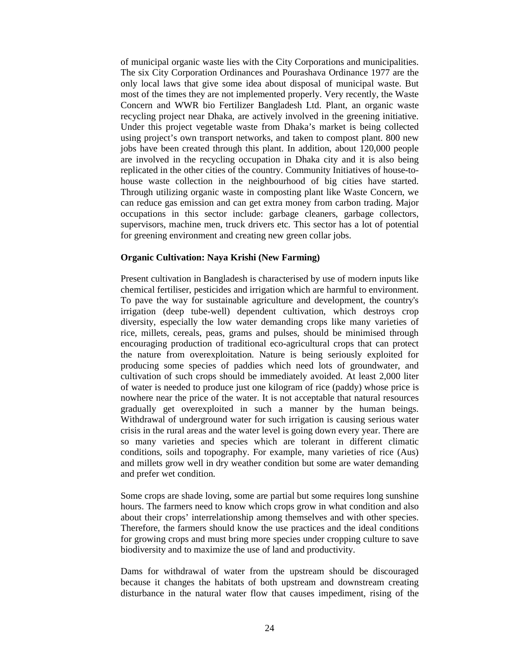of municipal organic waste lies with the City Corporations and municipalities. The six City Corporation Ordinances and Pourashava Ordinance 1977 are the only local laws that give some idea about disposal of municipal waste. But most of the times they are not implemented properly. Very recently, the Waste Concern and WWR bio Fertilizer Bangladesh Ltd. Plant, an organic waste recycling project near Dhaka, are actively involved in the greening initiative. Under this project vegetable waste from Dhaka's market is being collected using project's own transport networks, and taken to compost plant. 800 new jobs have been created through this plant. In addition, about 120,000 people are involved in the recycling occupation in Dhaka city and it is also being replicated in the other cities of the country. Community Initiatives of house-tohouse waste collection in the neighbourhood of big cities have started. Through utilizing organic waste in composting plant like Waste Concern, we can reduce gas emission and can get extra money from carbon trading. Major occupations in this sector include: garbage cleaners, garbage collectors, supervisors, machine men, truck drivers etc. This sector has a lot of potential for greening environment and creating new green collar jobs.

## **Organic Cultivation: Naya Krishi (New Farming)**

Present cultivation in Bangladesh is characterised by use of modern inputs like chemical fertiliser, pesticides and irrigation which are harmful to environment. To pave the way for sustainable agriculture and development, the country's irrigation (deep tube-well) dependent cultivation, which destroys crop diversity, especially the low water demanding crops like many varieties of rice, millets, cereals, peas, grams and pulses, should be minimised through encouraging production of traditional eco-agricultural crops that can protect the nature from overexploitation. Nature is being seriously exploited for producing some species of paddies which need lots of groundwater, and cultivation of such crops should be immediately avoided. At least 2,000 liter of water is needed to produce just one kilogram of rice (paddy) whose price is nowhere near the price of the water. It is not acceptable that natural resources gradually get overexploited in such a manner by the human beings. Withdrawal of underground water for such irrigation is causing serious water crisis in the rural areas and the water level is going down every year. There are so many varieties and species which are tolerant in different climatic conditions, soils and topography. For example, many varieties of rice (Aus) and millets grow well in dry weather condition but some are water demanding and prefer wet condition.

Some crops are shade loving, some are partial but some requires long sunshine hours. The farmers need to know which crops grow in what condition and also about their crops' interrelationship among themselves and with other species. Therefore, the farmers should know the use practices and the ideal conditions for growing crops and must bring more species under cropping culture to save biodiversity and to maximize the use of land and productivity.

Dams for withdrawal of water from the upstream should be discouraged because it changes the habitats of both upstream and downstream creating disturbance in the natural water flow that causes impediment, rising of the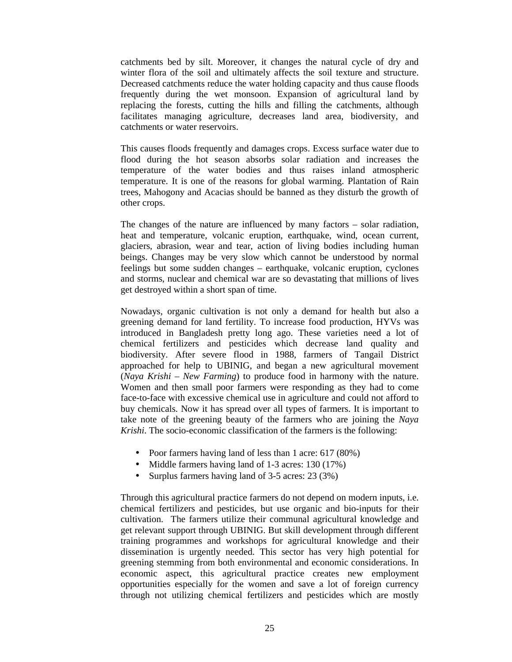catchments bed by silt. Moreover, it changes the natural cycle of dry and winter flora of the soil and ultimately affects the soil texture and structure. Decreased catchments reduce the water holding capacity and thus cause floods frequently during the wet monsoon. Expansion of agricultural land by replacing the forests, cutting the hills and filling the catchments, although facilitates managing agriculture, decreases land area, biodiversity, and catchments or water reservoirs.

This causes floods frequently and damages crops. Excess surface water due to flood during the hot season absorbs solar radiation and increases the temperature of the water bodies and thus raises inland atmospheric temperature. It is one of the reasons for global warming. Plantation of Rain trees, Mahogony and Acacias should be banned as they disturb the growth of other crops.

The changes of the nature are influenced by many factors – solar radiation, heat and temperature, volcanic eruption, earthquake, wind, ocean current, glaciers, abrasion, wear and tear, action of living bodies including human beings. Changes may be very slow which cannot be understood by normal feelings but some sudden changes – earthquake, volcanic eruption, cyclones and storms, nuclear and chemical war are so devastating that millions of lives get destroyed within a short span of time.

Nowadays, organic cultivation is not only a demand for health but also a greening demand for land fertility. To increase food production, HYVs was introduced in Bangladesh pretty long ago. These varieties need a lot of chemical fertilizers and pesticides which decrease land quality and biodiversity. After severe flood in 1988, farmers of Tangail District approached for help to UBINIG, and began a new agricultural movement (*Naya Krishi – New Farming*) to produce food in harmony with the nature. Women and then small poor farmers were responding as they had to come face-to-face with excessive chemical use in agriculture and could not afford to buy chemicals. Now it has spread over all types of farmers. It is important to take note of the greening beauty of the farmers who are joining the *Naya Krishi*. The socio-economic classification of the farmers is the following:

- Poor farmers having land of less than 1 acre: 617 (80%)
- Middle farmers having land of 1-3 acres: 130 (17%)
- Surplus farmers having land of 3-5 acres: 23 (3%)

Through this agricultural practice farmers do not depend on modern inputs, i.e. chemical fertilizers and pesticides, but use organic and bio-inputs for their cultivation. The farmers utilize their communal agricultural knowledge and get relevant support through UBINIG. But skill development through different training programmes and workshops for agricultural knowledge and their dissemination is urgently needed. This sector has very high potential for greening stemming from both environmental and economic considerations. In economic aspect, this agricultural practice creates new employment opportunities especially for the women and save a lot of foreign currency through not utilizing chemical fertilizers and pesticides which are mostly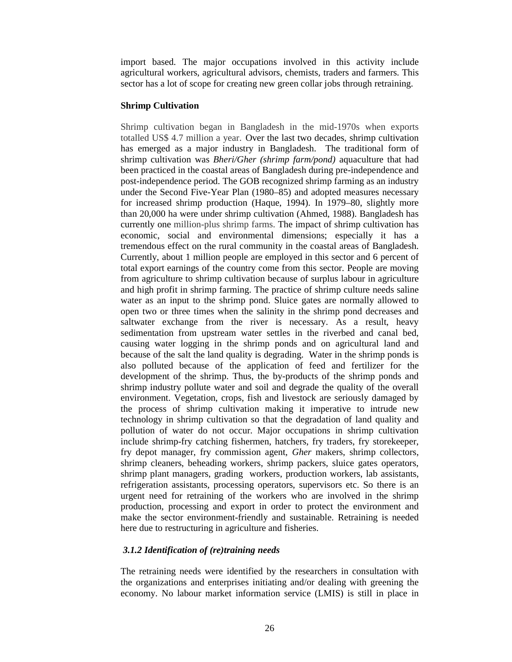import based. The major occupations involved in this activity include agricultural workers, agricultural advisors, chemists, traders and farmers. This sector has a lot of scope for creating new green collar jobs through retraining.

#### **Shrimp Cultivation**

Shrimp cultivation began in Bangladesh in the mid-1970s when exports totalled US\$ 4.7 million a year. Over the last two decades, shrimp cultivation has emerged as a major industry in Bangladesh. The traditional form of shrimp cultivation was *Bheri/Gher (shrimp farm/pond)* aquaculture that had been practiced in the coastal areas of Bangladesh during pre-independence and post-independence period. The GOB recognized shrimp farming as an industry under the Second Five-Year Plan (1980–85) and adopted measures necessary for increased shrimp production (Haque, 1994). In 1979–80, slightly more than 20,000 ha were under shrimp cultivation (Ahmed, 1988). Bangladesh has currently one million-plus shrimp farms. The impact of shrimp cultivation has economic, social and environmental dimensions; especially it has a tremendous effect on the rural community in the coastal areas of Bangladesh. Currently, about 1 million people are employed in this sector and 6 percent of total export earnings of the country come from this sector. People are moving from agriculture to shrimp cultivation because of surplus labour in agriculture and high profit in shrimp farming. The practice of shrimp culture needs saline water as an input to the shrimp pond. Sluice gates are normally allowed to open two or three times when the salinity in the shrimp pond decreases and saltwater exchange from the river is necessary. As a result, heavy sedimentation from upstream water settles in the riverbed and canal bed, causing water logging in the shrimp ponds and on agricultural land and because of the salt the land quality is degrading. Water in the shrimp ponds is also polluted because of the application of feed and fertilizer for the development of the shrimp. Thus, the by-products of the shrimp ponds and shrimp industry pollute water and soil and degrade the quality of the overall environment. Vegetation, crops, fish and livestock are seriously damaged by the process of shrimp cultivation making it imperative to intrude new technology in shrimp cultivation so that the degradation of land quality and pollution of water do not occur. Major occupations in shrimp cultivation include shrimp-fry catching fishermen, hatchers, fry traders, fry storekeeper, fry depot manager, fry commission agent, *Gher* makers, shrimp collectors, shrimp cleaners, beheading workers, shrimp packers, sluice gates operators, shrimp plant managers, grading workers, production workers, lab assistants, refrigeration assistants, processing operators, supervisors etc. So there is an urgent need for retraining of the workers who are involved in the shrimp production, processing and export in order to protect the environment and make the sector environment-friendly and sustainable. Retraining is needed here due to restructuring in agriculture and fisheries.

## *3.1.2 Identification of (re)training needs*

The retraining needs were identified by the researchers in consultation with the organizations and enterprises initiating and/or dealing with greening the economy. No labour market information service (LMIS) is still in place in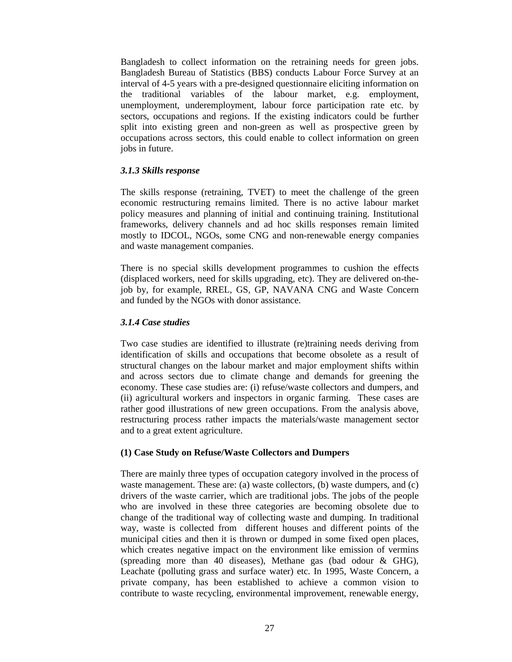Bangladesh to collect information on the retraining needs for green jobs. Bangladesh Bureau of Statistics (BBS) conducts Labour Force Survey at an interval of 4-5 years with a pre-designed questionnaire eliciting information on the traditional variables of the labour market, e.g. employment, unemployment, underemployment, labour force participation rate etc. by sectors, occupations and regions. If the existing indicators could be further split into existing green and non-green as well as prospective green by occupations across sectors, this could enable to collect information on green jobs in future.

### *3.1.3 Skills response*

The skills response (retraining, TVET) to meet the challenge of the green economic restructuring remains limited. There is no active labour market policy measures and planning of initial and continuing training. Institutional frameworks, delivery channels and ad hoc skills responses remain limited mostly to IDCOL, NGOs, some CNG and non-renewable energy companies and waste management companies.

There is no special skills development programmes to cushion the effects (displaced workers, need for skills upgrading, etc). They are delivered on-thejob by, for example, RREL, GS, GP, NAVANA CNG and Waste Concern and funded by the NGOs with donor assistance.

### *3.1.4 Case studies*

Two case studies are identified to illustrate (re)training needs deriving from identification of skills and occupations that become obsolete as a result of structural changes on the labour market and major employment shifts within and across sectors due to climate change and demands for greening the economy. These case studies are: (i) refuse/waste collectors and dumpers, and (ii) agricultural workers and inspectors in organic farming. These cases are rather good illustrations of new green occupations. From the analysis above, restructuring process rather impacts the materials/waste management sector and to a great extent agriculture.

#### **(1) Case Study on Refuse/Waste Collectors and Dumpers**

There are mainly three types of occupation category involved in the process of waste management. These are: (a) waste collectors, (b) waste dumpers, and (c) drivers of the waste carrier, which are traditional jobs. The jobs of the people who are involved in these three categories are becoming obsolete due to change of the traditional way of collecting waste and dumping. In traditional way, waste is collected from different houses and different points of the municipal cities and then it is thrown or dumped in some fixed open places, which creates negative impact on the environment like emission of vermins (spreading more than 40 diseases), Methane gas (bad odour & GHG), Leachate (polluting grass and surface water) etc. In 1995, Waste Concern, a private company, has been established to achieve a common vision to contribute to waste recycling, environmental improvement, renewable energy,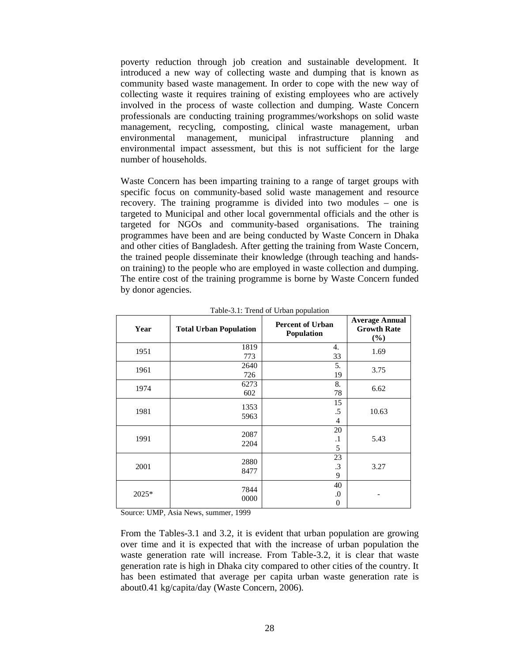poverty reduction through job creation and sustainable development. It introduced a new way of collecting waste and dumping that is known as community based waste management. In order to cope with the new way of collecting waste it requires training of existing employees who are actively involved in the process of waste collection and dumping. Waste Concern professionals are conducting training programmes/workshops on solid waste management, recycling, composting, clinical waste management, urban environmental management, municipal infrastructure planning and environmental impact assessment, but this is not sufficient for the large number of households.

Waste Concern has been imparting training to a range of target groups with specific focus on community-based solid waste management and resource recovery. The training programme is divided into two modules – one is targeted to Municipal and other local governmental officials and the other is targeted for NGOs and community-based organisations. The training programmes have been and are being conducted by Waste Concern in Dhaka and other cities of Bangladesh. After getting the training from Waste Concern, the trained people disseminate their knowledge (through teaching and handson training) to the people who are employed in waste collection and dumping. The entire cost of the training programme is borne by Waste Concern funded by donor agencies.

| Year  | <b>Total Urban Population</b> | <b>Percent of Urban</b><br>Population | <b>Average Annual</b><br><b>Growth Rate</b><br>$(\%)$ |
|-------|-------------------------------|---------------------------------------|-------------------------------------------------------|
| 1951  | 1819<br>773                   | 4.<br>33                              | 1.69                                                  |
| 1961  | 2640<br>726                   | 5.<br>19                              | 3.75                                                  |
| 1974  | 6273<br>602                   | 8.<br>78                              | 6.62                                                  |
| 1981  | 1353<br>5963                  | 15<br>.5<br>4                         | 10.63                                                 |
| 1991  | 2087<br>2204                  | 20<br>$\cdot$<br>5                    | 5.43                                                  |
| 2001  | 2880<br>8477                  | 23<br>.3<br>9                         | 3.27                                                  |
| 2025* | 7844<br>0000                  | 40<br>$\boldsymbol{0}$<br>0           |                                                       |

Table-3.1: Trend of Urban population

Source: UMP, Asia News, summer, 1999

From the Tables-3.1 and 3.2, it is evident that urban population are growing over time and it is expected that with the increase of urban population the waste generation rate will increase. From Table-3.2, it is clear that waste generation rate is high in Dhaka city compared to other cities of the country. It has been estimated that average per capita urban waste generation rate is about0.41 kg/capita/day (Waste Concern, 2006).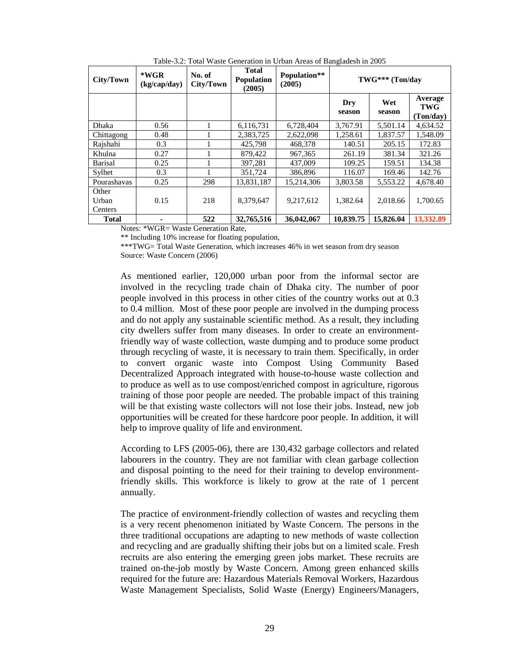| City/Town                 | *WGR<br>(kg/cap/day) | No. of<br>City/Town | <b>Total</b><br><b>Population</b><br>(2005) | Population**<br>(2005) | TWG*** (Ton/day |               |                                    |
|---------------------------|----------------------|---------------------|---------------------------------------------|------------------------|-----------------|---------------|------------------------------------|
|                           |                      |                     |                                             |                        | Dry<br>season   | Wet<br>season | Average<br><b>TWG</b><br>(Ton/day) |
| Dhaka                     | 0.56                 | 1                   | 6,116,731                                   | 6.728.404              | 3.767.91        | 5.501.14      | 4.634.52                           |
| Chittagong                | 0.48                 |                     | 2,383,725                                   | 2,622,098              | 1,258.61        | 1,837.57      | 1,548.09                           |
| Rajshahi                  | 0.3                  |                     | 425,798                                     | 468.378                | 140.51          | 205.15        | 172.83                             |
| Khulna                    | 0.27                 |                     | 879,422                                     | 967, 365               | 261.19          | 381.34        | 321.26                             |
| <b>Barisal</b>            | 0.25                 |                     | 397.281                                     | 437,009                | 109.25          | 159.51        | 134.38                             |
| Sylhet                    | 0.3                  |                     | 351.724                                     | 386,896                | 116.07          | 169.46        | 142.76                             |
| Pourashavas               | 0.25                 | 298                 | 13.831.187                                  | 15.214.306             | 3.803.58        | 5.553.22      | 4,678.40                           |
| Other<br>Urban<br>Centers | 0.15                 | 218                 | 8,379,647                                   | 9,217,612              | 1,382.64        | 2,018.66      | 1,700.65                           |
| <b>Total</b>              | -                    | 522                 | 32,765,516                                  | 36,042,067             | 10,839.75       | 15,826.04     | 13,332.89                          |

Table-3.2: Total Waste Generation in Urban Areas of Bangladesh in 2005

Notes: \*WGR= Waste Generation Rate,

\*\* Including 10% increase for floating population,

\*\*\*TWG= Total Waste Generation, which increases 46% in wet season from dry season Source: Waste Concern (2006)

As mentioned earlier, 120,000 urban poor from the informal sector are involved in the recycling trade chain of Dhaka city. The number of poor people involved in this process in other cities of the country works out at 0.3 to 0.4 million. Most of these poor people are involved in the dumping process and do not apply any sustainable scientific method. As a result, they including city dwellers suffer from many diseases. In order to create an environmentfriendly way of waste collection, waste dumping and to produce some product through recycling of waste, it is necessary to train them. Specifically, in order to convert organic waste into Compost Using Community Based Decentralized Approach integrated with house-to-house waste collection and to produce as well as to use compost/enriched compost in agriculture, rigorous training of those poor people are needed. The probable impact of this training will be that existing waste collectors will not lose their jobs. Instead, new job opportunities will be created for these hardcore poor people. In addition, it will help to improve quality of life and environment.

According to LFS (2005-06), there are 130,432 garbage collectors and related labourers in the country. They are not familiar with clean garbage collection and disposal pointing to the need for their training to develop environmentfriendly skills. This workforce is likely to grow at the rate of 1 percent annually.

The practice of environment-friendly collection of wastes and recycling them is a very recent phenomenon initiated by Waste Concern. The persons in the three traditional occupations are adapting to new methods of waste collection and recycling and are gradually shifting their jobs but on a limited scale. Fresh recruits are also entering the emerging green jobs market. These recruits are trained on-the-job mostly by Waste Concern. Among green enhanced skills required for the future are: Hazardous Materials Removal Workers, Hazardous Waste Management Specialists, Solid Waste (Energy) Engineers/Managers,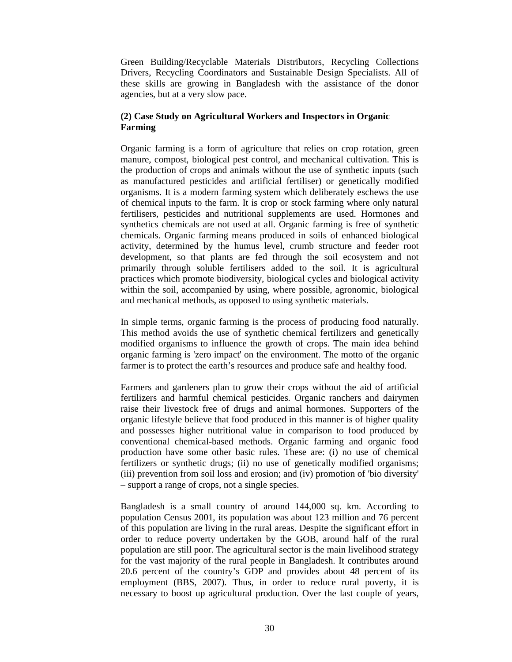Green Building/Recyclable Materials Distributors, Recycling Collections Drivers, Recycling Coordinators and Sustainable Design Specialists. All of these skills are growing in Bangladesh with the assistance of the donor agencies, but at a very slow pace.

## **(2) Case Study on Agricultural Workers and Inspectors in Organic Farming**

Organic farming is a form of agriculture that relies on crop rotation, green manure, compost, biological pest control, and mechanical cultivation. This is the production of crops and animals without the use of synthetic inputs (such as manufactured pesticides and artificial fertiliser) or genetically modified organisms. It is a modern farming system which deliberately eschews the use of chemical inputs to the farm. It is crop or stock farming where only natural fertilisers, pesticides and nutritional supplements are used. Hormones and synthetics chemicals are not used at all. Organic farming is free of synthetic chemicals. Organic farming means produced in soils of enhanced biological activity, determined by the humus level, crumb structure and feeder root development, so that plants are fed through the soil ecosystem and not primarily through soluble fertilisers added to the soil. It is agricultural practices which promote biodiversity, biological cycles and biological activity within the soil, accompanied by using, where possible, agronomic, biological and mechanical methods, as opposed to using synthetic materials.

In simple terms, organic farming is the process of producing food naturally. This method avoids the use of synthetic chemical fertilizers and genetically modified organisms to influence the growth of crops. The main idea behind organic farming is 'zero impact' on the environment. The motto of the organic farmer is to protect the earth's resources and produce safe and healthy food.

Farmers and gardeners plan to grow their crops without the aid of artificial fertilizers and harmful chemical pesticides. Organic ranchers and dairymen raise their livestock free of drugs and animal hormones. Supporters of the organic lifestyle believe that food produced in this manner is of higher quality and possesses higher nutritional value in comparison to food produced by conventional chemical-based methods. Organic farming and organic food production have some other basic rules. These are: (i) no use of chemical fertilizers or synthetic drugs; (ii) no use of genetically modified organisms; (iii) prevention from soil loss and erosion; and (iv) promotion of 'bio diversity' – support a range of crops, not a single species.

Bangladesh is a small country of around 144,000 sq. km. According to population Census 2001, its population was about 123 million and 76 percent of this population are living in the rural areas. Despite the significant effort in order to reduce poverty undertaken by the GOB, around half of the rural population are still poor. The agricultural sector is the main livelihood strategy for the vast majority of the rural people in Bangladesh. It contributes around 20.6 percent of the country's GDP and provides about 48 percent of its employment (BBS, 2007). Thus, in order to reduce rural poverty, it is necessary to boost up agricultural production. Over the last couple of years,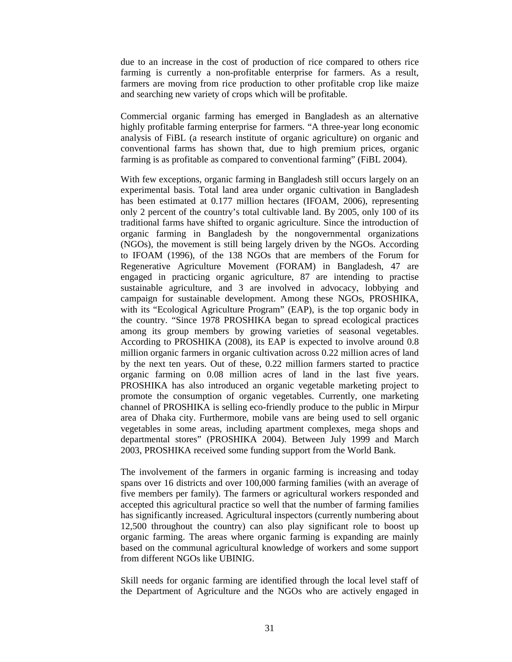due to an increase in the cost of production of rice compared to others rice farming is currently a non-profitable enterprise for farmers. As a result, farmers are moving from rice production to other profitable crop like maize and searching new variety of crops which will be profitable.

Commercial organic farming has emerged in Bangladesh as an alternative highly profitable farming enterprise for farmers. "A three-year long economic analysis of FiBL (a research institute of organic agriculture) on organic and conventional farms has shown that, due to high premium prices, organic farming is as profitable as compared to conventional farming" (FiBL 2004).

With few exceptions, organic farming in Bangladesh still occurs largely on an experimental basis. Total land area under organic cultivation in Bangladesh has been estimated at 0.177 million hectares (IFOAM, 2006), representing only 2 percent of the country's total cultivable land. By 2005, only 100 of its traditional farms have shifted to organic agriculture. Since the introduction of organic farming in Bangladesh by the nongovernmental organizations (NGOs), the movement is still being largely driven by the NGOs. According to IFOAM (1996), of the 138 NGOs that are members of the Forum for Regenerative Agriculture Movement (FORAM) in Bangladesh, 47 are engaged in practicing organic agriculture, 87 are intending to practise sustainable agriculture, and 3 are involved in advocacy, lobbying and campaign for sustainable development. Among these NGOs, PROSHIKA, with its "Ecological Agriculture Program" (EAP), is the top organic body in the country. "Since 1978 PROSHIKA began to spread ecological practices among its group members by growing varieties of seasonal vegetables. According to PROSHIKA (2008), its EAP is expected to involve around 0.8 million organic farmers in organic cultivation across 0.22 million acres of land by the next ten years. Out of these, 0.22 million farmers started to practice organic farming on 0.08 million acres of land in the last five years. PROSHIKA has also introduced an organic vegetable marketing project to promote the consumption of organic vegetables. Currently, one marketing channel of PROSHIKA is selling eco-friendly produce to the public in Mirpur area of Dhaka city. Furthermore, mobile vans are being used to sell organic vegetables in some areas, including apartment complexes, mega shops and departmental stores" (PROSHIKA 2004). Between July 1999 and March 2003, PROSHIKA received some funding support from the World Bank.

The involvement of the farmers in organic farming is increasing and today spans over 16 districts and over 100,000 farming families (with an average of five members per family). The farmers or agricultural workers responded and accepted this agricultural practice so well that the number of farming families has significantly increased. Agricultural inspectors (currently numbering about 12,500 throughout the country) can also play significant role to boost up organic farming. The areas where organic farming is expanding are mainly based on the communal agricultural knowledge of workers and some support from different NGOs like UBINIG.

Skill needs for organic farming are identified through the local level staff of the Department of Agriculture and the NGOs who are actively engaged in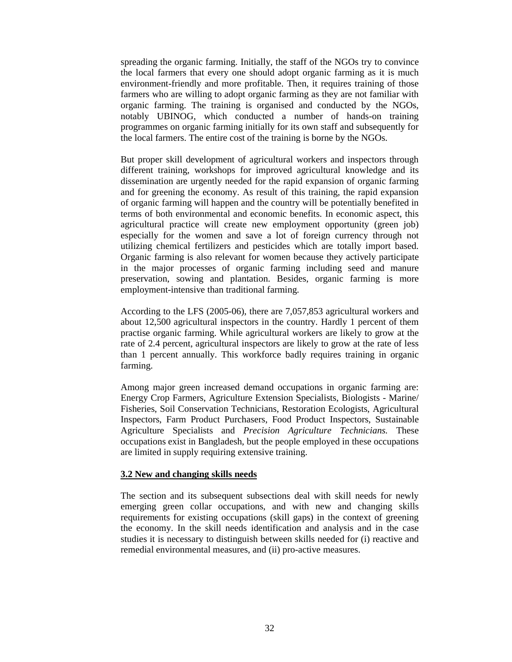spreading the organic farming. Initially, the staff of the NGOs try to convince the local farmers that every one should adopt organic farming as it is much environment-friendly and more profitable. Then, it requires training of those farmers who are willing to adopt organic farming as they are not familiar with organic farming. The training is organised and conducted by the NGOs, notably UBINOG, which conducted a number of hands-on training programmes on organic farming initially for its own staff and subsequently for the local farmers. The entire cost of the training is borne by the NGOs.

But proper skill development of agricultural workers and inspectors through different training, workshops for improved agricultural knowledge and its dissemination are urgently needed for the rapid expansion of organic farming and for greening the economy. As result of this training, the rapid expansion of organic farming will happen and the country will be potentially benefited in terms of both environmental and economic benefits. In economic aspect, this agricultural practice will create new employment opportunity (green job) especially for the women and save a lot of foreign currency through not utilizing chemical fertilizers and pesticides which are totally import based. Organic farming is also relevant for women because they actively participate in the major processes of organic farming including seed and manure preservation, sowing and plantation. Besides, organic farming is more employment-intensive than traditional farming.

According to the LFS (2005-06), there are 7,057,853 agricultural workers and about 12,500 agricultural inspectors in the country. Hardly 1 percent of them practise organic farming. While agricultural workers are likely to grow at the rate of 2.4 percent, agricultural inspectors are likely to grow at the rate of less than 1 percent annually. This workforce badly requires training in organic farming.

Among major green increased demand occupations in organic farming are: Energy Crop Farmers, Agriculture Extension Specialists, Biologists - Marine/ Fisheries, Soil Conservation Technicians, Restoration Ecologists, Agricultural Inspectors, Farm Product Purchasers, Food Product Inspectors, Sustainable Agriculture Specialists and *Precision Agriculture Technicians.* These occupations exist in Bangladesh, but the people employed in these occupations are limited in supply requiring extensive training.

### **3.2 New and changing skills needs**

The section and its subsequent subsections deal with skill needs for newly emerging green collar occupations, and with new and changing skills requirements for existing occupations (skill gaps) in the context of greening the economy. In the skill needs identification and analysis and in the case studies it is necessary to distinguish between skills needed for (i) reactive and remedial environmental measures, and (ii) pro-active measures.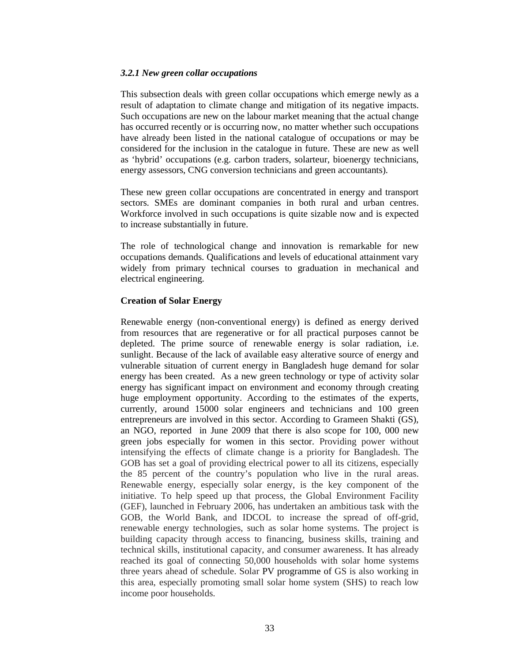### *3.2.1 New green collar occupations*

This subsection deals with green collar occupations which emerge newly as a result of adaptation to climate change and mitigation of its negative impacts. Such occupations are new on the labour market meaning that the actual change has occurred recently or is occurring now, no matter whether such occupations have already been listed in the national catalogue of occupations or may be considered for the inclusion in the catalogue in future. These are new as well as 'hybrid' occupations (e.g. carbon traders, solarteur, bioenergy technicians, energy assessors, CNG conversion technicians and green accountants).

These new green collar occupations are concentrated in energy and transport sectors. SMEs are dominant companies in both rural and urban centres. Workforce involved in such occupations is quite sizable now and is expected to increase substantially in future.

The role of technological change and innovation is remarkable for new occupations demands. Qualifications and levels of educational attainment vary widely from primary technical courses to graduation in mechanical and electrical engineering.

# **Creation of Solar Energy**

Renewable energy (non-conventional energy) is defined as energy derived from resources that are regenerative or for all practical purposes cannot be depleted. The prime source of renewable energy is solar radiation, i.e. sunlight. Because of the lack of available easy alterative source of energy and vulnerable situation of current energy in Bangladesh huge demand for solar energy has been created. As a new green technology or type of activity solar energy has significant impact on environment and economy through creating huge employment opportunity. According to the estimates of the experts, currently, around 15000 solar engineers and technicians and 100 green entrepreneurs are involved in this sector. According to Grameen Shakti (GS), an NGO, reported in June 2009 that there is also scope for 100, 000 new green jobs especially for women in this sector. Providing power without intensifying the effects of climate change is a priority for Bangladesh. The GOB has set a goal of providing electrical power to all its citizens, especially the 85 percent of the country's population who live in the rural areas. Renewable energy, especially solar energy, is the key component of the initiative. To help speed up that process, the Global Environment Facility (GEF), launched in February 2006, has undertaken an ambitious task with the GOB, the World Bank, and IDCOL to increase the spread of off-grid, renewable energy technologies, such as solar home systems. The project is building capacity through access to financing, business skills, training and technical skills, institutional capacity, and consumer awareness. It has already reached its goal of connecting 50,000 households with solar home systems three years ahead of schedule. Solar PV programme of GS is also working in this area, especially promoting small solar home system (SHS) to reach low income poor households.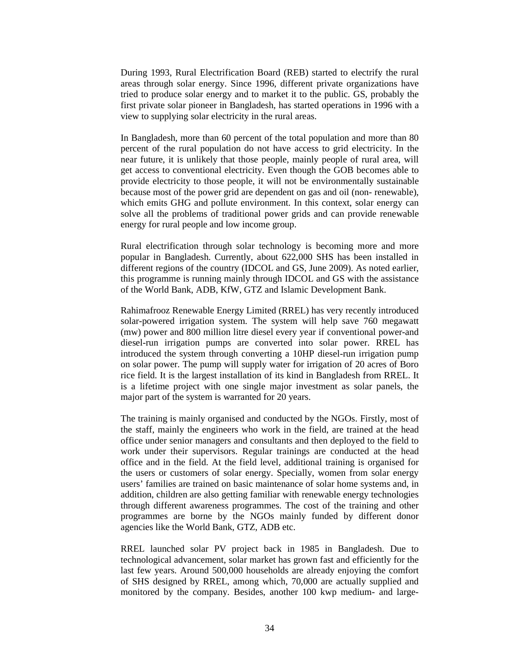During 1993, Rural Electrification Board (REB) started to electrify the rural areas through solar energy. Since 1996, different private organizations have tried to produce solar energy and to market it to the public. GS, probably the first private solar pioneer in Bangladesh, has started operations in 1996 with a view to supplying solar electricity in the rural areas.

In Bangladesh, more than 60 percent of the total population and more than 80 percent of the rural population do not have access to grid electricity. In the near future, it is unlikely that those people, mainly people of rural area, will get access to conventional electricity. Even though the GOB becomes able to provide electricity to those people, it will not be environmentally sustainable because most of the power grid are dependent on gas and oil (non- renewable), which emits GHG and pollute environment. In this context, solar energy can solve all the problems of traditional power grids and can provide renewable energy for rural people and low income group.

Rural electrification through solar technology is becoming more and more popular in Bangladesh. Currently, about 622,000 SHS has been installed in different regions of the country (IDCOL and GS, June 2009). As noted earlier, this programme is running mainly through IDCOL and GS with the assistance of the World Bank, ADB, KfW, GTZ and Islamic Development Bank.

Rahimafrooz Renewable Energy Limited (RREL) has very recently introduced solar-powered irrigation system. The system will help save 760 megawatt (mw) power and 800 million litre diesel every year if conventional power-and diesel-run irrigation pumps are converted into solar power. RREL has introduced the system through converting a 10HP diesel-run irrigation pump on solar power. The pump will supply water for irrigation of 20 acres of Boro rice field. It is the largest installation of its kind in Bangladesh from RREL. It is a lifetime project with one single major investment as solar panels, the major part of the system is warranted for 20 years.

The training is mainly organised and conducted by the NGOs. Firstly, most of the staff, mainly the engineers who work in the field, are trained at the head office under senior managers and consultants and then deployed to the field to work under their supervisors. Regular trainings are conducted at the head office and in the field. At the field level, additional training is organised for the users or customers of solar energy. Specially, women from solar energy users' families are trained on basic maintenance of solar home systems and, in addition, children are also getting familiar with renewable energy technologies through different awareness programmes. The cost of the training and other programmes are borne by the NGOs mainly funded by different donor agencies like the World Bank, GTZ, ADB etc.

RREL launched solar PV project back in 1985 in Bangladesh. Due to technological advancement, solar market has grown fast and efficiently for the last few years. Around 500,000 households are already enjoying the comfort of SHS designed by RREL, among which, 70,000 are actually supplied and monitored by the company. Besides, another 100 kwp medium- and large-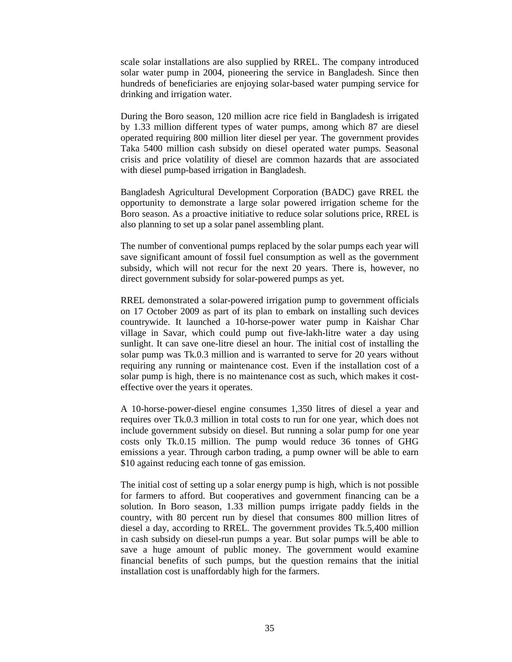scale solar installations are also supplied by RREL. The company introduced solar water pump in 2004, pioneering the service in Bangladesh. Since then hundreds of beneficiaries are enjoying solar-based water pumping service for drinking and irrigation water.

During the Boro season, 120 million acre rice field in Bangladesh is irrigated by 1.33 million different types of water pumps, among which 87 are diesel operated requiring 800 million liter diesel per year. The government provides Taka 5400 million cash subsidy on diesel operated water pumps. Seasonal crisis and price volatility of diesel are common hazards that are associated with diesel pump-based irrigation in Bangladesh.

Bangladesh Agricultural Development Corporation (BADC) gave RREL the opportunity to demonstrate a large solar powered irrigation scheme for the Boro season. As a proactive initiative to reduce solar solutions price, RREL is also planning to set up a solar panel assembling plant.

The number of conventional pumps replaced by the solar pumps each year will save significant amount of fossil fuel consumption as well as the government subsidy, which will not recur for the next 20 years. There is, however, no direct government subsidy for solar-powered pumps as yet.

RREL demonstrated a solar-powered irrigation pump to government officials on 17 October 2009 as part of its plan to embark on installing such devices countrywide. It launched a 10-horse-power water pump in Kaishar Char village in Savar, which could pump out five-lakh-litre water a day using sunlight. It can save one-litre diesel an hour. The initial cost of installing the solar pump was Tk.0.3 million and is warranted to serve for 20 years without requiring any running or maintenance cost. Even if the installation cost of a solar pump is high, there is no maintenance cost as such, which makes it costeffective over the years it operates.

A 10-horse-power-diesel engine consumes 1,350 litres of diesel a year and requires over Tk.0.3 million in total costs to run for one year, which does not include government subsidy on diesel. But running a solar pump for one year costs only Tk.0.15 million. The pump would reduce 36 tonnes of GHG emissions a year. Through carbon trading, a pump owner will be able to earn \$10 against reducing each tonne of gas emission.

The initial cost of setting up a solar energy pump is high, which is not possible for farmers to afford. But cooperatives and government financing can be a solution. In Boro season, 1.33 million pumps irrigate paddy fields in the country, with 80 percent run by diesel that consumes 800 million litres of diesel a day, according to RREL. The government provides Tk.5,400 million in cash subsidy on diesel-run pumps a year. But solar pumps will be able to save a huge amount of public money. The government would examine financial benefits of such pumps, but the question remains that the initial installation cost is unaffordably high for the farmers.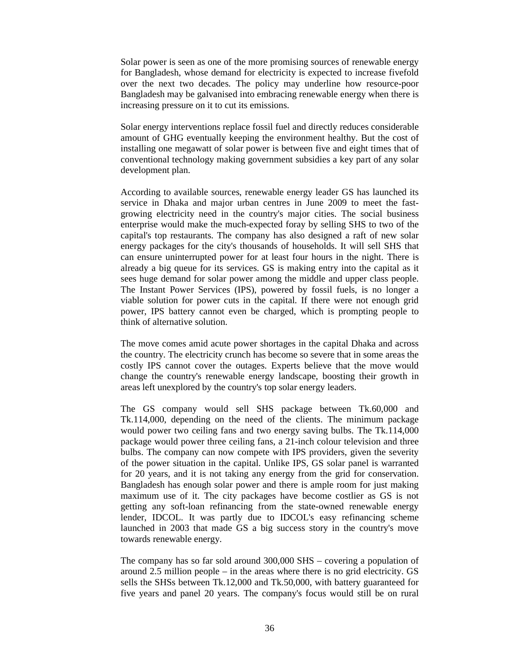Solar power is seen as one of the more promising sources of renewable energy for Bangladesh, whose demand for electricity is expected to increase fivefold over the next two decades. The policy may underline how resource-poor Bangladesh may be galvanised into embracing renewable energy when there is increasing pressure on it to cut its emissions.

Solar energy interventions replace fossil fuel and directly reduces considerable amount of GHG eventually keeping the environment healthy. But the cost of installing one megawatt of solar power is between five and eight times that of conventional technology making government subsidies a key part of any solar development plan.

According to available sources, renewable energy leader GS has launched its service in Dhaka and major urban centres in June 2009 to meet the fastgrowing electricity need in the country's major cities. The social business enterprise would make the much-expected foray by selling SHS to two of the capital's top restaurants. The company has also designed a raft of new solar energy packages for the city's thousands of households. It will sell SHS that can ensure uninterrupted power for at least four hours in the night. There is already a big queue for its services. GS is making entry into the capital as it sees huge demand for solar power among the middle and upper class people. The Instant Power Services (IPS), powered by fossil fuels, is no longer a viable solution for power cuts in the capital. If there were not enough grid power, IPS battery cannot even be charged, which is prompting people to think of alternative solution.

The move comes amid acute power shortages in the capital Dhaka and across the country. The electricity crunch has become so severe that in some areas the costly IPS cannot cover the outages. Experts believe that the move would change the country's renewable energy landscape, boosting their growth in areas left unexplored by the country's top solar energy leaders.

The GS company would sell SHS package between Tk.60,000 and Tk.114,000, depending on the need of the clients. The minimum package would power two ceiling fans and two energy saving bulbs. The Tk.114,000 package would power three ceiling fans, a 21-inch colour television and three bulbs. The company can now compete with IPS providers, given the severity of the power situation in the capital. Unlike IPS, GS solar panel is warranted for 20 years, and it is not taking any energy from the grid for conservation. Bangladesh has enough solar power and there is ample room for just making maximum use of it. The city packages have become costlier as GS is not getting any soft-loan refinancing from the state-owned renewable energy lender, IDCOL. It was partly due to IDCOL's easy refinancing scheme launched in 2003 that made GS a big success story in the country's move towards renewable energy.

The company has so far sold around 300,000 SHS – covering a population of around 2.5 million people – in the areas where there is no grid electricity. GS sells the SHSs between Tk.12,000 and Tk.50,000, with battery guaranteed for five years and panel 20 years. The company's focus would still be on rural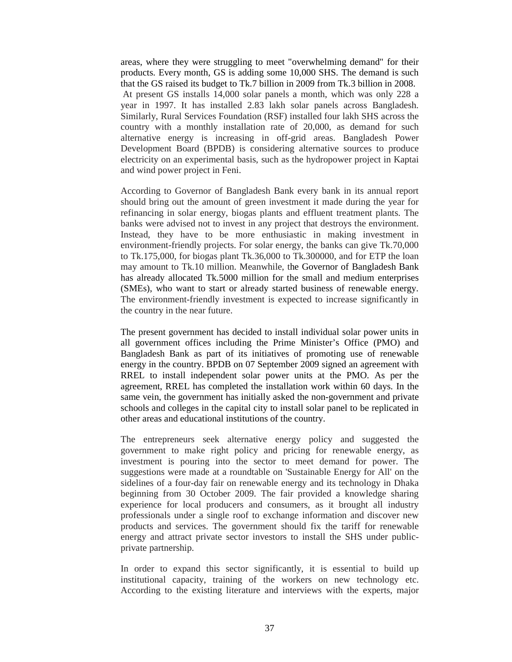areas, where they were struggling to meet "overwhelming demand" for their products. Every month, GS is adding some 10,000 SHS. The demand is such that the GS raised its budget to Tk.7 billion in 2009 from Tk.3 billion in 2008. At present GS installs 14,000 solar panels a month, which was only 228 a year in 1997. It has installed 2.83 lakh solar panels across Bangladesh. Similarly, Rural Services Foundation (RSF) installed four lakh SHS across the country with a monthly installation rate of 20,000, as demand for such alternative energy is increasing in off-grid areas. Bangladesh Power Development Board (BPDB) is considering alternative sources to produce electricity on an experimental basis, such as the hydropower project in Kaptai and wind power project in Feni.

According to Governor of Bangladesh Bank every bank in its annual report should bring out the amount of green investment it made during the year for refinancing in solar energy, biogas plants and effluent treatment plants. The banks were advised not to invest in any project that destroys the environment. Instead, they have to be more enthusiastic in making investment in environment-friendly projects. For solar energy, the banks can give Tk.70,000 to Tk.175,000, for biogas plant Tk.36,000 to Tk.300000, and for ETP the loan may amount to Tk.10 million. Meanwhile, the Governor of Bangladesh Bank has already allocated Tk.5000 million for the small and medium enterprises (SMEs), who want to start or already started business of renewable energy. The environment-friendly investment is expected to increase significantly in the country in the near future.

The present government has decided to install individual solar power units in all government offices including the Prime Minister's Office (PMO) and Bangladesh Bank as part of its initiatives of promoting use of renewable energy in the country. BPDB on 07 September 2009 signed an agreement with RREL to install independent solar power units at the PMO. As per the agreement, RREL has completed the installation work within 60 days. In the same vein, the government has initially asked the non-government and private schools and colleges in the capital city to install solar panel to be replicated in other areas and educational institutions of the country.

The entrepreneurs seek alternative energy policy and suggested the government to make right policy and pricing for renewable energy, as investment is pouring into the sector to meet demand for power. The suggestions were made at a roundtable on 'Sustainable Energy for All' on the sidelines of a four-day fair on renewable energy and its technology in Dhaka beginning from 30 October 2009. The fair provided a knowledge sharing experience for local producers and consumers, as it brought all industry professionals under a single roof to exchange information and discover new products and services. The government should fix the tariff for renewable energy and attract private sector investors to install the SHS under publicprivate partnership.

In order to expand this sector significantly, it is essential to build up institutional capacity, training of the workers on new technology etc. According to the existing literature and interviews with the experts, major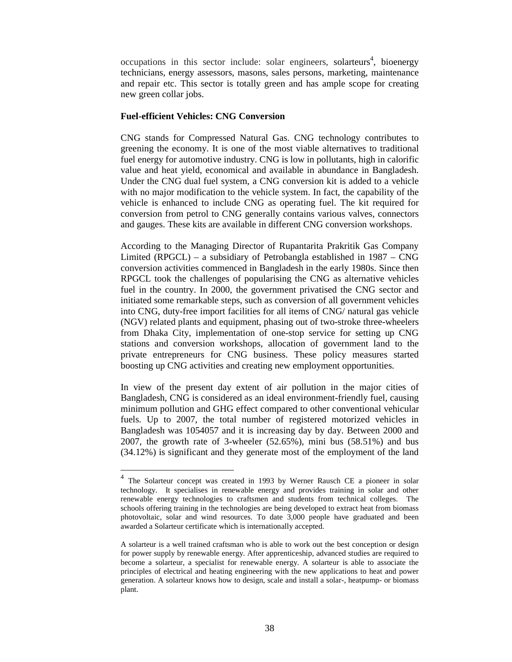occupations in this sector include: solar engineers, solarteurs<sup>4</sup>, bioenergy technicians, energy assessors, masons, sales persons, marketing, maintenance and repair etc. This sector is totally green and has ample scope for creating new green collar jobs.

### **Fuel-efficient Vehicles: CNG Conversion**

-

CNG stands for Compressed Natural Gas. CNG technology contributes to greening the economy. It is one of the most viable alternatives to traditional fuel energy for automotive industry. CNG is low in pollutants, high in calorific value and heat yield, economical and available in abundance in Bangladesh. Under the CNG dual fuel system, a CNG conversion kit is added to a vehicle with no major modification to the vehicle system. In fact, the capability of the vehicle is enhanced to include CNG as operating fuel. The kit required for conversion from petrol to CNG generally contains various valves, connectors and gauges. These kits are available in different CNG conversion workshops.

According to the Managing Director of Rupantarita Prakritik Gas Company Limited (RPGCL) – a subsidiary of Petrobangla established in 1987 – CNG conversion activities commenced in Bangladesh in the early 1980s. Since then RPGCL took the challenges of popularising the CNG as alternative vehicles fuel in the country. In 2000, the government privatised the CNG sector and initiated some remarkable steps, such as conversion of all government vehicles into CNG, duty-free import facilities for all items of CNG/ natural gas vehicle (NGV) related plants and equipment, phasing out of two-stroke three-wheelers from Dhaka City, implementation of one-stop service for setting up CNG stations and conversion workshops, allocation of government land to the private entrepreneurs for CNG business. These policy measures started boosting up CNG activities and creating new employment opportunities.

In view of the present day extent of air pollution in the major cities of Bangladesh, CNG is considered as an ideal environment-friendly fuel, causing minimum pollution and GHG effect compared to other conventional vehicular fuels. Up to 2007, the total number of registered motorized vehicles in Bangladesh was 1054057 and it is increasing day by day. Between 2000 and 2007, the growth rate of 3-wheeler (52.65%), mini bus (58.51%) and bus (34.12%) is significant and they generate most of the employment of the land

<sup>&</sup>lt;sup>4</sup> The Solarteur concept was created in 1993 by Werner Rausch CE a pioneer in solar technology. It specialises in renewable energy and provides training in solar and other renewable energy technologies to craftsmen and students from technical colleges. The schools offering training in the technologies are being developed to extract heat from biomass photovoltaic, solar and wind resources. To date 3,000 people have graduated and been awarded a Solarteur certificate which is internationally accepted.

A solarteur is a well trained craftsman who is able to work out the best conception or design for power supply by renewable energy. After apprenticeship, advanced studies are required to become a solarteur, a specialist for renewable energy. A solarteur is able to associate the principles of electrical and heating engineering with the new applications to heat and power generation. A solarteur knows how to design, scale and install a solar-, heatpump- or biomass plant.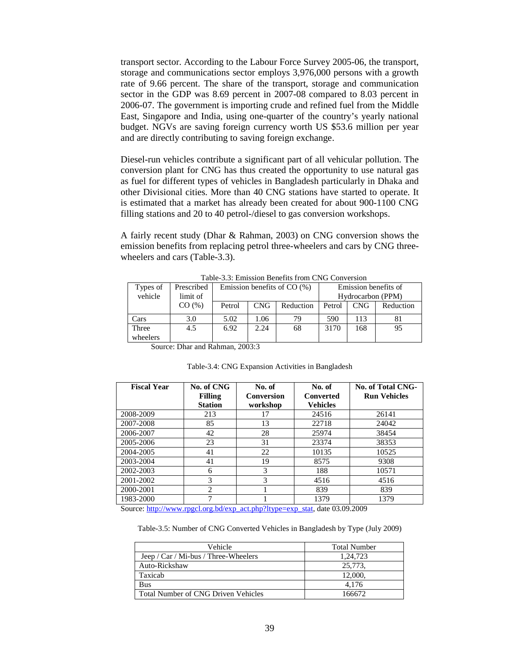transport sector. According to the Labour Force Survey 2005-06, the transport, storage and communications sector employs 3,976,000 persons with a growth rate of 9.66 percent. The share of the transport, storage and communication sector in the GDP was 8.69 percent in 2007-08 compared to 8.03 percent in 2006-07. The government is importing crude and refined fuel from the Middle East, Singapore and India, using one-quarter of the country's yearly national budget. NGVs are saving foreign currency worth US \$53.6 million per year and are directly contributing to saving foreign exchange.

Diesel-run vehicles contribute a significant part of all vehicular pollution. The conversion plant for CNG has thus created the opportunity to use natural gas as fuel for different types of vehicles in Bangladesh particularly in Dhaka and other Divisional cities. More than 40 CNG stations have started to operate. It is estimated that a market has already been created for about 900-1100 CNG filling stations and 20 to 40 petrol-/diesel to gas conversion workshops.

A fairly recent study (Dhar & Rahman, 2003) on CNG conversion shows the emission benefits from replacing petrol three-wheelers and cars by CNG threewheelers and cars (Table-3.3).

| Table-5.5: Emission Benefits from Cincle Conversion |            |                               |            |           |                      |                   |           |
|-----------------------------------------------------|------------|-------------------------------|------------|-----------|----------------------|-------------------|-----------|
| Types of                                            | Prescribed | Emission benefits of $CO (%)$ |            |           | Emission benefits of |                   |           |
| vehicle                                             | limit of   |                               |            |           |                      | Hydrocarbon (PPM) |           |
|                                                     | CO(%)      | Petrol                        | <b>CNG</b> | Reduction | Petrol               | <b>CNG</b>        | Reduction |
| Cars                                                | 3.0        | 5.02                          | 1.06       | 79        | 590                  | 113               | 81        |
| Three                                               | 4.5        | 6.92                          | 2.24       | 68        | 3170                 | 168               | 95        |
| wheelers                                            |            |                               |            |           |                      |                   |           |

Table-3.3: Emission Benefits from CNG Conversion

Source: Dhar and Rahman, 2003:3

| <b>Fiscal Year</b> | No. of CNG<br><b>Filling</b> | No. of<br>Conversion | No. of<br><b>Converted</b> | No. of Total CNG-<br><b>Run Vehicles</b> |
|--------------------|------------------------------|----------------------|----------------------------|------------------------------------------|
|                    | <b>Station</b>               | workshop             | <b>Vehicles</b>            |                                          |
| 2008-2009          | 213                          | 17                   | 24516                      | 26141                                    |
| 2007-2008          | 85                           | 13                   | 22718                      | 24042                                    |
| 2006-2007          | 42                           | 28                   | 25974                      | 38454                                    |
| 2005-2006          | 23                           | 31                   | 23374                      | 38353                                    |
| 2004-2005          | 41                           | 22                   | 10135                      | 10525                                    |
| 2003-2004          | 41                           | 19                   | 8575                       | 9308                                     |
| 2002-2003          | 6                            | 3                    | 188                        | 10571                                    |
| 2001-2002          | 3                            | 3                    | 4516                       | 4516                                     |
| 2000-2001          | $\mathfrak{D}$               |                      | 839                        | 839                                      |
| 1983-2000          | ┑                            |                      | 1379                       | 1379                                     |

Source: http://www.rpgcl.org.bd/exp\_act.php?ltype=exp\_stat, date 03.09.2009

Table-3.5: Number of CNG Converted Vehicles in Bangladesh by Type (July 2009)

| Vehicle                              | <b>Total Number</b> |
|--------------------------------------|---------------------|
| Jeep / Car / Mi-bus / Three-Wheelers | 1.24.723            |
| Auto-Rickshaw                        | 25,773.             |
| Taxicab                              | 12,000.             |
| <b>Bus</b>                           | 4.176               |
| Total Number of CNG Driven Vehicles  | 166672              |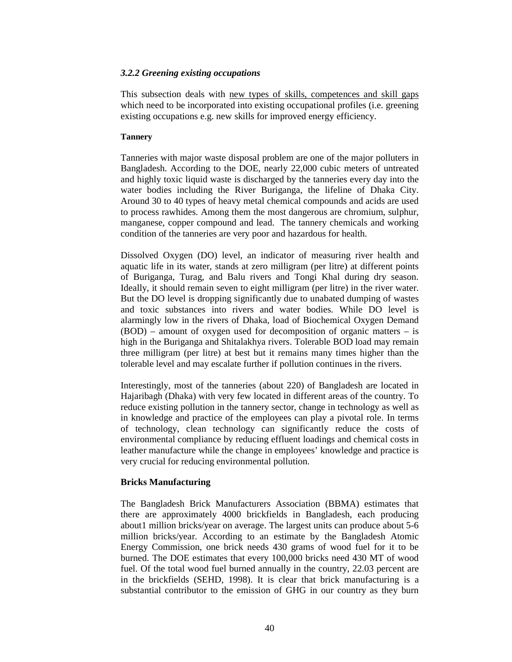## *3.2.2 Greening existing occupations*

This subsection deals with new types of skills, competences and skill gaps which need to be incorporated into existing occupational profiles (i.e. greening existing occupations e.g. new skills for improved energy efficiency.

### **Tannery**

Tanneries with major waste disposal problem are one of the major polluters in Bangladesh. According to the DOE, nearly 22,000 cubic meters of untreated and highly toxic liquid waste is discharged by the tanneries every day into the water bodies including the River Buriganga, the lifeline of Dhaka City. Around 30 to 40 types of heavy metal chemical compounds and acids are used to process rawhides. Among them the most dangerous are chromium, sulphur, manganese, copper compound and lead. The tannery chemicals and working condition of the tanneries are very poor and hazardous for health.

Dissolved Oxygen (DO) level, an indicator of measuring river health and aquatic life in its water, stands at zero milligram (per litre) at different points of Buriganga, Turag, and Balu rivers and Tongi Khal during dry season. Ideally, it should remain seven to eight milligram (per litre) in the river water. But the DO level is dropping significantly due to unabated dumping of wastes and toxic substances into rivers and water bodies. While DO level is alarmingly low in the rivers of Dhaka, load of Biochemical Oxygen Demand (BOD) – amount of oxygen used for decomposition of organic matters – is high in the Buriganga and Shitalakhya rivers. Tolerable BOD load may remain three milligram (per litre) at best but it remains many times higher than the tolerable level and may escalate further if pollution continues in the rivers.

Interestingly, most of the tanneries (about 220) of Bangladesh are located in Hajaribagh (Dhaka) with very few located in different areas of the country. To reduce existing pollution in the tannery sector, change in technology as well as in knowledge and practice of the employees can play a pivotal role. In terms of technology, clean technology can significantly reduce the costs of environmental compliance by reducing effluent loadings and chemical costs in leather manufacture while the change in employees' knowledge and practice is very crucial for reducing environmental pollution.

## **Bricks Manufacturing**

The Bangladesh Brick Manufacturers Association (BBMA) estimates that there are approximately 4000 brickfields in Bangladesh, each producing about1 million bricks/year on average. The largest units can produce about 5-6 million bricks/year. According to an estimate by the Bangladesh Atomic Energy Commission, one brick needs 430 grams of wood fuel for it to be burned. The DOE estimates that every 100,000 bricks need 430 MT of wood fuel. Of the total wood fuel burned annually in the country, 22.03 percent are in the brickfields (SEHD, 1998). It is clear that brick manufacturing is a substantial contributor to the emission of GHG in our country as they burn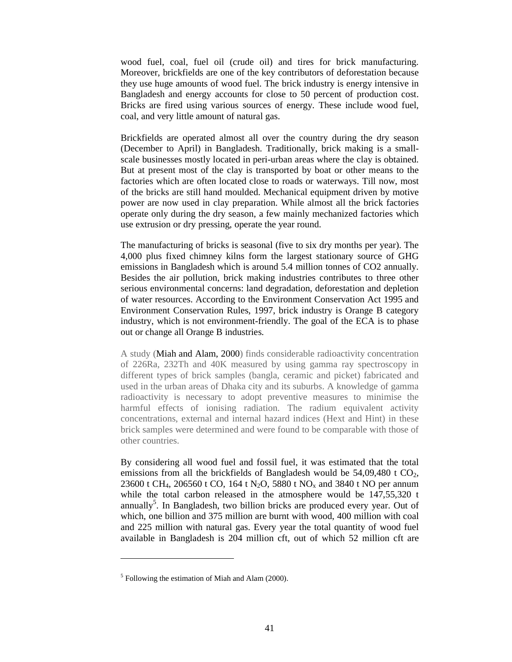wood fuel, coal, fuel oil (crude oil) and tires for brick manufacturing. Moreover, brickfields are one of the key contributors of deforestation because they use huge amounts of wood fuel. The brick industry is energy intensive in Bangladesh and energy accounts for close to 50 percent of production cost. Bricks are fired using various sources of energy. These include wood fuel, coal, and very little amount of natural gas.

Brickfields are operated almost all over the country during the dry season (December to April) in Bangladesh. Traditionally, brick making is a smallscale businesses mostly located in peri-urban areas where the clay is obtained. But at present most of the clay is transported by boat or other means to the factories which are often located close to roads or waterways. Till now, most of the bricks are still hand moulded. Mechanical equipment driven by motive power are now used in clay preparation. While almost all the brick factories operate only during the dry season, a few mainly mechanized factories which use extrusion or dry pressing, operate the year round.

The manufacturing of bricks is seasonal (five to six dry months per year). The 4,000 plus fixed chimney kilns form the largest stationary source of GHG emissions in Bangladesh which is around 5.4 million tonnes of CO2 annually. Besides the air pollution, brick making industries contributes to three other serious environmental concerns: land degradation, deforestation and depletion of water resources. According to the Environment Conservation Act 1995 and Environment Conservation Rules, 1997, brick industry is Orange B category industry, which is not environment-friendly. The goal of the ECA is to phase out or change all Orange B industries.

A study (Miah and Alam, 2000) finds considerable radioactivity concentration of 226Ra, 232Th and 40K measured by using gamma ray spectroscopy in different types of brick samples (bangla, ceramic and picket) fabricated and used in the urban areas of Dhaka city and its suburbs. A knowledge of gamma radioactivity is necessary to adopt preventive measures to minimise the harmful effects of ionising radiation. The radium equivalent activity concentrations, external and internal hazard indices (Hext and Hint) in these brick samples were determined and were found to be comparable with those of other countries.

By considering all wood fuel and fossil fuel, it was estimated that the total emissions from all the brickfields of Bangladesh would be  $54,09,480$  t  $CO<sub>2</sub>$ , 23600 t CH<sub>4</sub>, 206560 t CO, 164 t N<sub>2</sub>O, 5880 t NO<sub>x</sub> and 3840 t NO per annum while the total carbon released in the atmosphere would be 147,55,320 t annually<sup>5</sup>. In Bangladesh, two billion bricks are produced every year. Out of which, one billion and 375 million are burnt with wood, 400 million with coal and 225 million with natural gas. Every year the total quantity of wood fuel available in Bangladesh is 204 million cft, out of which 52 million cft are

-

<sup>&</sup>lt;sup>5</sup> Following the estimation of Miah and Alam (2000).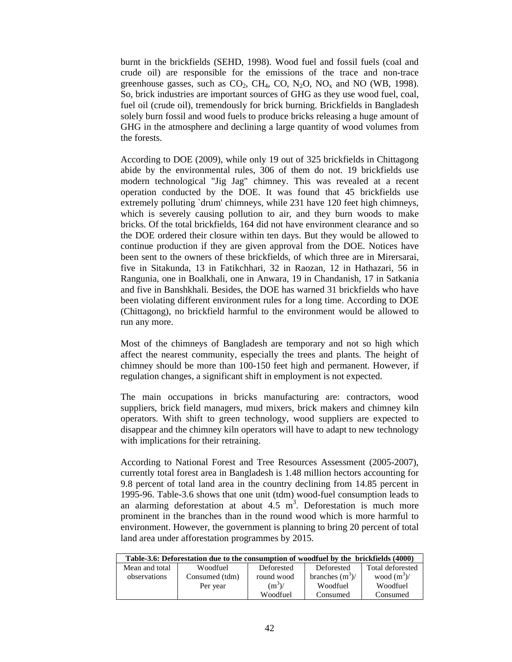burnt in the brickfields (SEHD, 1998). Wood fuel and fossil fuels (coal and crude oil) are responsible for the emissions of the trace and non-trace greenhouse gasses, such as  $CO_2$ , CH<sub>4</sub>, CO, N<sub>2</sub>O, NO<sub>x</sub> and NO (WB, 1998). So, brick industries are important sources of GHG as they use wood fuel, coal, fuel oil (crude oil), tremendously for brick burning. Brickfields in Bangladesh solely burn fossil and wood fuels to produce bricks releasing a huge amount of GHG in the atmosphere and declining a large quantity of wood volumes from the forests.

According to DOE (2009), while only 19 out of 325 brickfields in Chittagong abide by the environmental rules, 306 of them do not. 19 brickfields use modern technological "Jig Jag" chimney. This was revealed at a recent operation conducted by the DOE. It was found that 45 brickfields use extremely polluting `drum' chimneys, while 231 have 120 feet high chimneys, which is severely causing pollution to air, and they burn woods to make bricks. Of the total brickfields, 164 did not have environment clearance and so the DOE ordered their closure within ten days. But they would be allowed to continue production if they are given approval from the DOE. Notices have been sent to the owners of these brickfields, of which three are in Mirersarai, five in Sitakunda, 13 in Fatikchhari, 32 in Raozan, 12 in Hathazari, 56 in Rangunia, one in Boalkhali, one in Anwara, 19 in Chandanish, 17 in Satkania and five in Banshkhali. Besides, the DOE has warned 31 brickfields who have been violating different environment rules for a long time. According to DOE (Chittagong), no brickfield harmful to the environment would be allowed to run any more.

Most of the chimneys of Bangladesh are temporary and not so high which affect the nearest community, especially the trees and plants. The height of chimney should be more than 100-150 feet high and permanent. However, if regulation changes, a significant shift in employment is not expected.

The main occupations in bricks manufacturing are: contractors, wood suppliers, brick field managers, mud mixers, brick makers and chimney kiln operators. With shift to green technology, wood suppliers are expected to disappear and the chimney kiln operators will have to adapt to new technology with implications for their retraining.

According to National Forest and Tree Resources Assessment (2005-2007), currently total forest area in Bangladesh is 1.48 million hectors accounting for 9.8 percent of total land area in the country declining from 14.85 percent in 1995-96. Table-3.6 shows that one unit (tdm) wood-fuel consumption leads to an alarming deforestation at about  $4.5 \text{ m}^3$ . Deforestation is much more prominent in the branches than in the round wood which is more harmful to environment. However, the government is planning to bring 20 percent of total land area under afforestation programmes by 2015.

| Table-3.6: Deforestation due to the consumption of woodfuel by the brickfields (4000) |                |            |                    |                  |  |  |
|---------------------------------------------------------------------------------------|----------------|------------|--------------------|------------------|--|--|
| Mean and total                                                                        | Woodfuel       | Deforested | Deforested         | Total deforested |  |  |
| observations                                                                          | Consumed (tdm) | round wood | branches $(m^3)$ / | wood $(m^3)$ /   |  |  |
|                                                                                       | Per year       | $(m3)$ /   | Woodfuel           | Woodfuel         |  |  |
|                                                                                       |                | Woodfuel   | Consumed           | Consumed         |  |  |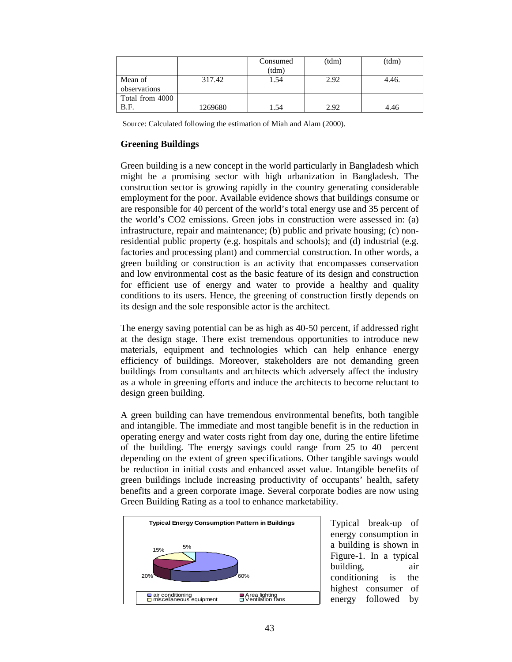|                         |         | Consumed<br>(tdm) | (tdm) | (tdm) |
|-------------------------|---------|-------------------|-------|-------|
| Mean of<br>observations | 317.42  | 1.54              | 2.92  | 4.46. |
| Total from 4000<br>B.F. | 1269680 | 1.54              | 2.92  | 4.46  |

Source: Calculated following the estimation of Miah and Alam (2000).

# **Greening Buildings**

Green building is a new concept in the world particularly in Bangladesh which might be a promising sector with high urbanization in Bangladesh. The construction sector is growing rapidly in the country generating considerable employment for the poor. Available evidence shows that buildings consume or are responsible for 40 percent of the world's total energy use and 35 percent of the world's CO2 emissions. Green jobs in construction were assessed in: (a) infrastructure, repair and maintenance; (b) public and private housing; (c) nonresidential public property (e.g. hospitals and schools); and (d) industrial (e.g. factories and processing plant) and commercial construction. In other words, a green building or construction is an activity that encompasses conservation and low environmental cost as the basic feature of its design and construction for efficient use of energy and water to provide a healthy and quality conditions to its users. Hence, the greening of construction firstly depends on its design and the sole responsible actor is the architect.

The energy saving potential can be as high as 40-50 percent, if addressed right at the design stage. There exist tremendous opportunities to introduce new materials, equipment and technologies which can help enhance energy efficiency of buildings. Moreover, stakeholders are not demanding green buildings from consultants and architects which adversely affect the industry as a whole in greening efforts and induce the architects to become reluctant to design green building.

A green building can have tremendous environmental benefits, both tangible and intangible. The immediate and most tangible benefit is in the reduction in operating energy and water costs right from day one, during the entire lifetime of the building. The energy savings could range from 25 to 40 percent depending on the extent of green specifications. Other tangible savings would be reduction in initial costs and enhanced asset value. Intangible benefits of green buildings include increasing productivity of occupants' health, safety benefits and a green corporate image. Several corporate bodies are now using Green Building Rating as a tool to enhance marketability.



Typical break-up of energy consumption in a building is shown in Figure-1. In a typical building, air conditioning is the highest consumer of energy followed by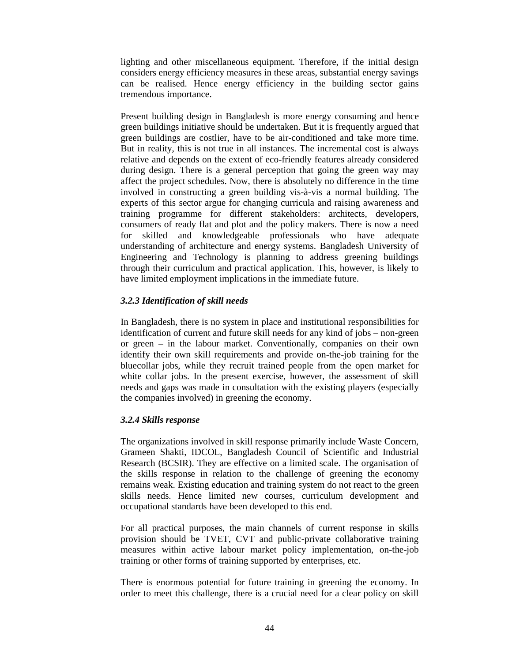lighting and other miscellaneous equipment. Therefore, if the initial design considers energy efficiency measures in these areas, substantial energy savings can be realised. Hence energy efficiency in the building sector gains tremendous importance.

Present building design in Bangladesh is more energy consuming and hence green buildings initiative should be undertaken. But it is frequently argued that green buildings are costlier, have to be air-conditioned and take more time. But in reality, this is not true in all instances. The incremental cost is always relative and depends on the extent of eco-friendly features already considered during design. There is a general perception that going the green way may affect the project schedules. Now, there is absolutely no difference in the time involved in constructing a green building vis-à-vis a normal building. The experts of this sector argue for changing curricula and raising awareness and training programme for different stakeholders: architects, developers, consumers of ready flat and plot and the policy makers. There is now a need for skilled and knowledgeable professionals who have adequate understanding of architecture and energy systems. Bangladesh University of Engineering and Technology is planning to address greening buildings through their curriculum and practical application. This, however, is likely to have limited employment implications in the immediate future.

# *3.2.3 Identification of skill needs*

In Bangladesh, there is no system in place and institutional responsibilities for identification of current and future skill needs for any kind of jobs – non-green or green – in the labour market. Conventionally, companies on their own identify their own skill requirements and provide on-the-job training for the bluecollar jobs, while they recruit trained people from the open market for white collar jobs. In the present exercise, however, the assessment of skill needs and gaps was made in consultation with the existing players (especially the companies involved) in greening the economy.

## *3.2.4 Skills response*

The organizations involved in skill response primarily include Waste Concern, Grameen Shakti, IDCOL, Bangladesh Council of Scientific and Industrial Research (BCSIR). They are effective on a limited scale. The organisation of the skills response in relation to the challenge of greening the economy remains weak. Existing education and training system do not react to the green skills needs. Hence limited new courses, curriculum development and occupational standards have been developed to this end.

For all practical purposes, the main channels of current response in skills provision should be TVET, CVT and public-private collaborative training measures within active labour market policy implementation, on-the-job training or other forms of training supported by enterprises, etc.

There is enormous potential for future training in greening the economy. In order to meet this challenge, there is a crucial need for a clear policy on skill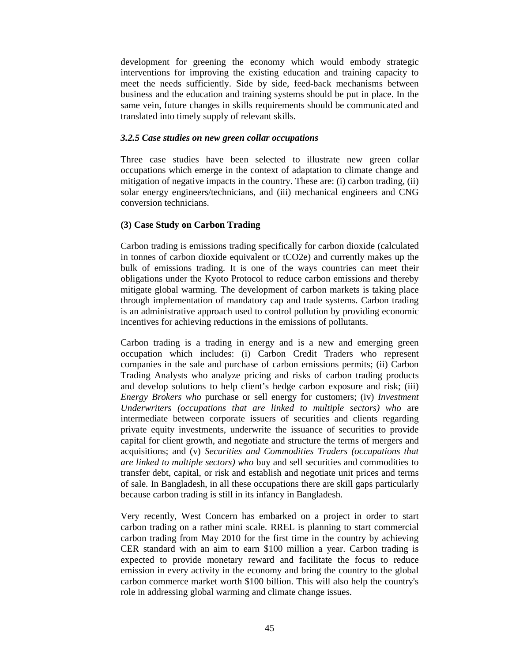development for greening the economy which would embody strategic interventions for improving the existing education and training capacity to meet the needs sufficiently. Side by side, feed-back mechanisms between business and the education and training systems should be put in place. In the same vein, future changes in skills requirements should be communicated and translated into timely supply of relevant skills.

### *3.2.5 Case studies on new green collar occupations*

Three case studies have been selected to illustrate new green collar occupations which emerge in the context of adaptation to climate change and mitigation of negative impacts in the country. These are: (i) carbon trading, (ii) solar energy engineers/technicians, and (iii) mechanical engineers and CNG conversion technicians.

# **(3) Case Study on Carbon Trading**

Carbon trading is emissions trading specifically for carbon dioxide (calculated in tonnes of carbon dioxide equivalent or tCO2e) and currently makes up the bulk of emissions trading. It is one of the ways countries can meet their obligations under the Kyoto Protocol to reduce carbon emissions and thereby mitigate global warming. The development of carbon markets is taking place through implementation of mandatory cap and trade systems. Carbon trading is an administrative approach used to control pollution by providing economic incentives for achieving reductions in the emissions of pollutants.

Carbon trading is a trading in energy and is a new and emerging green occupation which includes: (i) Carbon Credit Traders who represent companies in the sale and purchase of carbon emissions permits; (ii) Carbon Trading Analysts who analyze pricing and risks of carbon trading products and develop solutions to help client's hedge carbon exposure and risk; (iii) *Energy Brokers who* purchase or sell energy for customers; (iv) *Investment Underwriters (occupations that are linked to multiple sectors) who* are intermediate between corporate issuers of securities and clients regarding private equity investments, underwrite the issuance of securities to provide capital for client growth, and negotiate and structure the terms of mergers and acquisitions; and (v) *Securities and Commodities Traders (occupations that are linked to multiple sectors) who* buy and sell securities and commodities to transfer debt, capital, or risk and establish and negotiate unit prices and terms of sale. In Bangladesh, in all these occupations there are skill gaps particularly because carbon trading is still in its infancy in Bangladesh.

Very recently, West Concern has embarked on a project in order to start carbon trading on a rather mini scale. RREL is planning to start commercial carbon trading from May 2010 for the first time in the country by achieving CER standard with an aim to earn \$100 million a year. Carbon trading is expected to provide monetary reward and facilitate the focus to reduce emission in every activity in the economy and bring the country to the global carbon commerce market worth \$100 billion. This will also help the country's role in addressing global warming and climate change issues.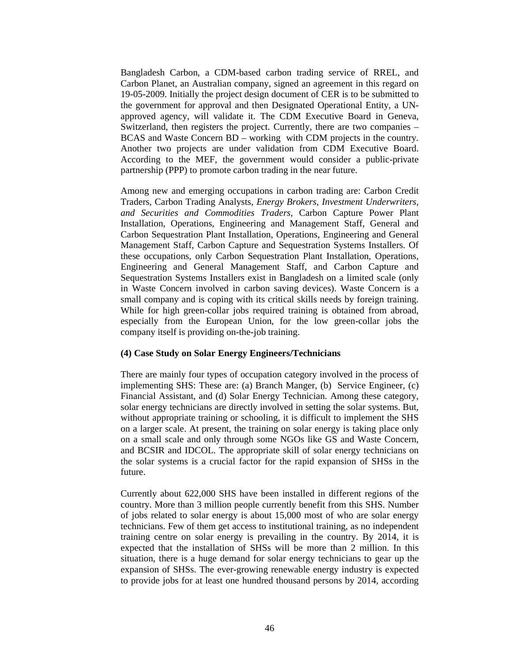Bangladesh Carbon, a CDM-based carbon trading service of RREL, and Carbon Planet, an Australian company, signed an agreement in this regard on 19-05-2009. Initially the project design document of CER is to be submitted to the government for approval and then Designated Operational Entity, a UNapproved agency, will validate it. The CDM Executive Board in Geneva, Switzerland, then registers the project. Currently, there are two companies – BCAS and Waste Concern BD – working with CDM projects in the country. Another two projects are under validation from CDM Executive Board. According to the MEF, the government would consider a public-private partnership (PPP) to promote carbon trading in the near future.

Among new and emerging occupations in carbon trading are: Carbon Credit Traders, Carbon Trading Analysts, *Energy Brokers, Investment Underwriters, and Securities and Commodities Traders,* Carbon Capture Power Plant Installation, Operations, Engineering and Management Staff, General and Carbon Sequestration Plant Installation, Operations, Engineering and General Management Staff, Carbon Capture and Sequestration Systems Installers. Of these occupations, only Carbon Sequestration Plant Installation, Operations, Engineering and General Management Staff, and Carbon Capture and Sequestration Systems Installers exist in Bangladesh on a limited scale (only in Waste Concern involved in carbon saving devices). Waste Concern is a small company and is coping with its critical skills needs by foreign training. While for high green-collar jobs required training is obtained from abroad, especially from the European Union, for the low green-collar jobs the company itself is providing on-the-job training.

### **(4) Case Study on Solar Energy Engineers/Technicians**

There are mainly four types of occupation category involved in the process of implementing SHS: These are: (a) Branch Manger, (b) Service Engineer, (c) Financial Assistant, and (d) Solar Energy Technician. Among these category, solar energy technicians are directly involved in setting the solar systems. But, without appropriate training or schooling, it is difficult to implement the SHS on a larger scale. At present, the training on solar energy is taking place only on a small scale and only through some NGOs like GS and Waste Concern, and BCSIR and IDCOL. The appropriate skill of solar energy technicians on the solar systems is a crucial factor for the rapid expansion of SHSs in the future.

Currently about 622,000 SHS have been installed in different regions of the country. More than 3 million people currently benefit from this SHS. Number of jobs related to solar energy is about 15,000 most of who are solar energy technicians. Few of them get access to institutional training, as no independent training centre on solar energy is prevailing in the country. By 2014, it is expected that the installation of SHSs will be more than 2 million. In this situation, there is a huge demand for solar energy technicians to gear up the expansion of SHSs. The ever-growing renewable energy industry is expected to provide jobs for at least one hundred thousand persons by 2014, according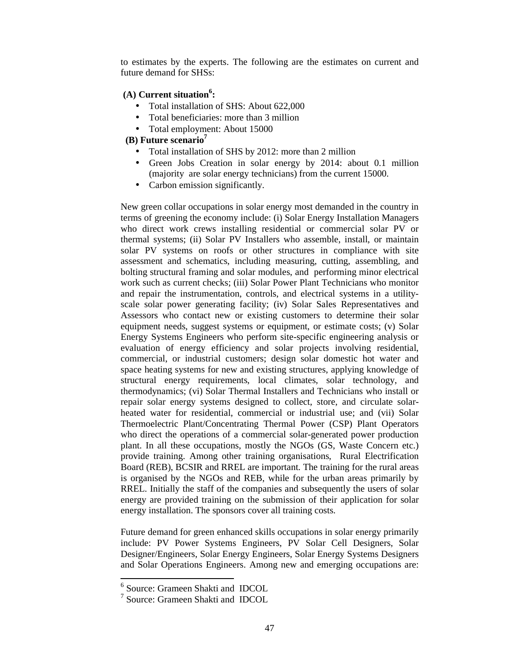to estimates by the experts. The following are the estimates on current and future demand for SHSs:

# **(A) Current situation<sup>6</sup> :**

- Total installation of SHS: About 622,000
- Total beneficiaries: more than 3 million
- Total employment: About 15000

## **(B) Future scenario<sup>7</sup>**

- Total installation of SHS by 2012: more than 2 million
- Green Jobs Creation in solar energy by 2014: about 0.1 million (majority are solar energy technicians) from the current 15000.
- Carbon emission significantly.

New green collar occupations in solar energy most demanded in the country in terms of greening the economy include: (i) Solar Energy Installation Managers who direct work crews installing residential or commercial solar PV or thermal systems; (ii) Solar PV Installers who assemble, install, or maintain solar PV systems on roofs or other structures in compliance with site assessment and schematics, including measuring, cutting, assembling, and bolting structural framing and solar modules, and performing minor electrical work such as current checks; (iii) Solar Power Plant Technicians who monitor and repair the instrumentation, controls, and electrical systems in a utilityscale solar power generating facility; (iv) Solar Sales Representatives and Assessors who contact new or existing customers to determine their solar equipment needs, suggest systems or equipment, or estimate costs; (v) Solar Energy Systems Engineers who perform site-specific engineering analysis or evaluation of energy efficiency and solar projects involving residential, commercial, or industrial customers; design solar domestic hot water and space heating systems for new and existing structures, applying knowledge of structural energy requirements, local climates, solar technology, and thermodynamics; (vi) Solar Thermal Installers and Technicians who install or repair solar energy systems designed to collect, store, and circulate solarheated water for residential, commercial or industrial use; and (vii) Solar Thermoelectric Plant/Concentrating Thermal Power (CSP) Plant Operators who direct the operations of a commercial solar-generated power production plant. In all these occupations, mostly the NGOs (GS, Waste Concern etc.) provide training. Among other training organisations, Rural Electrification Board (REB), BCSIR and RREL are important. The training for the rural areas is organised by the NGOs and REB, while for the urban areas primarily by RREL. Initially the staff of the companies and subsequently the users of solar energy are provided training on the submission of their application for solar energy installation. The sponsors cover all training costs.

Future demand for green enhanced skills occupations in solar energy primarily include: PV Power Systems Engineers, PV Solar Cell Designers, Solar Designer/Engineers, Solar Energy Engineers, Solar Energy Systems Designers and Solar Operations Engineers. Among new and emerging occupations are:

 6 Source: Grameen Shakti and IDCOL

<sup>7</sup> Source: Grameen Shakti and IDCOL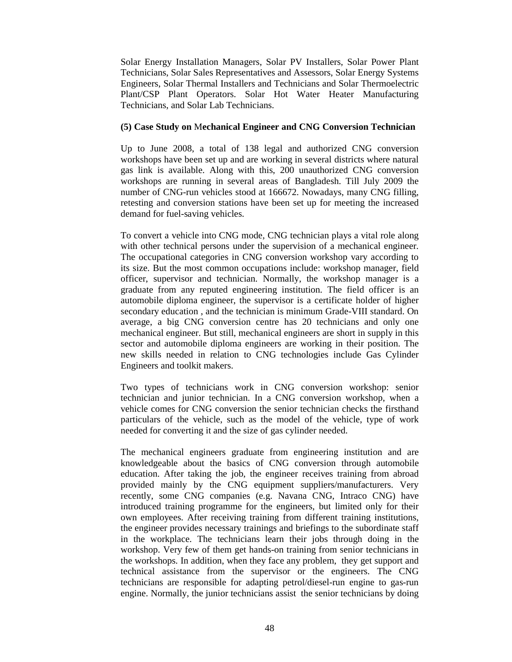Solar Energy Installation Managers, Solar PV Installers, Solar Power Plant Technicians, Solar Sales Representatives and Assessors, Solar Energy Systems Engineers, Solar Thermal Installers and Technicians and Solar Thermoelectric Plant/CSP Plant Operators. Solar Hot Water Heater Manufacturing Technicians, and Solar Lab Technicians.

## **(5) Case Study on** M**echanical Engineer and CNG Conversion Technician**

Up to June 2008, a total of 138 legal and authorized CNG conversion workshops have been set up and are working in several districts where natural gas link is available. Along with this, 200 unauthorized CNG conversion workshops are running in several areas of Bangladesh. Till July 2009 the number of CNG-run vehicles stood at 166672. Nowadays, many CNG filling, retesting and conversion stations have been set up for meeting the increased demand for fuel-saving vehicles.

To convert a vehicle into CNG mode, CNG technician plays a vital role along with other technical persons under the supervision of a mechanical engineer. The occupational categories in CNG conversion workshop vary according to its size. But the most common occupations include: workshop manager, field officer, supervisor and technician. Normally, the workshop manager is a graduate from any reputed engineering institution. The field officer is an automobile diploma engineer, the supervisor is a certificate holder of higher secondary education , and the technician is minimum Grade-VIII standard. On average, a big CNG conversion centre has 20 technicians and only one mechanical engineer. But still, mechanical engineers are short in supply in this sector and automobile diploma engineers are working in their position. The new skills needed in relation to CNG technologies include Gas Cylinder Engineers and toolkit makers.

Two types of technicians work in CNG conversion workshop: senior technician and junior technician. In a CNG conversion workshop, when a vehicle comes for CNG conversion the senior technician checks the firsthand particulars of the vehicle, such as the model of the vehicle, type of work needed for converting it and the size of gas cylinder needed.

The mechanical engineers graduate from engineering institution and are knowledgeable about the basics of CNG conversion through automobile education. After taking the job, the engineer receives training from abroad provided mainly by the CNG equipment suppliers/manufacturers. Very recently, some CNG companies (e.g. Navana CNG, Intraco CNG) have introduced training programme for the engineers, but limited only for their own employees. After receiving training from different training institutions, the engineer provides necessary trainings and briefings to the subordinate staff in the workplace. The technicians learn their jobs through doing in the workshop. Very few of them get hands-on training from senior technicians in the workshops. In addition, when they face any problem, they get support and technical assistance from the supervisor or the engineers. The CNG technicians are responsible for adapting petrol/diesel-run engine to gas-run engine. Normally, the junior technicians assist the senior technicians by doing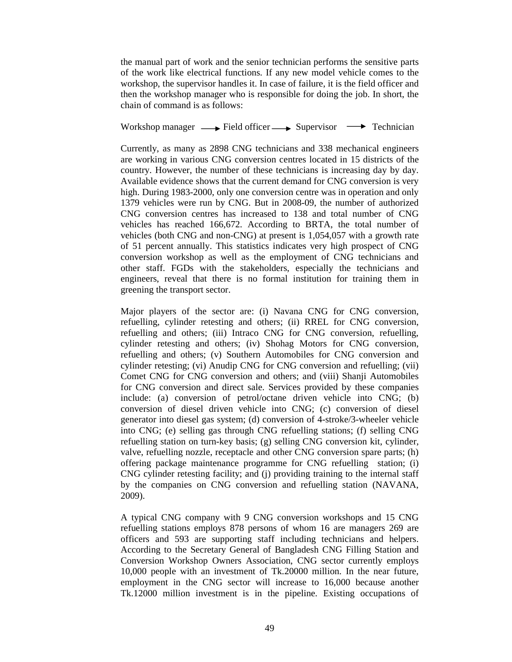the manual part of work and the senior technician performs the sensitive parts of the work like electrical functions. If any new model vehicle comes to the workshop, the supervisor handles it. In case of failure, it is the field officer and then the workshop manager who is responsible for doing the job. In short, the chain of command is as follows:

Workshop manager  $\longrightarrow$  Field officer  $\longrightarrow$  Supervisor  $\longrightarrow$  Technician

Currently, as many as 2898 CNG technicians and 338 mechanical engineers are working in various CNG conversion centres located in 15 districts of the country. However, the number of these technicians is increasing day by day. Available evidence shows that the current demand for CNG conversion is very high. During 1983-2000, only one conversion centre was in operation and only 1379 vehicles were run by CNG. But in 2008-09, the number of authorized CNG conversion centres has increased to 138 and total number of CNG vehicles has reached 166,672. According to BRTA, the total number of vehicles (both CNG and non-CNG) at present is 1,054,057 with a growth rate of 51 percent annually. This statistics indicates very high prospect of CNG conversion workshop as well as the employment of CNG technicians and other staff. FGDs with the stakeholders, especially the technicians and engineers, reveal that there is no formal institution for training them in greening the transport sector.

Major players of the sector are: (i) Navana CNG for CNG conversion, refuelling, cylinder retesting and others; (ii) RREL for CNG conversion, refuelling and others; (iii) Intraco CNG for CNG conversion, refuelling, cylinder retesting and others; (iv) Shohag Motors for CNG conversion, refuelling and others; (v) Southern Automobiles for CNG conversion and cylinder retesting; (vi) Anudip CNG for CNG conversion and refuelling; (vii) Comet CNG for CNG conversion and others; and (viii) Shanji Automobiles for CNG conversion and direct sale. Services provided by these companies include: (a) conversion of petrol/octane driven vehicle into CNG; (b) conversion of diesel driven vehicle into CNG; (c) conversion of diesel generator into diesel gas system; (d) conversion of 4-stroke/3-wheeler vehicle into CNG; (e) selling gas through CNG refuelling stations; (f) selling CNG refuelling station on turn-key basis; (g) selling CNG conversion kit, cylinder, valve, refuelling nozzle, receptacle and other CNG conversion spare parts; (h) offering package maintenance programme for CNG refuelling station; (i) CNG cylinder retesting facility; and (j) providing training to the internal staff by the companies on CNG conversion and refuelling station (NAVANA, 2009).

A typical CNG company with 9 CNG conversion workshops and 15 CNG refuelling stations employs 878 persons of whom 16 are managers 269 are officers and 593 are supporting staff including technicians and helpers. According to the Secretary General of Bangladesh CNG Filling Station and Conversion Workshop Owners Association, CNG sector currently employs 10,000 people with an investment of Tk.20000 million. In the near future, employment in the CNG sector will increase to 16,000 because another Tk.12000 million investment is in the pipeline. Existing occupations of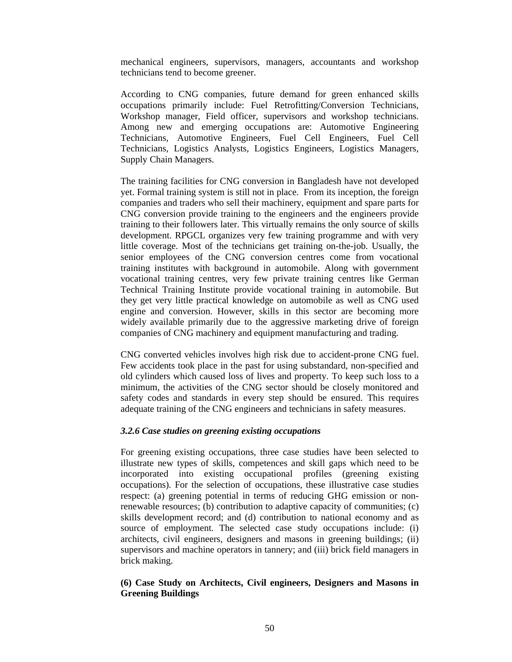mechanical engineers, supervisors, managers, accountants and workshop technicians tend to become greener.

According to CNG companies, future demand for green enhanced skills occupations primarily include: Fuel Retrofitting/Conversion Technicians, Workshop manager, Field officer, supervisors and workshop technicians. Among new and emerging occupations are: Automotive Engineering Technicians, Automotive Engineers, Fuel Cell Engineers, Fuel Cell Technicians, Logistics Analysts, Logistics Engineers, Logistics Managers, Supply Chain Managers.

The training facilities for CNG conversion in Bangladesh have not developed yet. Formal training system is still not in place. From its inception, the foreign companies and traders who sell their machinery, equipment and spare parts for CNG conversion provide training to the engineers and the engineers provide training to their followers later. This virtually remains the only source of skills development. RPGCL organizes very few training programme and with very little coverage. Most of the technicians get training on-the-job. Usually, the senior employees of the CNG conversion centres come from vocational training institutes with background in automobile. Along with government vocational training centres, very few private training centres like German Technical Training Institute provide vocational training in automobile. But they get very little practical knowledge on automobile as well as CNG used engine and conversion. However, skills in this sector are becoming more widely available primarily due to the aggressive marketing drive of foreign companies of CNG machinery and equipment manufacturing and trading.

CNG converted vehicles involves high risk due to accident-prone CNG fuel. Few accidents took place in the past for using substandard, non-specified and old cylinders which caused loss of lives and property. To keep such loss to a minimum, the activities of the CNG sector should be closely monitored and safety codes and standards in every step should be ensured. This requires adequate training of the CNG engineers and technicians in safety measures.

### *3.2.6 Case studies on greening existing occupations*

For greening existing occupations, three case studies have been selected to illustrate new types of skills, competences and skill gaps which need to be incorporated into existing occupational profiles (greening existing occupations). For the selection of occupations, these illustrative case studies respect: (a) greening potential in terms of reducing GHG emission or nonrenewable resources; (b) contribution to adaptive capacity of communities; (c) skills development record; and (d) contribution to national economy and as source of employment. The selected case study occupations include: (i) architects, civil engineers, designers and masons in greening buildings; (ii) supervisors and machine operators in tannery; and (iii) brick field managers in brick making.

# **(6) Case Study on Architects, Civil engineers, Designers and Masons in Greening Buildings**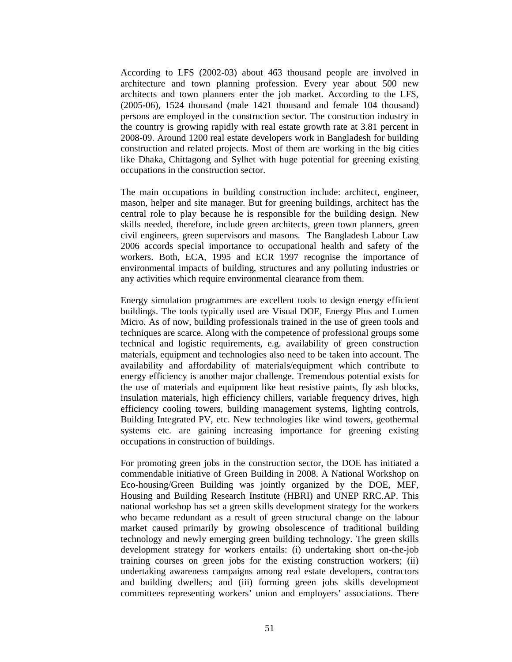According to LFS (2002-03) about 463 thousand people are involved in architecture and town planning profession. Every year about 500 new architects and town planners enter the job market. According to the LFS, (2005-06), 1524 thousand (male 1421 thousand and female 104 thousand) persons are employed in the construction sector. The construction industry in the country is growing rapidly with real estate growth rate at 3.81 percent in 2008-09. Around 1200 real estate developers work in Bangladesh for building construction and related projects. Most of them are working in the big cities like Dhaka, Chittagong and Sylhet with huge potential for greening existing occupations in the construction sector.

The main occupations in building construction include: architect, engineer, mason, helper and site manager. But for greening buildings, architect has the central role to play because he is responsible for the building design. New skills needed, therefore, include green architects, green town planners, green civil engineers, green supervisors and masons. The Bangladesh Labour Law 2006 accords special importance to occupational health and safety of the workers. Both, ECA, 1995 and ECR 1997 recognise the importance of environmental impacts of building, structures and any polluting industries or any activities which require environmental clearance from them.

Energy simulation programmes are excellent tools to design energy efficient buildings. The tools typically used are Visual DOE, Energy Plus and Lumen Micro. As of now, building professionals trained in the use of green tools and techniques are scarce. Along with the competence of professional groups some technical and logistic requirements, e.g. availability of green construction materials, equipment and technologies also need to be taken into account. The availability and affordability of materials/equipment which contribute to energy efficiency is another major challenge. Tremendous potential exists for the use of materials and equipment like heat resistive paints, fly ash blocks, insulation materials, high efficiency chillers, variable frequency drives, high efficiency cooling towers, building management systems, lighting controls, Building Integrated PV, etc. New technologies like wind towers, geothermal systems etc. are gaining increasing importance for greening existing occupations in construction of buildings.

For promoting green jobs in the construction sector, the DOE has initiated a commendable initiative of Green Building in 2008. A National Workshop on Eco-housing/Green Building was jointly organized by the DOE, MEF, Housing and Building Research Institute (HBRI) and UNEP RRC.AP. This national workshop has set a green skills development strategy for the workers who became redundant as a result of green structural change on the labour market caused primarily by growing obsolescence of traditional building technology and newly emerging green building technology. The green skills development strategy for workers entails: (i) undertaking short on-the-job training courses on green jobs for the existing construction workers; (ii) undertaking awareness campaigns among real estate developers, contractors and building dwellers; and (iii) forming green jobs skills development committees representing workers' union and employers' associations. There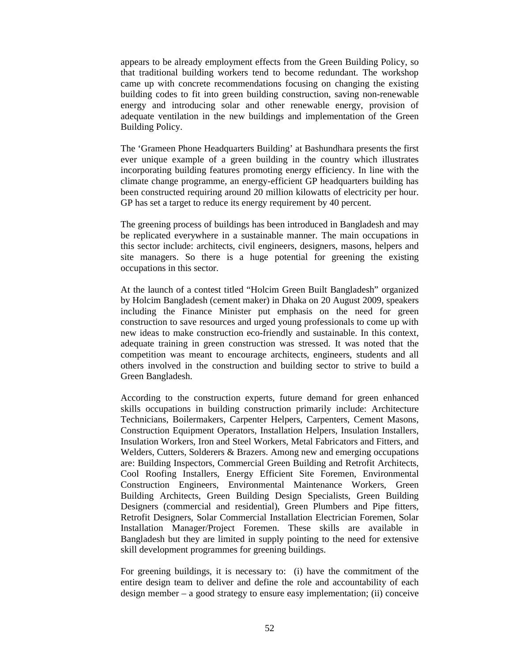appears to be already employment effects from the Green Building Policy, so that traditional building workers tend to become redundant. The workshop came up with concrete recommendations focusing on changing the existing building codes to fit into green building construction, saving non-renewable energy and introducing solar and other renewable energy, provision of adequate ventilation in the new buildings and implementation of the Green Building Policy.

The 'Grameen Phone Headquarters Building' at Bashundhara presents the first ever unique example of a green building in the country which illustrates incorporating building features promoting energy efficiency. In line with the climate change programme, an energy-efficient GP headquarters building has been constructed requiring around 20 million kilowatts of electricity per hour. GP has set a target to reduce its energy requirement by 40 percent.

The greening process of buildings has been introduced in Bangladesh and may be replicated everywhere in a sustainable manner. The main occupations in this sector include: architects, civil engineers, designers, masons, helpers and site managers. So there is a huge potential for greening the existing occupations in this sector.

At the launch of a contest titled "Holcim Green Built Bangladesh" organized by Holcim Bangladesh (cement maker) in Dhaka on 20 August 2009, speakers including the Finance Minister put emphasis on the need for green construction to save resources and urged young professionals to come up with new ideas to make construction eco-friendly and sustainable. In this context, adequate training in green construction was stressed. It was noted that the competition was meant to encourage architects, engineers, students and all others involved in the construction and building sector to strive to build a Green Bangladesh.

According to the construction experts, future demand for green enhanced skills occupations in building construction primarily include: Architecture Technicians, Boilermakers, Carpenter Helpers, Carpenters, Cement Masons, Construction Equipment Operators, Installation Helpers, Insulation Installers, Insulation Workers, Iron and Steel Workers, Metal Fabricators and Fitters, and Welders, Cutters, Solderers & Brazers. Among new and emerging occupations are: Building Inspectors, Commercial Green Building and Retrofit Architects, Cool Roofing Installers, Energy Efficient Site Foremen, Environmental Construction Engineers, Environmental Maintenance Workers, Green Building Architects, Green Building Design Specialists, Green Building Designers (commercial and residential), Green Plumbers and Pipe fitters, Retrofit Designers, Solar Commercial Installation Electrician Foremen, Solar Installation Manager/Project Foremen. These skills are available in Bangladesh but they are limited in supply pointing to the need for extensive skill development programmes for greening buildings.

For greening buildings, it is necessary to:(i) have the commitment of the entire design team to deliver and define the role and accountability of each design member – a good strategy to ensure easy implementation; (ii) conceive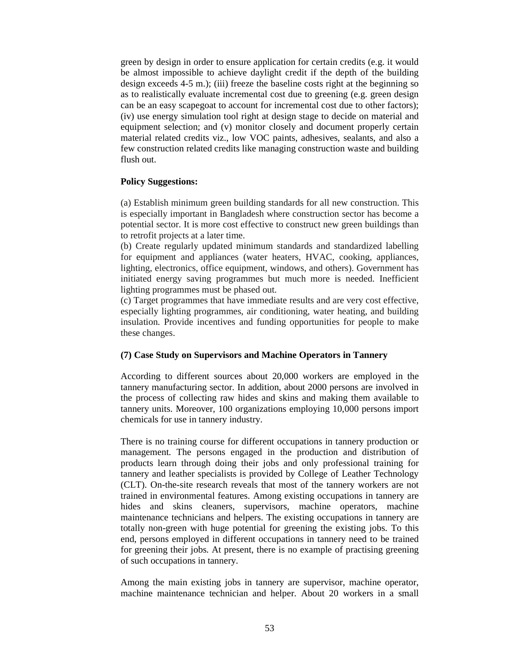green by design in order to ensure application for certain credits (e.g. it would be almost impossible to achieve daylight credit if the depth of the building design exceeds  $4-5$  m.); (iii) freeze the baseline costs right at the beginning so as to realistically evaluate incremental cost due to greening (e.g. green design can be an easy scapegoat to account for incremental cost due to other factors); (iv) use energy simulation tool right at design stage to decide on material and equipment selection; and (v) monitor closely and document properly certain material related credits viz., low VOC paints, adhesives, sealants, and also a few construction related credits like managing construction waste and building flush out.

### **Policy Suggestions:**

(a) Establish minimum green building standards for all new construction. This is especially important in Bangladesh where construction sector has become a potential sector. It is more cost effective to construct new green buildings than to retrofit projects at a later time.

(b) Create regularly updated minimum standards and standardized labelling for equipment and appliances (water heaters, HVAC, cooking, appliances, lighting, electronics, office equipment, windows, and others). Government has initiated energy saving programmes but much more is needed. Inefficient lighting programmes must be phased out.

(c) Target programmes that have immediate results and are very cost effective, especially lighting programmes, air conditioning, water heating, and building insulation. Provide incentives and funding opportunities for people to make these changes.

## **(7) Case Study on Supervisors and Machine Operators in Tannery**

According to different sources about 20,000 workers are employed in the tannery manufacturing sector. In addition, about 2000 persons are involved in the process of collecting raw hides and skins and making them available to tannery units. Moreover, 100 organizations employing 10,000 persons import chemicals for use in tannery industry.

There is no training course for different occupations in tannery production or management. The persons engaged in the production and distribution of products learn through doing their jobs and only professional training for tannery and leather specialists is provided by College of Leather Technology (CLT). On-the-site research reveals that most of the tannery workers are not trained in environmental features. Among existing occupations in tannery are hides and skins cleaners, supervisors, machine operators, machine maintenance technicians and helpers. The existing occupations in tannery are totally non-green with huge potential for greening the existing jobs. To this end, persons employed in different occupations in tannery need to be trained for greening their jobs. At present, there is no example of practising greening of such occupations in tannery.

Among the main existing jobs in tannery are supervisor, machine operator, machine maintenance technician and helper. About 20 workers in a small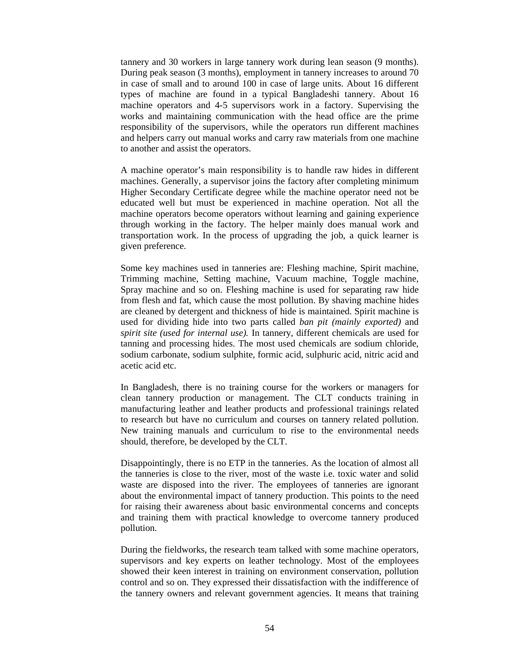tannery and 30 workers in large tannery work during lean season (9 months). During peak season (3 months), employment in tannery increases to around 70 in case of small and to around 100 in case of large units. About 16 different types of machine are found in a typical Bangladeshi tannery. About 16 machine operators and 4-5 supervisors work in a factory. Supervising the works and maintaining communication with the head office are the prime responsibility of the supervisors, while the operators run different machines and helpers carry out manual works and carry raw materials from one machine to another and assist the operators.

A machine operator's main responsibility is to handle raw hides in different machines. Generally, a supervisor joins the factory after completing minimum Higher Secondary Certificate degree while the machine operator need not be educated well but must be experienced in machine operation. Not all the machine operators become operators without learning and gaining experience through working in the factory. The helper mainly does manual work and transportation work. In the process of upgrading the job, a quick learner is given preference.

Some key machines used in tanneries are: Fleshing machine, Spirit machine, Trimming machine, Setting machine, Vacuum machine, Toggle machine, Spray machine and so on. Fleshing machine is used for separating raw hide from flesh and fat, which cause the most pollution. By shaving machine hides are cleaned by detergent and thickness of hide is maintained. Spirit machine is used for dividing hide into two parts called *ban pit (mainly exported)* and *spirit site (used for internal use).* In tannery, different chemicals are used for tanning and processing hides. The most used chemicals are sodium chloride, sodium carbonate, sodium sulphite, formic acid, sulphuric acid, nitric acid and acetic acid etc.

In Bangladesh, there is no training course for the workers or managers for clean tannery production or management. The CLT conducts training in manufacturing leather and leather products and professional trainings related to research but have no curriculum and courses on tannery related pollution. New training manuals and curriculum to rise to the environmental needs should, therefore, be developed by the CLT.

Disappointingly, there is no ETP in the tanneries. As the location of almost all the tanneries is close to the river, most of the waste i.e. toxic water and solid waste are disposed into the river. The employees of tanneries are ignorant about the environmental impact of tannery production. This points to the need for raising their awareness about basic environmental concerns and concepts and training them with practical knowledge to overcome tannery produced pollution.

During the fieldworks, the research team talked with some machine operators, supervisors and key experts on leather technology. Most of the employees showed their keen interest in training on environment conservation, pollution control and so on. They expressed their dissatisfaction with the indifference of the tannery owners and relevant government agencies. It means that training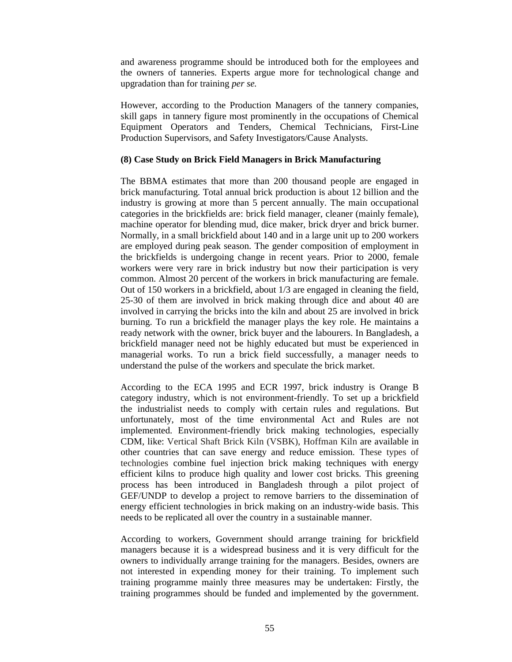and awareness programme should be introduced both for the employees and the owners of tanneries. Experts argue more for technological change and upgradation than for training *per se.*

However, according to the Production Managers of the tannery companies, skill gaps in tannery figure most prominently in the occupations of Chemical Equipment Operators and Tenders, Chemical Technicians, First-Line Production Supervisors, and Safety Investigators/Cause Analysts.

## **(8) Case Study on Brick Field Managers in Brick Manufacturing**

The BBMA estimates that more than 200 thousand people are engaged in brick manufacturing. Total annual brick production is about 12 billion and the industry is growing at more than 5 percent annually. The main occupational categories in the brickfields are: brick field manager, cleaner (mainly female), machine operator for blending mud, dice maker, brick dryer and brick burner. Normally, in a small brickfield about 140 and in a large unit up to 200 workers are employed during peak season. The gender composition of employment in the brickfields is undergoing change in recent years. Prior to 2000, female workers were very rare in brick industry but now their participation is very common. Almost 20 percent of the workers in brick manufacturing are female. Out of 150 workers in a brickfield, about 1/3 are engaged in cleaning the field, 25-30 of them are involved in brick making through dice and about 40 are involved in carrying the bricks into the kiln and about 25 are involved in brick burning. To run a brickfield the manager plays the key role. He maintains a ready network with the owner, brick buyer and the labourers. In Bangladesh, a brickfield manager need not be highly educated but must be experienced in managerial works. To run a brick field successfully, a manager needs to understand the pulse of the workers and speculate the brick market.

According to the ECA 1995 and ECR 1997, brick industry is Orange B category industry, which is not environment-friendly. To set up a brickfield the industrialist needs to comply with certain rules and regulations. But unfortunately, most of the time environmental Act and Rules are not implemented. Environment-friendly brick making technologies, especially CDM, like: Vertical Shaft Brick Kiln (VSBK), Hoffman Kiln are available in other countries that can save energy and reduce emission. These types of technologies combine fuel injection brick making techniques with energy efficient kilns to produce high quality and lower cost bricks. This greening process has been introduced in Bangladesh through a pilot project of GEF/UNDP to develop a project to remove barriers to the dissemination of energy efficient technologies in brick making on an industry-wide basis. This needs to be replicated all over the country in a sustainable manner.

According to workers, Government should arrange training for brickfield managers because it is a widespread business and it is very difficult for the owners to individually arrange training for the managers. Besides, owners are not interested in expending money for their training. To implement such training programme mainly three measures may be undertaken: Firstly, the training programmes should be funded and implemented by the government.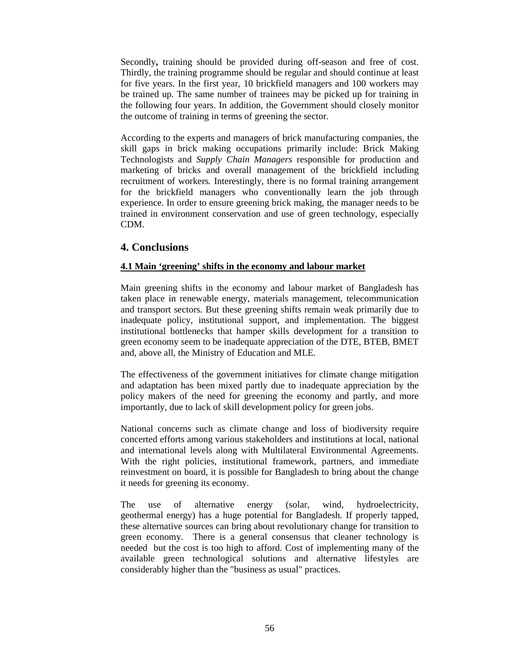Secondly**,** training should be provided during off-season and free of cost. Thirdly, the training programme should be regular and should continue at least for five years. In the first year, 10 brickfield managers and 100 workers may be trained up. The same number of trainees may be picked up for training in the following four years. In addition, the Government should closely monitor the outcome of training in terms of greening the sector.

According to the experts and managers of brick manufacturing companies, the skill gaps in brick making occupations primarily include: Brick Making Technologists and *Supply Chain Managers* responsible for production and marketing of bricks and overall management of the brickfield including recruitment of workers*.* Interestingly, there is no formal training arrangement for the brickfield managers who conventionally learn the job through experience. In order to ensure greening brick making, the manager needs to be trained in environment conservation and use of green technology, especially CDM.

# **4. Conclusions**

# **4.1 Main 'greening' shifts in the economy and labour market**

Main greening shifts in the economy and labour market of Bangladesh has taken place in renewable energy, materials management, telecommunication and transport sectors. But these greening shifts remain weak primarily due to inadequate policy, institutional support, and implementation. The biggest institutional bottlenecks that hamper skills development for a transition to green economy seem to be inadequate appreciation of the DTE, BTEB, BMET and, above all, the Ministry of Education and MLE.

The effectiveness of the government initiatives for climate change mitigation and adaptation has been mixed partly due to inadequate appreciation by the policy makers of the need for greening the economy and partly, and more importantly, due to lack of skill development policy for green jobs.

National concerns such as climate change and loss of biodiversity require concerted efforts among various stakeholders and institutions at local, national and international levels along with Multilateral Environmental Agreements. With the right policies, institutional framework, partners, and immediate reinvestment on board, it is possible for Bangladesh to bring about the change it needs for greening its economy.

The use of alternative energy (solar, wind, hydroelectricity, geothermal energy) has a huge potential for Bangladesh. If properly tapped, these alternative sources can bring about revolutionary change for transition to green economy. There is a general consensus that cleaner technology is needed but the cost is too high to afford. Cost of implementing many of the available green technological solutions and alternative lifestyles are considerably higher than the "business as usual" practices.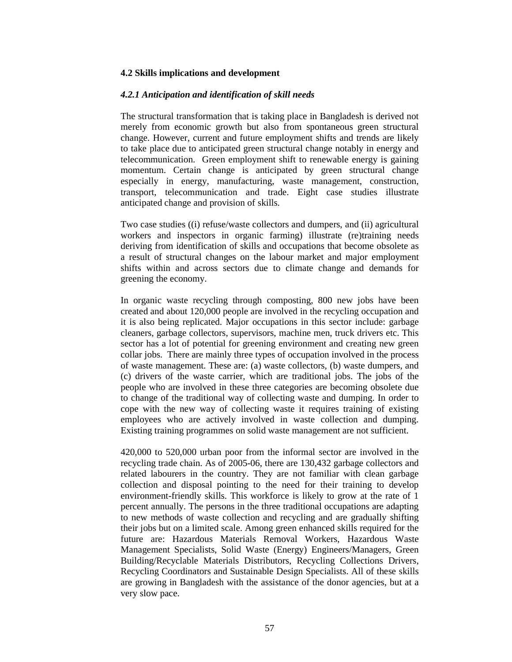## **4.2 Skills implications and development**

### *4.2.1 Anticipation and identification of skill needs*

The structural transformation that is taking place in Bangladesh is derived not merely from economic growth but also from spontaneous green structural change. However, current and future employment shifts and trends are likely to take place due to anticipated green structural change notably in energy and telecommunication. Green employment shift to renewable energy is gaining momentum. Certain change is anticipated by green structural change especially in energy, manufacturing, waste management, construction, transport, telecommunication and trade. Eight case studies illustrate anticipated change and provision of skills.

Two case studies ((i) refuse/waste collectors and dumpers, and (ii) agricultural workers and inspectors in organic farming) illustrate (re)training needs deriving from identification of skills and occupations that become obsolete as a result of structural changes on the labour market and major employment shifts within and across sectors due to climate change and demands for greening the economy.

In organic waste recycling through composting, 800 new jobs have been created and about 120,000 people are involved in the recycling occupation and it is also being replicated. Major occupations in this sector include: garbage cleaners, garbage collectors, supervisors, machine men, truck drivers etc. This sector has a lot of potential for greening environment and creating new green collar jobs. There are mainly three types of occupation involved in the process of waste management. These are: (a) waste collectors, (b) waste dumpers, and (c) drivers of the waste carrier, which are traditional jobs. The jobs of the people who are involved in these three categories are becoming obsolete due to change of the traditional way of collecting waste and dumping. In order to cope with the new way of collecting waste it requires training of existing employees who are actively involved in waste collection and dumping. Existing training programmes on solid waste management are not sufficient.

420,000 to 520,000 urban poor from the informal sector are involved in the recycling trade chain. As of 2005-06, there are 130,432 garbage collectors and related labourers in the country. They are not familiar with clean garbage collection and disposal pointing to the need for their training to develop environment-friendly skills. This workforce is likely to grow at the rate of 1 percent annually. The persons in the three traditional occupations are adapting to new methods of waste collection and recycling and are gradually shifting their jobs but on a limited scale. Among green enhanced skills required for the future are: Hazardous Materials Removal Workers, Hazardous Waste Management Specialists, Solid Waste (Energy) Engineers/Managers, Green Building/Recyclable Materials Distributors, Recycling Collections Drivers, Recycling Coordinators and Sustainable Design Specialists. All of these skills are growing in Bangladesh with the assistance of the donor agencies, but at a very slow pace.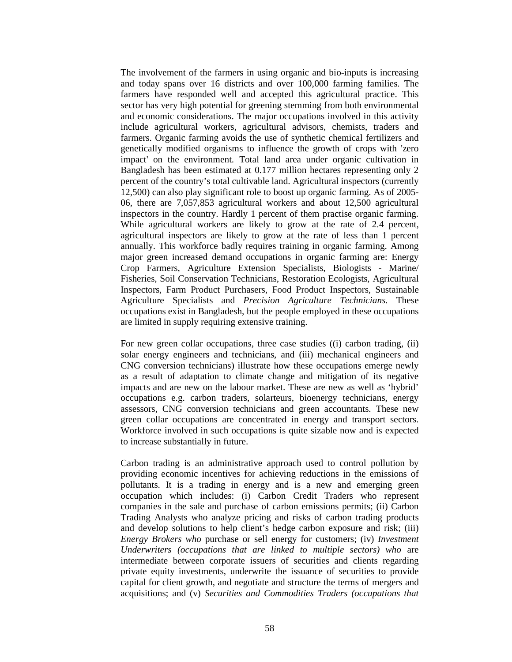The involvement of the farmers in using organic and bio-inputs is increasing and today spans over 16 districts and over 100,000 farming families. The farmers have responded well and accepted this agricultural practice. This sector has very high potential for greening stemming from both environmental and economic considerations. The major occupations involved in this activity include agricultural workers, agricultural advisors, chemists, traders and farmers. Organic farming avoids the use of synthetic chemical fertilizers and genetically modified organisms to influence the growth of crops with 'zero impact' on the environment. Total land area under organic cultivation in Bangladesh has been estimated at 0.177 million hectares representing only 2 percent of the country's total cultivable land. Agricultural inspectors (currently 12,500) can also play significant role to boost up organic farming. As of 2005- 06, there are 7,057,853 agricultural workers and about 12,500 agricultural inspectors in the country. Hardly 1 percent of them practise organic farming. While agricultural workers are likely to grow at the rate of 2.4 percent, agricultural inspectors are likely to grow at the rate of less than 1 percent annually. This workforce badly requires training in organic farming. Among major green increased demand occupations in organic farming are: Energy Crop Farmers, Agriculture Extension Specialists, Biologists - Marine/ Fisheries, Soil Conservation Technicians, Restoration Ecologists, Agricultural Inspectors, Farm Product Purchasers, Food Product Inspectors, Sustainable Agriculture Specialists and *Precision Agriculture Technicians.* These occupations exist in Bangladesh, but the people employed in these occupations are limited in supply requiring extensive training.

For new green collar occupations, three case studies ((i) carbon trading, (ii) solar energy engineers and technicians, and (iii) mechanical engineers and CNG conversion technicians) illustrate how these occupations emerge newly as a result of adaptation to climate change and mitigation of its negative impacts and are new on the labour market. These are new as well as 'hybrid' occupations e.g. carbon traders, solarteurs, bioenergy technicians, energy assessors, CNG conversion technicians and green accountants. These new green collar occupations are concentrated in energy and transport sectors. Workforce involved in such occupations is quite sizable now and is expected to increase substantially in future.

Carbon trading is an administrative approach used to control pollution by providing economic incentives for achieving reductions in the emissions of pollutants. It is a trading in energy and is a new and emerging green occupation which includes: (i) Carbon Credit Traders who represent companies in the sale and purchase of carbon emissions permits; (ii) Carbon Trading Analysts who analyze pricing and risks of carbon trading products and develop solutions to help client's hedge carbon exposure and risk; (iii) *Energy Brokers who* purchase or sell energy for customers; (iv) *Investment Underwriters (occupations that are linked to multiple sectors) who* are intermediate between corporate issuers of securities and clients regarding private equity investments, underwrite the issuance of securities to provide capital for client growth, and negotiate and structure the terms of mergers and acquisitions; and (v) *Securities and Commodities Traders (occupations that*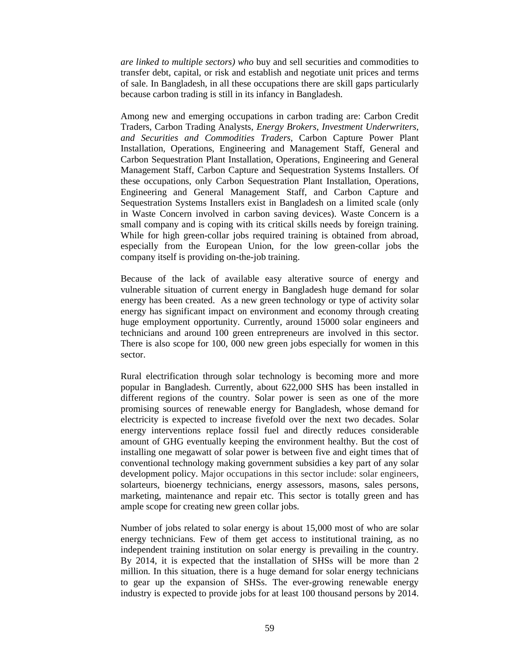*are linked to multiple sectors) who* buy and sell securities and commodities to transfer debt, capital, or risk and establish and negotiate unit prices and terms of sale. In Bangladesh, in all these occupations there are skill gaps particularly because carbon trading is still in its infancy in Bangladesh.

Among new and emerging occupations in carbon trading are: Carbon Credit Traders, Carbon Trading Analysts, *Energy Brokers, Investment Underwriters, and Securities and Commodities Traders,* Carbon Capture Power Plant Installation, Operations, Engineering and Management Staff, General and Carbon Sequestration Plant Installation, Operations, Engineering and General Management Staff, Carbon Capture and Sequestration Systems Installers. Of these occupations, only Carbon Sequestration Plant Installation, Operations, Engineering and General Management Staff, and Carbon Capture and Sequestration Systems Installers exist in Bangladesh on a limited scale (only in Waste Concern involved in carbon saving devices). Waste Concern is a small company and is coping with its critical skills needs by foreign training. While for high green-collar jobs required training is obtained from abroad, especially from the European Union, for the low green-collar jobs the company itself is providing on-the-job training.

Because of the lack of available easy alterative source of energy and vulnerable situation of current energy in Bangladesh huge demand for solar energy has been created. As a new green technology or type of activity solar energy has significant impact on environment and economy through creating huge employment opportunity. Currently, around 15000 solar engineers and technicians and around 100 green entrepreneurs are involved in this sector. There is also scope for 100, 000 new green jobs especially for women in this sector.

Rural electrification through solar technology is becoming more and more popular in Bangladesh. Currently, about 622,000 SHS has been installed in different regions of the country. Solar power is seen as one of the more promising sources of renewable energy for Bangladesh, whose demand for electricity is expected to increase fivefold over the next two decades. Solar energy interventions replace fossil fuel and directly reduces considerable amount of GHG eventually keeping the environment healthy. But the cost of installing one megawatt of solar power is between five and eight times that of conventional technology making government subsidies a key part of any solar development policy. Major occupations in this sector include: solar engineers, solarteurs, bioenergy technicians, energy assessors, masons, sales persons, marketing, maintenance and repair etc. This sector is totally green and has ample scope for creating new green collar jobs.

Number of jobs related to solar energy is about 15,000 most of who are solar energy technicians. Few of them get access to institutional training, as no independent training institution on solar energy is prevailing in the country. By 2014, it is expected that the installation of SHSs will be more than 2 million. In this situation, there is a huge demand for solar energy technicians to gear up the expansion of SHSs. The ever-growing renewable energy industry is expected to provide jobs for at least 100 thousand persons by 2014.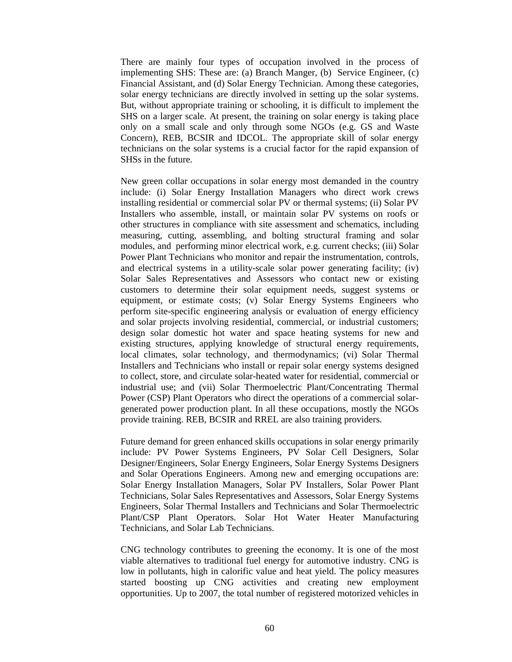There are mainly four types of occupation involved in the process of implementing SHS: These are: (a) Branch Manger, (b) Service Engineer, (c) Financial Assistant, and (d) Solar Energy Technician. Among these categories, solar energy technicians are directly involved in setting up the solar systems. But, without appropriate training or schooling, it is difficult to implement the SHS on a larger scale. At present, the training on solar energy is taking place only on a small scale and only through some NGOs (e.g. GS and Waste Concern), REB, BCSIR and IDCOL. The appropriate skill of solar energy technicians on the solar systems is a crucial factor for the rapid expansion of SHSs in the future.

New green collar occupations in solar energy most demanded in the country include: (i) Solar Energy Installation Managers who direct work crews installing residential or commercial solar PV or thermal systems; (ii) Solar PV Installers who assemble, install, or maintain solar PV systems on roofs or other structures in compliance with site assessment and schematics, including measuring, cutting, assembling, and bolting structural framing and solar modules, and performing minor electrical work, e.g. current checks; (iii) Solar Power Plant Technicians who monitor and repair the instrumentation, controls, and electrical systems in a utility-scale solar power generating facility; (iv) Solar Sales Representatives and Assessors who contact new or existing customers to determine their solar equipment needs, suggest systems or equipment, or estimate costs; (v) Solar Energy Systems Engineers who perform site-specific engineering analysis or evaluation of energy efficiency and solar projects involving residential, commercial, or industrial customers; design solar domestic hot water and space heating systems for new and existing structures, applying knowledge of structural energy requirements, local climates, solar technology, and thermodynamics; (vi) Solar Thermal Installers and Technicians who install or repair solar energy systems designed to collect, store, and circulate solar-heated water for residential, commercial or industrial use; and (vii) Solar Thermoelectric Plant/Concentrating Thermal Power (CSP) Plant Operators who direct the operations of a commercial solargenerated power production plant. In all these occupations, mostly the NGOs provide training. REB, BCSIR and RREL are also training providers.

Future demand for green enhanced skills occupations in solar energy primarily include: PV Power Systems Engineers, PV Solar Cell Designers, Solar Designer/Engineers, Solar Energy Engineers, Solar Energy Systems Designers and Solar Operations Engineers. Among new and emerging occupations are: Solar Energy Installation Managers, Solar PV Installers, Solar Power Plant Technicians, Solar Sales Representatives and Assessors, Solar Energy Systems Engineers, Solar Thermal Installers and Technicians and Solar Thermoelectric Plant/CSP Plant Operators. Solar Hot Water Heater Manufacturing Technicians, and Solar Lab Technicians.

CNG technology contributes to greening the economy. It is one of the most viable alternatives to traditional fuel energy for automotive industry. CNG is low in pollutants, high in calorific value and heat yield. The policy measures started boosting up CNG activities and creating new employment opportunities. Up to 2007, the total number of registered motorized vehicles in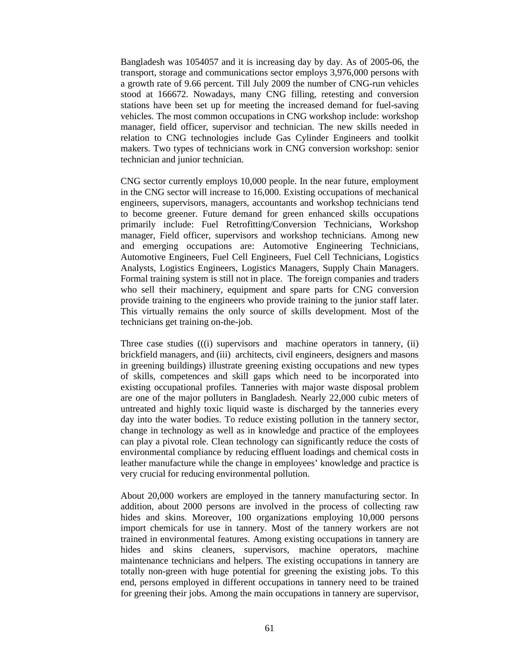Bangladesh was 1054057 and it is increasing day by day. As of 2005-06, the transport, storage and communications sector employs 3,976,000 persons with a growth rate of 9.66 percent. Till July 2009 the number of CNG-run vehicles stood at 166672. Nowadays, many CNG filling, retesting and conversion stations have been set up for meeting the increased demand for fuel-saving vehicles. The most common occupations in CNG workshop include: workshop manager, field officer, supervisor and technician. The new skills needed in relation to CNG technologies include Gas Cylinder Engineers and toolkit makers. Two types of technicians work in CNG conversion workshop: senior technician and junior technician.

CNG sector currently employs 10,000 people. In the near future, employment in the CNG sector will increase to 16,000. Existing occupations of mechanical engineers, supervisors, managers, accountants and workshop technicians tend to become greener. Future demand for green enhanced skills occupations primarily include: Fuel Retrofitting/Conversion Technicians, Workshop manager, Field officer, supervisors and workshop technicians. Among new and emerging occupations are: Automotive Engineering Technicians, Automotive Engineers, Fuel Cell Engineers, Fuel Cell Technicians, Logistics Analysts, Logistics Engineers, Logistics Managers, Supply Chain Managers. Formal training system is still not in place. The foreign companies and traders who sell their machinery, equipment and spare parts for CNG conversion provide training to the engineers who provide training to the junior staff later. This virtually remains the only source of skills development. Most of the technicians get training on-the-job.

Three case studies (((i) supervisors and machine operators in tannery, (ii) brickfield managers, and (iii) architects, civil engineers, designers and masons in greening buildings) illustrate greening existing occupations and new types of skills, competences and skill gaps which need to be incorporated into existing occupational profiles. Tanneries with major waste disposal problem are one of the major polluters in Bangladesh. Nearly 22,000 cubic meters of untreated and highly toxic liquid waste is discharged by the tanneries every day into the water bodies. To reduce existing pollution in the tannery sector, change in technology as well as in knowledge and practice of the employees can play a pivotal role. Clean technology can significantly reduce the costs of environmental compliance by reducing effluent loadings and chemical costs in leather manufacture while the change in employees' knowledge and practice is very crucial for reducing environmental pollution.

About 20,000 workers are employed in the tannery manufacturing sector. In addition, about 2000 persons are involved in the process of collecting raw hides and skins. Moreover, 100 organizations employing 10,000 persons import chemicals for use in tannery. Most of the tannery workers are not trained in environmental features. Among existing occupations in tannery are hides and skins cleaners, supervisors, machine operators, machine maintenance technicians and helpers. The existing occupations in tannery are totally non-green with huge potential for greening the existing jobs. To this end, persons employed in different occupations in tannery need to be trained for greening their jobs. Among the main occupations in tannery are supervisor,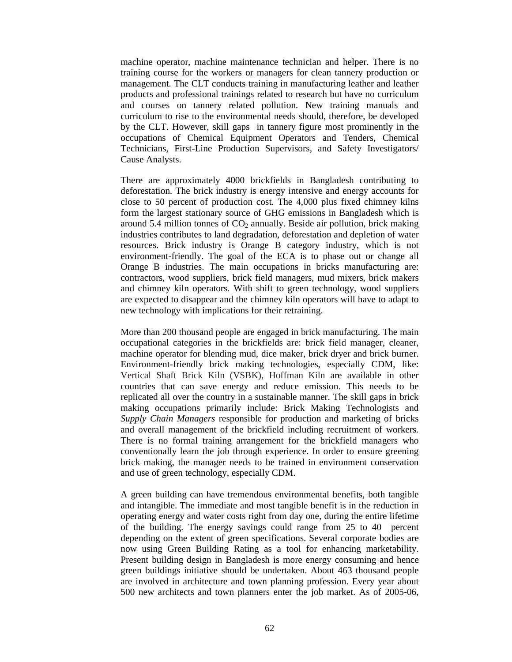machine operator, machine maintenance technician and helper. There is no training course for the workers or managers for clean tannery production or management. The CLT conducts training in manufacturing leather and leather products and professional trainings related to research but have no curriculum and courses on tannery related pollution. New training manuals and curriculum to rise to the environmental needs should, therefore, be developed by the CLT. However, skill gaps in tannery figure most prominently in the occupations of Chemical Equipment Operators and Tenders, Chemical Technicians, First-Line Production Supervisors, and Safety Investigators/ Cause Analysts.

There are approximately 4000 brickfields in Bangladesh contributing to deforestation. The brick industry is energy intensive and energy accounts for close to 50 percent of production cost. The 4,000 plus fixed chimney kilns form the largest stationary source of GHG emissions in Bangladesh which is around 5.4 million tonnes of  $CO<sub>2</sub>$  annually. Beside air pollution, brick making industries contributes to land degradation, deforestation and depletion of water resources. Brick industry is Orange B category industry, which is not environment-friendly. The goal of the ECA is to phase out or change all Orange B industries. The main occupations in bricks manufacturing are: contractors, wood suppliers, brick field managers, mud mixers, brick makers and chimney kiln operators. With shift to green technology, wood suppliers are expected to disappear and the chimney kiln operators will have to adapt to new technology with implications for their retraining.

More than 200 thousand people are engaged in brick manufacturing. The main occupational categories in the brickfields are: brick field manager, cleaner, machine operator for blending mud, dice maker, brick dryer and brick burner. Environment-friendly brick making technologies, especially CDM, like: Vertical Shaft Brick Kiln (VSBK), Hoffman Kiln are available in other countries that can save energy and reduce emission. This needs to be replicated all over the country in a sustainable manner. The skill gaps in brick making occupations primarily include: Brick Making Technologists and *Supply Chain Managers* responsible for production and marketing of bricks and overall management of the brickfield including recruitment of workers*.* There is no formal training arrangement for the brickfield managers who conventionally learn the job through experience. In order to ensure greening brick making, the manager needs to be trained in environment conservation and use of green technology, especially CDM.

A green building can have tremendous environmental benefits, both tangible and intangible. The immediate and most tangible benefit is in the reduction in operating energy and water costs right from day one, during the entire lifetime of the building. The energy savings could range from 25 to 40 percent depending on the extent of green specifications. Several corporate bodies are now using Green Building Rating as a tool for enhancing marketability. Present building design in Bangladesh is more energy consuming and hence green buildings initiative should be undertaken. About 463 thousand people are involved in architecture and town planning profession. Every year about 500 new architects and town planners enter the job market. As of 2005-06,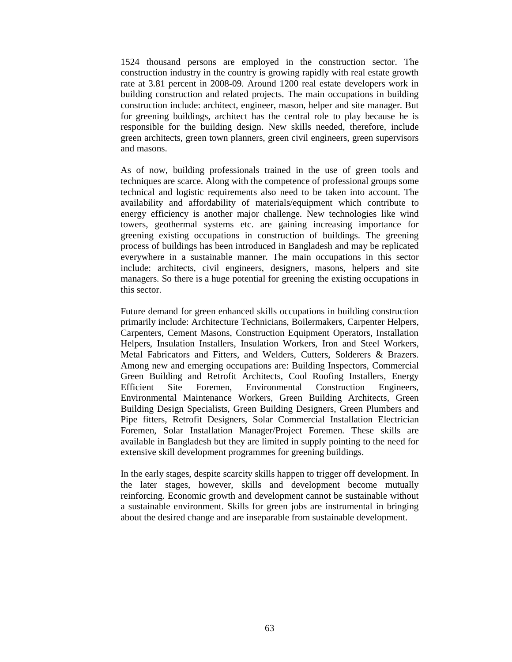1524 thousand persons are employed in the construction sector. The construction industry in the country is growing rapidly with real estate growth rate at 3.81 percent in 2008-09. Around 1200 real estate developers work in building construction and related projects. The main occupations in building construction include: architect, engineer, mason, helper and site manager. But for greening buildings, architect has the central role to play because he is responsible for the building design. New skills needed, therefore, include green architects, green town planners, green civil engineers, green supervisors and masons.

As of now, building professionals trained in the use of green tools and techniques are scarce. Along with the competence of professional groups some technical and logistic requirements also need to be taken into account. The availability and affordability of materials/equipment which contribute to energy efficiency is another major challenge. New technologies like wind towers, geothermal systems etc. are gaining increasing importance for greening existing occupations in construction of buildings. The greening process of buildings has been introduced in Bangladesh and may be replicated everywhere in a sustainable manner. The main occupations in this sector include: architects, civil engineers, designers, masons, helpers and site managers. So there is a huge potential for greening the existing occupations in this sector.

Future demand for green enhanced skills occupations in building construction primarily include: Architecture Technicians, Boilermakers, Carpenter Helpers, Carpenters, Cement Masons, Construction Equipment Operators, Installation Helpers, Insulation Installers, Insulation Workers, Iron and Steel Workers, Metal Fabricators and Fitters, and Welders, Cutters, Solderers & Brazers. Among new and emerging occupations are: Building Inspectors, Commercial Green Building and Retrofit Architects, Cool Roofing Installers, Energy Efficient Site Foremen, Environmental Construction Engineers, Environmental Maintenance Workers, Green Building Architects, Green Building Design Specialists, Green Building Designers, Green Plumbers and Pipe fitters, Retrofit Designers, Solar Commercial Installation Electrician Foremen, Solar Installation Manager/Project Foremen. These skills are available in Bangladesh but they are limited in supply pointing to the need for extensive skill development programmes for greening buildings.

In the early stages, despite scarcity skills happen to trigger off development. In the later stages, however, skills and development become mutually reinforcing. Economic growth and development cannot be sustainable without a sustainable environment. Skills for green jobs are instrumental in bringing about the desired change and are inseparable from sustainable development.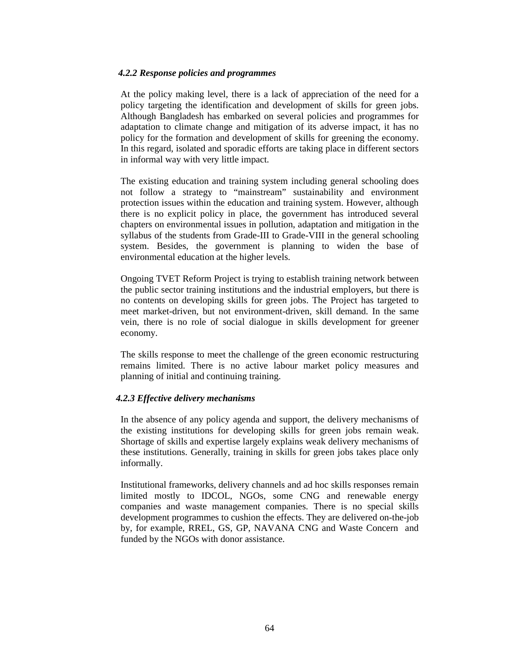### *4.2.2 Response policies and programmes*

At the policy making level, there is a lack of appreciation of the need for a policy targeting the identification and development of skills for green jobs. Although Bangladesh has embarked on several policies and programmes for adaptation to climate change and mitigation of its adverse impact, it has no policy for the formation and development of skills for greening the economy. In this regard, isolated and sporadic efforts are taking place in different sectors in informal way with very little impact.

The existing education and training system including general schooling does not follow a strategy to "mainstream" sustainability and environment protection issues within the education and training system. However, although there is no explicit policy in place, the government has introduced several chapters on environmental issues in pollution, adaptation and mitigation in the syllabus of the students from Grade-III to Grade-VIII in the general schooling system. Besides, the government is planning to widen the base of environmental education at the higher levels.

Ongoing TVET Reform Project is trying to establish training network between the public sector training institutions and the industrial employers, but there is no contents on developing skills for green jobs. The Project has targeted to meet market-driven, but not environment-driven, skill demand. In the same vein, there is no role of social dialogue in skills development for greener economy.

The skills response to meet the challenge of the green economic restructuring remains limited. There is no active labour market policy measures and planning of initial and continuing training.

### *4.2.3 Effective delivery mechanisms*

In the absence of any policy agenda and support, the delivery mechanisms of the existing institutions for developing skills for green jobs remain weak. Shortage of skills and expertise largely explains weak delivery mechanisms of these institutions. Generally, training in skills for green jobs takes place only informally.

Institutional frameworks, delivery channels and ad hoc skills responses remain limited mostly to IDCOL, NGOs, some CNG and renewable energy companies and waste management companies. There is no special skills development programmes to cushion the effects. They are delivered on-the-job by, for example, RREL, GS, GP, NAVANA CNG and Waste Concern and funded by the NGOs with donor assistance.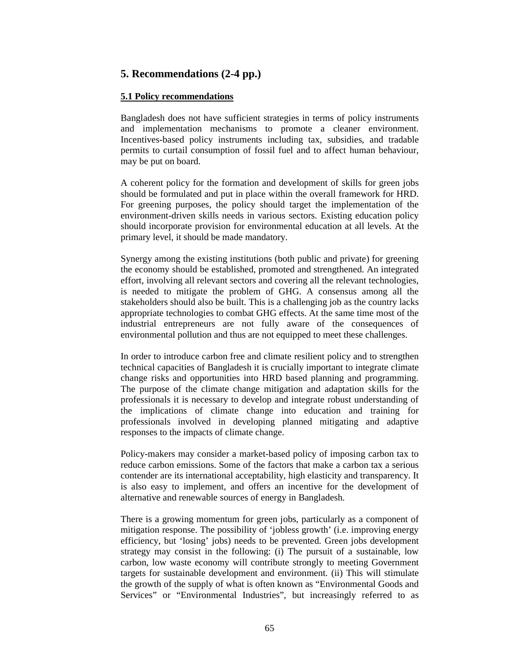## **5. Recommendations (2-4 pp.)**

### **5.1 Policy recommendations**

Bangladesh does not have sufficient strategies in terms of policy instruments and implementation mechanisms to promote a cleaner environment. Incentives-based policy instruments including tax, subsidies, and tradable permits to curtail consumption of fossil fuel and to affect human behaviour, may be put on board.

A coherent policy for the formation and development of skills for green jobs should be formulated and put in place within the overall framework for HRD. For greening purposes, the policy should target the implementation of the environment-driven skills needs in various sectors. Existing education policy should incorporate provision for environmental education at all levels. At the primary level, it should be made mandatory.

Synergy among the existing institutions (both public and private) for greening the economy should be established, promoted and strengthened. An integrated effort, involving all relevant sectors and covering all the relevant technologies, is needed to mitigate the problem of GHG. A consensus among all the stakeholders should also be built. This is a challenging job as the country lacks appropriate technologies to combat GHG effects. At the same time most of the industrial entrepreneurs are not fully aware of the consequences of environmental pollution and thus are not equipped to meet these challenges.

In order to introduce carbon free and climate resilient policy and to strengthen technical capacities of Bangladesh it is crucially important to integrate climate change risks and opportunities into HRD based planning and programming. The purpose of the climate change mitigation and adaptation skills for the professionals it is necessary to develop and integrate robust understanding of the implications of climate change into education and training for professionals involved in developing planned mitigating and adaptive responses to the impacts of climate change.

Policy-makers may consider a market-based policy of imposing carbon tax to reduce carbon emissions. Some of the factors that make a carbon tax a serious contender are its international acceptability, high elasticity and transparency. It is also easy to implement, and offers an incentive for the development of alternative and renewable sources of energy in Bangladesh.

There is a growing momentum for green jobs, particularly as a component of mitigation response. The possibility of 'jobless growth' (i.e. improving energy efficiency, but 'losing' jobs) needs to be prevented. Green jobs development strategy may consist in the following: (i) The pursuit of a sustainable, low carbon, low waste economy will contribute strongly to meeting Government targets for sustainable development and environment. (ii) This will stimulate the growth of the supply of what is often known as "Environmental Goods and Services" or "Environmental Industries", but increasingly referred to as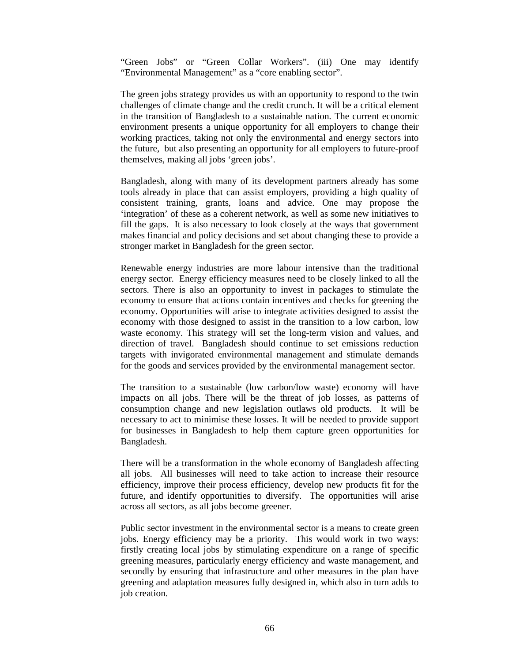"Green Jobs" or "Green Collar Workers". (iii) One may identify "Environmental Management" as a "core enabling sector".

The green jobs strategy provides us with an opportunity to respond to the twin challenges of climate change and the credit crunch. It will be a critical element in the transition of Bangladesh to a sustainable nation. The current economic environment presents a unique opportunity for all employers to change their working practices, taking not only the environmental and energy sectors into the future, but also presenting an opportunity for all employers to future-proof themselves, making all jobs 'green jobs'.

Bangladesh, along with many of its development partners already has some tools already in place that can assist employers, providing a high quality of consistent training, grants, loans and advice. One may propose the 'integration' of these as a coherent network, as well as some new initiatives to fill the gaps. It is also necessary to look closely at the ways that government makes financial and policy decisions and set about changing these to provide a stronger market in Bangladesh for the green sector.

Renewable energy industries are more labour intensive than the traditional energy sector. Energy efficiency measures need to be closely linked to all the sectors. There is also an opportunity to invest in packages to stimulate the economy to ensure that actions contain incentives and checks for greening the economy. Opportunities will arise to integrate activities designed to assist the economy with those designed to assist in the transition to a low carbon, low waste economy. This strategy will set the long-term vision and values, and direction of travel. Bangladesh should continue to set emissions reduction targets with invigorated environmental management and stimulate demands for the goods and services provided by the environmental management sector.

The transition to a sustainable (low carbon/low waste) economy will have impacts on all jobs. There will be the threat of job losses, as patterns of consumption change and new legislation outlaws old products. It will be necessary to act to minimise these losses. It will be needed to provide support for businesses in Bangladesh to help them capture green opportunities for Bangladesh.

There will be a transformation in the whole economy of Bangladesh affecting all jobs. All businesses will need to take action to increase their resource efficiency, improve their process efficiency, develop new products fit for the future, and identify opportunities to diversify. The opportunities will arise across all sectors, as all jobs become greener.

Public sector investment in the environmental sector is a means to create green jobs. Energy efficiency may be a priority. This would work in two ways: firstly creating local jobs by stimulating expenditure on a range of specific greening measures, particularly energy efficiency and waste management, and secondly by ensuring that infrastructure and other measures in the plan have greening and adaptation measures fully designed in, which also in turn adds to job creation.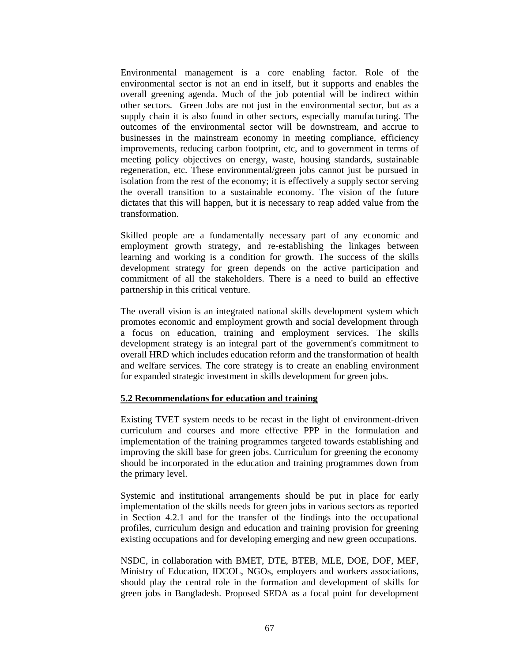Environmental management is a core enabling factor. Role of the environmental sector is not an end in itself, but it supports and enables the overall greening agenda. Much of the job potential will be indirect within other sectors. Green Jobs are not just in the environmental sector, but as a supply chain it is also found in other sectors, especially manufacturing. The outcomes of the environmental sector will be downstream, and accrue to businesses in the mainstream economy in meeting compliance, efficiency improvements, reducing carbon footprint, etc, and to government in terms of meeting policy objectives on energy, waste, housing standards, sustainable regeneration, etc. These environmental/green jobs cannot just be pursued in isolation from the rest of the economy; it is effectively a supply sector serving the overall transition to a sustainable economy. The vision of the future dictates that this will happen, but it is necessary to reap added value from the transformation.

Skilled people are a fundamentally necessary part of any economic and employment growth strategy, and re-establishing the linkages between learning and working is a condition for growth. The success of the skills development strategy for green depends on the active participation and commitment of all the stakeholders. There is a need to build an effective partnership in this critical venture.

The overall vision is an integrated national skills development system which promotes economic and employment growth and social development through a focus on education, training and employment services. The skills development strategy is an integral part of the government's commitment to overall HRD which includes education reform and the transformation of health and welfare services. The core strategy is to create an enabling environment for expanded strategic investment in skills development for green jobs.

### **5.2 Recommendations for education and training**

Existing TVET system needs to be recast in the light of environment-driven curriculum and courses and more effective PPP in the formulation and implementation of the training programmes targeted towards establishing and improving the skill base for green jobs. Curriculum for greening the economy should be incorporated in the education and training programmes down from the primary level.

Systemic and institutional arrangements should be put in place for early implementation of the skills needs for green jobs in various sectors as reported in Section 4.2.1 and for the transfer of the findings into the occupational profiles, curriculum design and education and training provision for greening existing occupations and for developing emerging and new green occupations.

NSDC, in collaboration with BMET, DTE, BTEB, MLE, DOE, DOF, MEF, Ministry of Education, IDCOL, NGOs, employers and workers associations, should play the central role in the formation and development of skills for green jobs in Bangladesh. Proposed SEDA as a focal point for development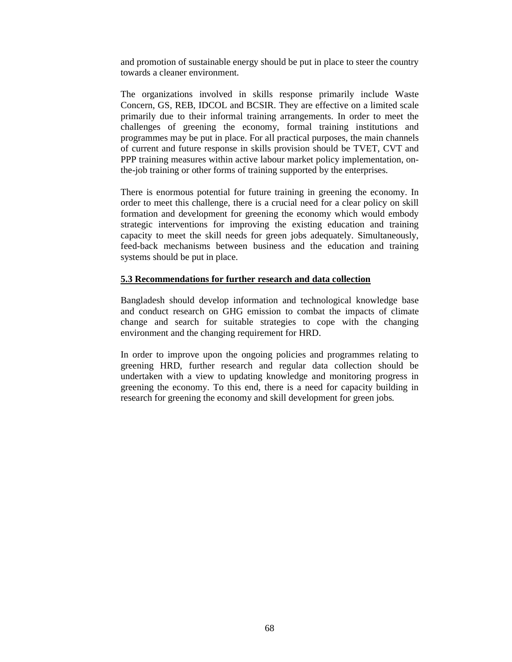and promotion of sustainable energy should be put in place to steer the country towards a cleaner environment.

The organizations involved in skills response primarily include Waste Concern, GS, REB, IDCOL and BCSIR. They are effective on a limited scale primarily due to their informal training arrangements. In order to meet the challenges of greening the economy, formal training institutions and programmes may be put in place. For all practical purposes, the main channels of current and future response in skills provision should be TVET, CVT and PPP training measures within active labour market policy implementation, onthe-job training or other forms of training supported by the enterprises.

There is enormous potential for future training in greening the economy. In order to meet this challenge, there is a crucial need for a clear policy on skill formation and development for greening the economy which would embody strategic interventions for improving the existing education and training capacity to meet the skill needs for green jobs adequately. Simultaneously, feed-back mechanisms between business and the education and training systems should be put in place.

### **5.3 Recommendations for further research and data collection**

Bangladesh should develop information and technological knowledge base and conduct research on GHG emission to combat the impacts of climate change and search for suitable strategies to cope with the changing environment and the changing requirement for HRD.

In order to improve upon the ongoing policies and programmes relating to greening HRD, further research and regular data collection should be undertaken with a view to updating knowledge and monitoring progress in greening the economy. To this end, there is a need for capacity building in research for greening the economy and skill development for green jobs.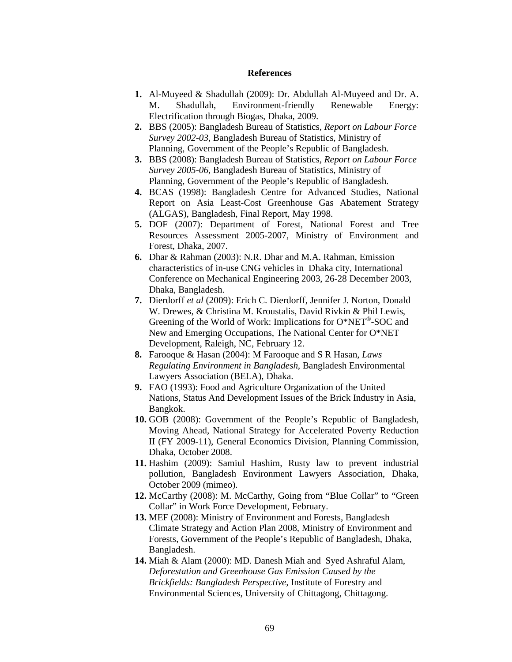#### **References**

- **1.** Al-Muyeed & Shadullah (2009): Dr. Abdullah Al-Muyeed and Dr. A. M. Shadullah, Environment-friendly Renewable Energy: Electrification through Biogas, Dhaka, 2009.
- **2.** BBS (2005): Bangladesh Bureau of Statistics, *Report on Labour Force Survey 2002-03,* Bangladesh Bureau of Statistics, Ministry of Planning, Government of the People's Republic of Bangladesh.
- **3.** BBS (2008): Bangladesh Bureau of Statistics, *Report on Labour Force Survey 2005-06,* Bangladesh Bureau of Statistics, Ministry of Planning, Government of the People's Republic of Bangladesh.
- **4.** BCAS (1998): Bangladesh Centre for Advanced Studies, National Report on Asia Least-Cost Greenhouse Gas Abatement Strategy (ALGAS), Bangladesh, Final Report, May 1998.
- **5.** DOF (2007): Department of Forest, National Forest and Tree Resources Assessment 2005-2007, Ministry of Environment and Forest, Dhaka, 2007.
- **6.** Dhar & Rahman (2003): N.R. Dhar and M.A. Rahman, Emission characteristics of in-use CNG vehicles in Dhaka city, International Conference on Mechanical Engineering 2003, 26-28 December 2003, Dhaka, Bangladesh.
- **7.** Dierdorff *et al* (2009): Erich C. Dierdorff, Jennifer J. Norton, Donald W. Drewes, & Christina M. Kroustalis, David Rivkin & Phil Lewis, Greening of the World of Work: Implications for O\*NET®-SOC and New and Emerging Occupations, The National Center for O\*NET Development, Raleigh, NC, February 12.
- **8.** Farooque & Hasan (2004): M Farooque and S R Hasan, *Laws Regulating Environment in Bangladesh,* Bangladesh Environmental Lawyers Association (BELA), Dhaka.
- **9.** FAO (1993): Food and Agriculture Organization of the United Nations, Status And Development Issues of the Brick Industry in Asia, Bangkok.
- **10.** GOB (2008): Government of the People's Republic of Bangladesh, Moving Ahead, National Strategy for Accelerated Poverty Reduction II (FY 2009-11), General Economics Division, Planning Commission, Dhaka, October 2008.
- **11.** Hashim (2009): Samiul Hashim, Rusty law to prevent industrial pollution, Bangladesh Environment Lawyers Association, Dhaka, October 2009 (mimeo).
- **12.** McCarthy (2008): M. McCarthy, Going from "Blue Collar" to "Green Collar" in Work Force Development, February.
- **13.** MEF (2008): Ministry of Environment and Forests, Bangladesh Climate Strategy and Action Plan 2008, Ministry of Environment and Forests, Government of the People's Republic of Bangladesh, Dhaka, Bangladesh.
- **14.** Miah & Alam (2000): MD. Danesh Miah and Syed Ashraful Alam, *Deforestation and Greenhouse Gas Emission Caused by the Brickfields: Bangladesh Perspective,* Institute of Forestry and Environmental Sciences, University of Chittagong, Chittagong.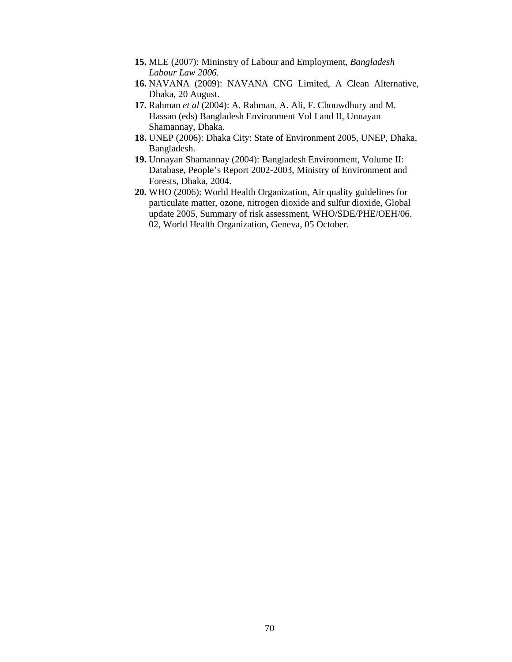- **15.** MLE (2007): Mininstry of Labour and Employment, *Bangladesh Labour Law 2006.*
- **16.** NAVANA (2009): NAVANA CNG Limited, A Clean Alternative, Dhaka, 20 August.
- **17.** Rahman *et al* (2004): A. Rahman, A. Ali, F. Chouwdhury and M. Hassan (eds) Bangladesh Environment Vol I and II, Unnayan Shamannay, Dhaka.
- **18.** UNEP (2006): Dhaka City: State of Environment 2005, UNEP, Dhaka, Bangladesh.
- **19.** Unnayan Shamannay (2004): Bangladesh Environment, Volume II: Database, People's Report 2002-2003, Ministry of Environment and Forests, Dhaka, 2004.
- **20.** WHO (2006): World Health Organization, Air quality guidelines for particulate matter, ozone, nitrogen dioxide and sulfur dioxide, Global update 2005, Summary of risk assessment, WHO/SDE/PHE/OEH/06. 02, World Health Organization, Geneva, 05 October.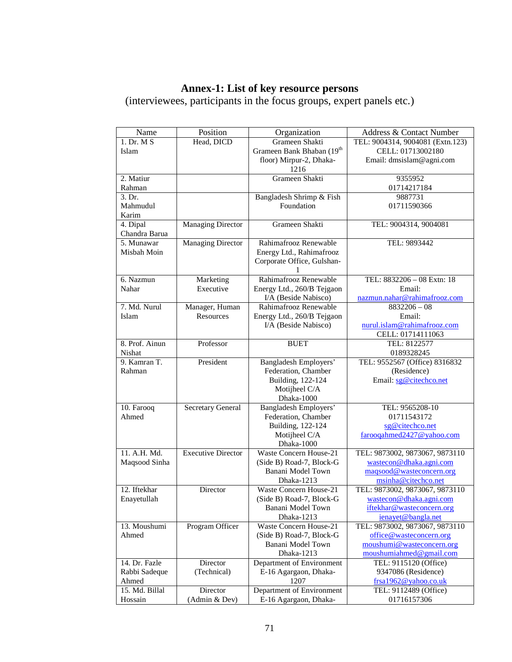## **Annex-1: List of key resource persons**

(interviewees, participants in the focus groups, expert panels etc.)

| Name                           | Position                    | Organization                                       | Address & Contact Number                     |  |  |  |
|--------------------------------|-----------------------------|----------------------------------------------------|----------------------------------------------|--|--|--|
| 1. Dr. M S                     | Head, DICD                  | Grameen Shakti                                     | TEL: 9004314, 9004081 (Extn.123)             |  |  |  |
| Islam                          |                             | Grameen Bank Bhaban (19th                          | CELL: 01713002180                            |  |  |  |
|                                |                             | floor) Mirpur-2, Dhaka-                            | Email: dmsislam@agni.com                     |  |  |  |
|                                |                             | 1216                                               |                                              |  |  |  |
| 2. Matiur                      |                             | Grameen Shakti                                     | 9355952                                      |  |  |  |
| Rahman                         |                             |                                                    | 01714217184                                  |  |  |  |
| 3. Dr.                         |                             | Bangladesh Shrimp & Fish                           | 9887731                                      |  |  |  |
| Mahmudul                       |                             | Foundation                                         | 01711590366                                  |  |  |  |
| Karim                          |                             |                                                    |                                              |  |  |  |
| 4. Dipal                       | <b>Managing Director</b>    | Grameen Shakti                                     | TEL: 9004314, 9004081                        |  |  |  |
| Chandra Barua                  |                             |                                                    |                                              |  |  |  |
| 5. Munawar                     | <b>Managing Director</b>    | Rahimafrooz Renewable                              | TEL: 9893442                                 |  |  |  |
| Misbah Moin                    |                             | Energy Ltd., Rahimafrooz                           |                                              |  |  |  |
|                                |                             | Corporate Office, Gulshan-                         |                                              |  |  |  |
|                                |                             | 1<br>Rahimafrooz Renewable                         | TEL: 8832206 - 08 Extn: 18                   |  |  |  |
| 6. Nazmun<br>Nahar             | Marketing<br>Executive      |                                                    |                                              |  |  |  |
|                                |                             | Energy Ltd., 260/B Tejgaon<br>I/A (Beside Nabisco) | Email:<br>nazmun.nahar@rahimafrooz.com       |  |  |  |
| 7. Md. Nurul                   |                             | Rahimafrooz Renewable                              | $8832206 - 08$                               |  |  |  |
| Islam                          | Manager, Human<br>Resources | Energy Ltd., 260/B Tejgaon                         | Email:                                       |  |  |  |
|                                |                             | I/A (Beside Nabisco)                               | nurul.islam@rahimafrooz.com                  |  |  |  |
|                                |                             |                                                    | CELL: 01714111063                            |  |  |  |
| 8. Prof. Ainun                 | Professor                   | <b>BUET</b>                                        | TEL: 8122577                                 |  |  |  |
| Nishat                         |                             |                                                    | 0189328245                                   |  |  |  |
| 9. Kamran T.                   | President                   | Bangladesh Employers'                              | TEL: 9552567 (Office) 8316832                |  |  |  |
| Rahman                         |                             | Federation, Chamber                                | (Residence)                                  |  |  |  |
|                                |                             | Building, 122-124                                  | Email: sg@citechco.net                       |  |  |  |
|                                |                             | Motijheel C/A                                      |                                              |  |  |  |
|                                |                             | Dhaka-1000                                         |                                              |  |  |  |
| 10. Farooq                     | <b>Secretary General</b>    | <b>Bangladesh Employers'</b>                       | TEL: 9565208-10                              |  |  |  |
| Ahmed                          |                             | Federation, Chamber                                | 01711543172                                  |  |  |  |
|                                |                             | Building, 122-124                                  | sg@citechco.net                              |  |  |  |
|                                |                             | Motijheel C/A                                      | farooqahmed2427@yahoo.com                    |  |  |  |
|                                |                             | Dhaka-1000                                         |                                              |  |  |  |
| 11. A.H. Md.                   | <b>Executive Director</b>   | Waste Concern House-21                             | TEL: 9873002, 9873067, 9873110               |  |  |  |
| Maqsood Sinha                  |                             | (Side B) Road-7, Block-G                           | wastecon@dhaka.agni.com                      |  |  |  |
|                                |                             | Banani Model Town                                  | magsood@wasteconcern.org                     |  |  |  |
|                                |                             | Dhaka-1213                                         | msinha@citechco.net                          |  |  |  |
| 12. Iftekhar                   | Director                    | <b>Waste Concern House-21</b>                      | TEL: 9873002, 9873067, 9873110               |  |  |  |
| Enayetullah                    |                             | (Side B) Road-7, Block-G                           | wastecon@dhaka.agni.com                      |  |  |  |
|                                |                             | Banani Model Town                                  | iftekhar@wasteconcern.org                    |  |  |  |
|                                |                             | Dhaka-1213                                         | ienayet@bangla.net                           |  |  |  |
| 13. Moushumi                   | Program Officer             | Waste Concern House-21                             | TEL: 9873002, 9873067, 9873110               |  |  |  |
| Ahmed                          |                             | (Side B) Road-7, Block-G                           | office@wasteconcern.org                      |  |  |  |
|                                |                             | Banani Model Town                                  | moushumi@wasteconcern.org                    |  |  |  |
|                                |                             | Dhaka-1213                                         | moushumiahmed@gmail.com                      |  |  |  |
| 14. Dr. Fazle<br>Rabbi Sadeque | Director                    | Department of Environment<br>E-16 Agargaon, Dhaka- | TEL: 9115120 (Office)<br>9347086 (Residence) |  |  |  |
| Ahmed                          | (Technical)                 | 1207                                               | frsa1962@yahoo.co.uk                         |  |  |  |
| 15. Md. Billal                 | Director                    | Department of Environment                          | TEL: 9112489 (Office)                        |  |  |  |
| Hossain                        | (Admin & Dev)               | E-16 Agargaon, Dhaka-                              | 01716157306                                  |  |  |  |
|                                |                             |                                                    |                                              |  |  |  |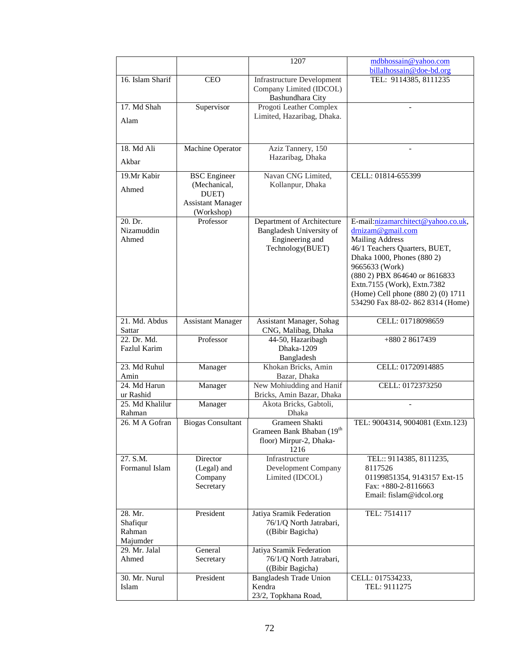|                                           |                                                                                        | 1207                                                                                          | mdbhossain@yahoo.com                                                                                                                                                                                                                                                                                         |  |
|-------------------------------------------|----------------------------------------------------------------------------------------|-----------------------------------------------------------------------------------------------|--------------------------------------------------------------------------------------------------------------------------------------------------------------------------------------------------------------------------------------------------------------------------------------------------------------|--|
|                                           |                                                                                        |                                                                                               | billalhossain@doe-bd.org                                                                                                                                                                                                                                                                                     |  |
| 16. Islam Sharif                          | <b>CEO</b>                                                                             | <b>Infrastructure Development</b><br>Company Limited (IDCOL)                                  | TEL: 9114385, 8111235                                                                                                                                                                                                                                                                                        |  |
| 17. Md Shah                               | Supervisor                                                                             | Bashundhara City<br>Progoti Leather Complex                                                   |                                                                                                                                                                                                                                                                                                              |  |
| Alam                                      |                                                                                        | Limited, Hazaribag, Dhaka.                                                                    |                                                                                                                                                                                                                                                                                                              |  |
|                                           |                                                                                        |                                                                                               |                                                                                                                                                                                                                                                                                                              |  |
| 18. Md Ali                                | Machine Operator                                                                       | Aziz Tannery, 150                                                                             |                                                                                                                                                                                                                                                                                                              |  |
| Akbar                                     |                                                                                        | Hazaribag, Dhaka                                                                              |                                                                                                                                                                                                                                                                                                              |  |
| 19.Mr Kabir<br>Ahmed                      | <b>BSC</b> Engineer<br>(Mechanical,<br>DUET)<br><b>Assistant Manager</b><br>(Workshop) | Navan CNG Limited,<br>Kollanpur, Dhaka                                                        | CELL: 01814-655399                                                                                                                                                                                                                                                                                           |  |
| 20. Dr.<br>Nizamuddin<br>Ahmed            | Professor                                                                              | Department of Architecture<br>Bangladesh University of<br>Engineering and<br>Technology(BUET) | E-mail:nizamarchitect@yahoo.co.uk,<br>drnizam@gmail.com<br><b>Mailing Address</b><br>46/1 Teachers Quarters, BUET,<br>Dhaka 1000, Phones (880 2)<br>9665633 (Work)<br>(880 2) PBX 864640 or 8616833<br>Extn.7155 (Work), Extn.7382<br>(Home) Cell phone (880 2) (0) 1711<br>534290 Fax 88-02-862 8314 (Home) |  |
| 21. Md. Abdus<br>Sattar                   | <b>Assistant Manager</b>                                                               | Assistant Manager, Sohag<br>CNG, Malibag, Dhaka                                               | CELL: 01718098659                                                                                                                                                                                                                                                                                            |  |
| 22. Dr. Md.<br><b>Fazlul Karim</b>        | Professor                                                                              | 44-50, Hazaribagh<br>Dhaka-1209<br>Bangladesh                                                 | +880 2 8617439                                                                                                                                                                                                                                                                                               |  |
| 23. Md Ruhul<br>Amin                      | Manager                                                                                | Khokan Bricks, Amin<br>Bazar, Dhaka                                                           | CELL: 01720914885                                                                                                                                                                                                                                                                                            |  |
| 24. Md Harun<br>ur Rashid                 | Manager                                                                                | New Mohiudding and Hanif<br>Bricks, Amin Bazar, Dhaka                                         | CELL: 0172373250                                                                                                                                                                                                                                                                                             |  |
| 25. Md Khalilur<br>Rahman                 | Manager                                                                                | Akota Bricks, Gabtoli,<br>Dhaka                                                               |                                                                                                                                                                                                                                                                                                              |  |
| 26. M A Gofran                            | <b>Biogas Consultant</b>                                                               | Grameen Shakti<br>Grameen Bank Bhaban (19th<br>floor) Mirpur-2, Dhaka-<br>1216                | TEL: 9004314, 9004081 (Extn.123)                                                                                                                                                                                                                                                                             |  |
| 27. S.M.<br>Formanul Islam                | Director<br>(Legal) and<br>Company<br>Secretary                                        | Infrastructure<br>Development Company<br>Limited (IDCOL)                                      | TEL:: 9114385, 8111235,<br>8117526<br>01199851354, 9143157 Ext-15<br>Fax: $+880-2-8116663$<br>Email: fislam@idcol.org                                                                                                                                                                                        |  |
| 28. Mr.<br>Shafiqur<br>Rahman<br>Majumder | President                                                                              | Jatiya Sramik Federation<br>76/1/Q North Jatrabari,<br>((Bibir Bagicha)                       | TEL: 7514117                                                                                                                                                                                                                                                                                                 |  |
| 29. Mr. Jalal<br>Ahmed                    | General<br>Secretary                                                                   | Jatiya Sramik Federation<br>76/1/Q North Jatrabari,<br>((Bibir Bagicha)                       |                                                                                                                                                                                                                                                                                                              |  |
| 30. Mr. Nurul<br>Islam                    | President                                                                              | <b>Bangladesh Trade Union</b><br>Kendra<br>23/2, Topkhana Road,                               | CELL: 017534233,<br>TEL: 9111275                                                                                                                                                                                                                                                                             |  |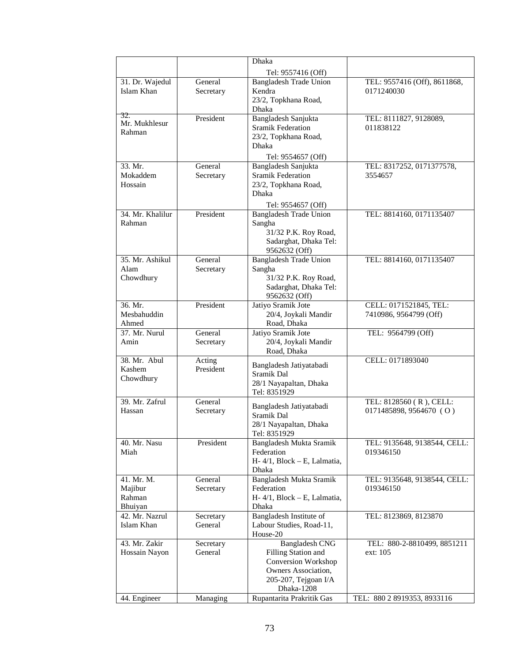|                       |                      | Dhaka                                     |                                           |  |  |  |
|-----------------------|----------------------|-------------------------------------------|-------------------------------------------|--|--|--|
|                       |                      | Tel: 9557416 (Off)                        |                                           |  |  |  |
| 31. Dr. Wajedul       | General              | <b>Bangladesh Trade Union</b>             | TEL: 9557416 (Off), 8611868,              |  |  |  |
| Islam Khan            | Secretary            | Kendra                                    | 0171240030                                |  |  |  |
|                       |                      | 23/2, Topkhana Road,                      |                                           |  |  |  |
| 32.                   |                      | Dhaka                                     |                                           |  |  |  |
| Mr. Mukhlesur         | President            | Bangladesh Sanjukta                       | TEL: 8111827, 9128089,                    |  |  |  |
| Rahman                |                      | <b>Sramik Federation</b>                  | 011838122                                 |  |  |  |
|                       |                      | 23/2, Topkhana Road,<br>Dhaka             |                                           |  |  |  |
|                       |                      |                                           |                                           |  |  |  |
| 33. Mr.               | General              | Tel: 9554657 (Off)<br>Bangladesh Sanjukta |                                           |  |  |  |
| Mokaddem              | Secretary            | <b>Sramik Federation</b>                  | TEL: 8317252, 0171377578,<br>3554657      |  |  |  |
| Hossain               |                      | 23/2, Topkhana Road,                      |                                           |  |  |  |
|                       |                      | Dhaka                                     |                                           |  |  |  |
|                       |                      | Tel: 9554657 (Off)                        |                                           |  |  |  |
| 34. Mr. Khalilur      | President            | <b>Bangladesh Trade Union</b>             | TEL: 8814160, 0171135407                  |  |  |  |
| Rahman                |                      | Sangha                                    |                                           |  |  |  |
|                       |                      | 31/32 P.K. Roy Road,                      |                                           |  |  |  |
|                       |                      | Sadarghat, Dhaka Tel:                     |                                           |  |  |  |
|                       |                      | 9562632 (Off)                             |                                           |  |  |  |
| 35. Mr. Ashikul       | General              | <b>Bangladesh Trade Union</b>             | TEL: 8814160, 0171135407                  |  |  |  |
| Alam                  | Secretary            | Sangha                                    |                                           |  |  |  |
| Chowdhury             |                      | 31/32 P.K. Roy Road,                      |                                           |  |  |  |
|                       |                      | Sadarghat, Dhaka Tel:                     |                                           |  |  |  |
| 36. Mr.               | President            | 9562632 (Off)<br>Jatiyo Sramik Jote       | CELL: 0171521845, TEL:                    |  |  |  |
| Mesbahuddin           |                      | 20/4, Joykali Mandir                      | 7410986, 9564799 (Off)                    |  |  |  |
| Ahmed                 |                      | Road, Dhaka                               |                                           |  |  |  |
| 37. Mr. Nurul         | General              | Jatiyo Sramik Jote                        | TEL: 9564799 (Off)                        |  |  |  |
| Amin                  | Secretary            | 20/4, Joykali Mandir                      |                                           |  |  |  |
|                       |                      | Road, Dhaka                               |                                           |  |  |  |
| 38. Mr. Abul          | Acting               | Bangladesh Jatiyatabadi                   | CELL: 0171893040                          |  |  |  |
| Kashem                | President            | Sramik Dal                                |                                           |  |  |  |
| Chowdhury             |                      | 28/1 Nayapaltan, Dhaka                    |                                           |  |  |  |
|                       |                      | Tel: 8351929                              |                                           |  |  |  |
| 39. Mr. Zafrul        | General              | Bangladesh Jatiyatabadi                   | TEL: 8128560 (R), CELL:                   |  |  |  |
| Hassan                | Secretary            | Sramik Dal                                | 0171485898, 9564670 (O)                   |  |  |  |
|                       |                      | 28/1 Nayapaltan, Dhaka                    |                                           |  |  |  |
|                       |                      | Tel: 8351929                              |                                           |  |  |  |
| 40. Mr. Nasu          | President            | Bangladesh Mukta Sramik                   | TEL: 9135648, 9138544, CELL:              |  |  |  |
| Miah                  |                      | Federation                                | 019346150                                 |  |  |  |
|                       |                      | H-4/1, Block - E, Lalmatia,               |                                           |  |  |  |
|                       |                      | Dhaka                                     |                                           |  |  |  |
| 41. Mr. M.<br>Majibur | General<br>Secretary | Bangladesh Mukta Sramik<br>Federation     | TEL: 9135648, 9138544, CELL:<br>019346150 |  |  |  |
| Rahman                |                      | H-4/1, Block - E, Lalmatia,               |                                           |  |  |  |
| Bhuiyan               |                      | Dhaka                                     |                                           |  |  |  |
| 42. Mr. Nazrul        | Secretary            | Bangladesh Institute of                   | TEL: 8123869, 8123870                     |  |  |  |
| Islam Khan            | General              | Labour Studies, Road-11,                  |                                           |  |  |  |
|                       |                      | House-20                                  |                                           |  |  |  |
| 43. Mr. Zakir         | Secretary            | <b>Bangladesh CNG</b>                     | TEL: 880-2-8810499, 8851211               |  |  |  |
| Hossain Nayon         | General              | Filling Station and                       | ext: 105                                  |  |  |  |
|                       |                      | Conversion Workshop                       |                                           |  |  |  |
|                       |                      | Owners Association,                       |                                           |  |  |  |
|                       |                      | 205-207, Tejgoan I/A<br>Dhaka-1208        |                                           |  |  |  |
| 44. Engineer          | Managing             | Rupantarita Prakritik Gas                 | TEL: 880 2 8919353, 8933116               |  |  |  |
|                       |                      |                                           |                                           |  |  |  |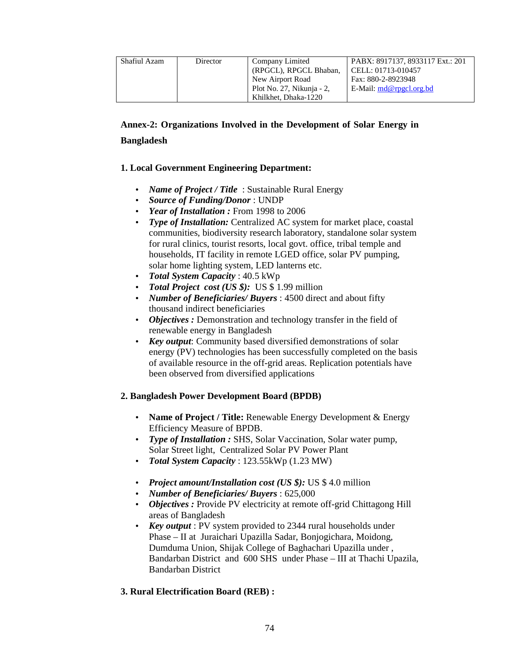| Shafiul Azam | <b>Director</b> | Company Limited           | PABX: 8917137, 8933117 Ext.: 201 |
|--------------|-----------------|---------------------------|----------------------------------|
|              |                 | (RPGCL), RPGCL Bhaban,    | CELL: 01713-010457               |
|              |                 | New Airport Road          | Fax: 880-2-8923948               |
|              |                 | Plot No. 27, Nikunja - 2, | $E$ -Mail: $md@rpgcl.org.bd$     |
|              |                 | Khilkhet, Dhaka-1220      |                                  |

# **Annex-2: Organizations Involved in the Development of Solar Energy in Bangladesh**

## **1. Local Government Engineering Department:**

- *Name of Project / Title* : Sustainable Rural Energy
- *Source of Funding/Donor* : UNDP
- *Year of Installation :* From 1998 to 2006
- *Type of Installation:* Centralized AC system for market place, coastal communities, biodiversity research laboratory, standalone solar system for rural clinics, tourist resorts, local govt. office, tribal temple and households, IT facility in remote LGED office, solar PV pumping, solar home lighting system, LED lanterns etc.
- *Total System Capacity* : 40.5 kWp
- *Total Project cost (US \$):* US \$ 1.99 million
- *Number of Beneficiaries/ Buyers* : 4500 direct and about fifty thousand indirect beneficiaries
- *Objectives* : Demonstration and technology transfer in the field of renewable energy in Bangladesh
- *Key output*: Community based diversified demonstrations of solar energy (PV) technologies has been successfully completed on the basis of available resource in the off-grid areas. Replication potentials have been observed from diversified applications

## **2. Bangladesh Power Development Board (BPDB)**

- **Name of Project / Title:** Renewable Energy Development & Energy Efficiency Measure of BPDB.
- *Type of Installation :* SHS, Solar Vaccination, Solar water pump, Solar Street light, Centralized Solar PV Power Plant
- *Total System Capacity* : 123.55kWp (1.23 MW)
- *Project amount/Installation cost (US \$):* US \$ 4.0 million
- *Number of Beneficiaries/ Buyers* : 625,000
- *Objectives :* Provide PV electricity at remote off-grid Chittagong Hill areas of Bangladesh
- *Key output* : PV system provided to 2344 rural households under Phase – II at Juraichari Upazilla Sadar, Bonjogichara, Moidong, Dumduma Union, Shijak College of Baghachari Upazilla under , Bandarban District and 600 SHS under Phase – III at Thachi Upazila, Bandarban District

## **3. Rural Electrification Board (REB) :**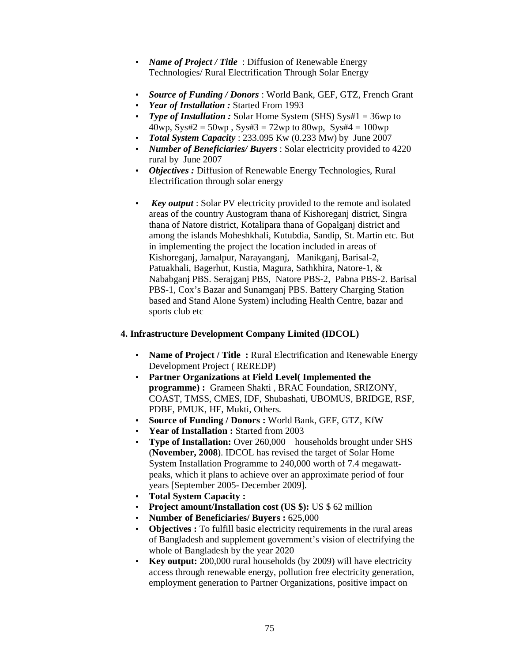- *Name of Project / Title* : Diffusion of Renewable Energy Technologies/ Rural Electrification Through Solar Energy
- *Source of Funding / Donors* : World Bank, GEF, GTZ, French Grant
- *Year of Installation :* Started From 1993
- *Type of Installation* : Solar Home System (SHS) Sys#1 = 36wp to 40wp, Sys#2 = 50wp, Sys#3 = 72wp to 80wp, Sys#4 = 100wp
- *Total System Capacity* : 233.095 Kw (0.233 Mw) by June 2007
- *Number of Beneficiaries/ Buyers* : Solar electricity provided to 4220 rural by June 2007
- *Objectives :* Diffusion of Renewable Energy Technologies, Rural Electrification through solar energy
- *Key output*: Solar PV electricity provided to the remote and isolated areas of the country Austogram thana of Kishoreganj district, Singra thana of Natore district, Kotalipara thana of Gopalganj district and among the islands Moheshkhali, Kutubdia, Sandip, St. Martin etc. But in implementing the project the location included in areas of Kishoreganj, Jamalpur, Narayanganj, Manikganj, Barisal-2, Patuakhali, Bagerhut, Kustia, Magura, Sathkhira, Natore-1, & Nababganj PBS. Serajganj PBS, Natore PBS-2, Pabna PBS-2. Barisal PBS-1, Cox's Bazar and Sunamganj PBS. Battery Charging Station based and Stand Alone System) including Health Centre, bazar and sports club etc

## **4. Infrastructure Development Company Limited (IDCOL)**

- **Name of Project / Title:** Rural Electrification and Renewable Energy Development Project ( REREDP)
- **Partner Organizations at Field Level( Implemented the programme) :** Grameen Shakti , BRAC Foundation, SRIZONY, COAST, TMSS, CMES, IDF, Shubashati, UBOMUS, BRIDGE, RSF, PDBF, PMUK, HF, Mukti, Others.
- **Source of Funding / Donors :** World Bank, GEF, GTZ, KfW
- **Year of Installation :** Started from 2003
- **Type of Installation:** Over 260,000households brought under SHS (**November, 2008**). IDCOL has revised the target of Solar Home System Installation Programme to 240,000 worth of 7.4 megawattpeaks, which it plans to achieve over an approximate period of four years [September 2005- December 2009].
- **Total System Capacity :**
- **Project amount/Installation cost (US \$):** US \$ 62 million
- **Number of Beneficiaries/ Buyers :** 625,000
- **Objectives :** To fulfill basic electricity requirements in the rural areas of Bangladesh and supplement government's vision of electrifying the whole of Bangladesh by the year 2020
- **Key output:** 200,000 rural households (by 2009) will have electricity access through renewable energy, pollution free electricity generation, employment generation to Partner Organizations, positive impact on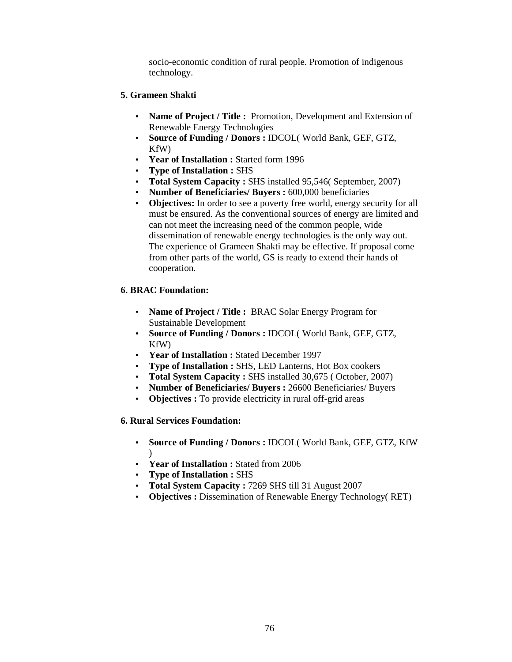socio-economic condition of rural people. Promotion of indigenous technology.

### **5. Grameen Shakti**

- **Name of Project / Title :** Promotion, Development and Extension of Renewable Energy Technologies
- **Source of Funding / Donors :** IDCOL( World Bank, GEF, GTZ, KfW)
- **Year of Installation :** Started form 1996
- **Type of Installation :** SHS
- **Total System Capacity :** SHS installed 95,546( September, 2007)
- **Number of Beneficiaries/ Buyers :** 600,000 beneficiaries
- **Objectives:** In order to see a poverty free world, energy security for all must be ensured. As the conventional sources of energy are limited and can not meet the increasing need of the common people, wide dissemination of renewable energy technologies is the only way out. The experience of Grameen Shakti may be effective. If proposal come from other parts of the world, GS is ready to extend their hands of cooperation.

## **6. BRAC Foundation:**

- **Name of Project / Title :** BRAC Solar Energy Program for Sustainable Development
- **Source of Funding / Donors :** IDCOL( World Bank, GEF, GTZ, KfW)
- **Year of Installation :** Stated December 1997
- **Type of Installation :** SHS, LED Lanterns, Hot Box cookers
- **Total System Capacity :** SHS installed 30,675 ( October, 2007)
- **Number of Beneficiaries/ Buyers :** 26600 Beneficiaries/ Buyers
- **Objectives :** To provide electricity in rural off-grid areas

## **6. Rural Services Foundation:**

- **Source of Funding / Donors :** IDCOL( World Bank, GEF, GTZ, KfW )
- **Year of Installation :** Stated from 2006
- **Type of Installation :** SHS
- **Total System Capacity :** 7269 SHS till 31 August 2007
- **Objectives :** Dissemination of Renewable Energy Technology( RET)